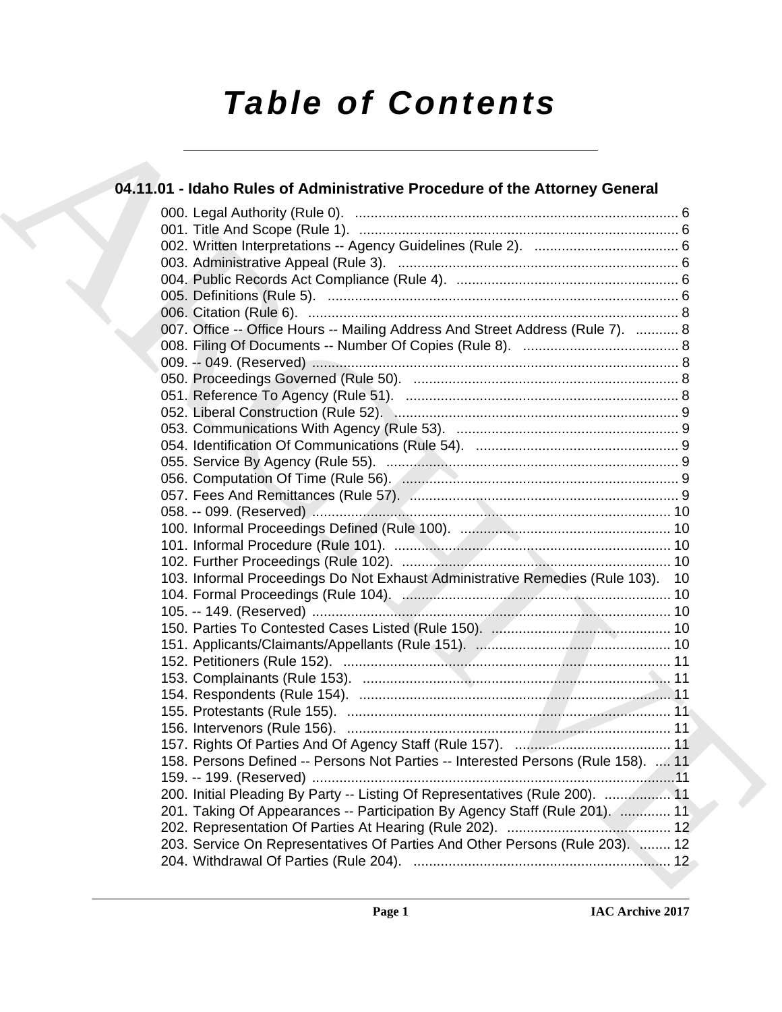# *Table of Contents*

# **04.11.01 - Idaho Rules of Administrative Procedure of the Attorney General**

| 04.11.01 - Idaho Rules of Administrative Procedure of the Attorney General        |
|-----------------------------------------------------------------------------------|
|                                                                                   |
|                                                                                   |
|                                                                                   |
|                                                                                   |
|                                                                                   |
|                                                                                   |
|                                                                                   |
| 007. Office -- Office Hours -- Mailing Address And Street Address (Rule 7).  8    |
|                                                                                   |
|                                                                                   |
|                                                                                   |
|                                                                                   |
|                                                                                   |
|                                                                                   |
|                                                                                   |
|                                                                                   |
|                                                                                   |
|                                                                                   |
|                                                                                   |
|                                                                                   |
|                                                                                   |
|                                                                                   |
| 103. Informal Proceedings Do Not Exhaust Administrative Remedies (Rule 103). 10   |
|                                                                                   |
|                                                                                   |
|                                                                                   |
|                                                                                   |
|                                                                                   |
|                                                                                   |
|                                                                                   |
|                                                                                   |
|                                                                                   |
|                                                                                   |
| 158. Persons Defined -- Persons Not Parties -- Interested Persons (Rule 158).  11 |
|                                                                                   |
| 200. Initial Pleading By Party -- Listing Of Representatives (Rule 200).  11      |
| 201. Taking Of Appearances -- Participation By Agency Staff (Rule 201).  11       |
|                                                                                   |
| 203. Service On Representatives Of Parties And Other Persons (Rule 203).  12      |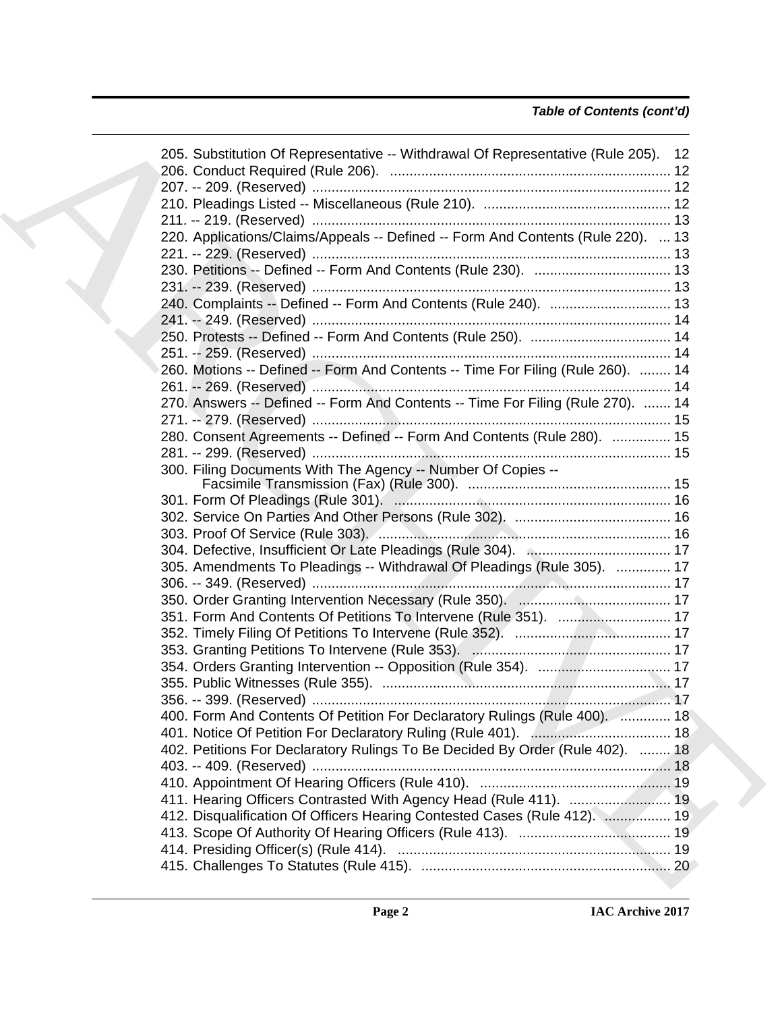| 205. Substitution Of Representative -- Withdrawal Of Representative (Rule 205). 12 |  |
|------------------------------------------------------------------------------------|--|
|                                                                                    |  |
|                                                                                    |  |
|                                                                                    |  |
| 220. Applications/Claims/Appeals -- Defined -- Form And Contents (Rule 220).  13   |  |
|                                                                                    |  |
|                                                                                    |  |
|                                                                                    |  |
| 240. Complaints -- Defined -- Form And Contents (Rule 240).  13                    |  |
|                                                                                    |  |
|                                                                                    |  |
|                                                                                    |  |
|                                                                                    |  |
| 260. Motions -- Defined -- Form And Contents -- Time For Filing (Rule 260).  14    |  |
|                                                                                    |  |
| 270. Answers -- Defined -- Form And Contents -- Time For Filing (Rule 270).  14    |  |
|                                                                                    |  |
| 280. Consent Agreements -- Defined -- Form And Contents (Rule 280).  15            |  |
|                                                                                    |  |
| 300. Filing Documents With The Agency -- Number Of Copies --                       |  |
|                                                                                    |  |
|                                                                                    |  |
|                                                                                    |  |
|                                                                                    |  |
|                                                                                    |  |
| 305. Amendments To Pleadings -- Withdrawal Of Pleadings (Rule 305).  17            |  |
|                                                                                    |  |
|                                                                                    |  |
|                                                                                    |  |
|                                                                                    |  |
|                                                                                    |  |
|                                                                                    |  |
|                                                                                    |  |
|                                                                                    |  |
| 400. Form And Contents Of Petition For Declaratory Rulings (Rule 400).  18         |  |
|                                                                                    |  |
| 402. Petitions For Declaratory Rulings To Be Decided By Order (Rule 402).  18      |  |
|                                                                                    |  |
|                                                                                    |  |
|                                                                                    |  |
| 412. Disqualification Of Officers Hearing Contested Cases (Rule 412).  19          |  |
|                                                                                    |  |
|                                                                                    |  |
|                                                                                    |  |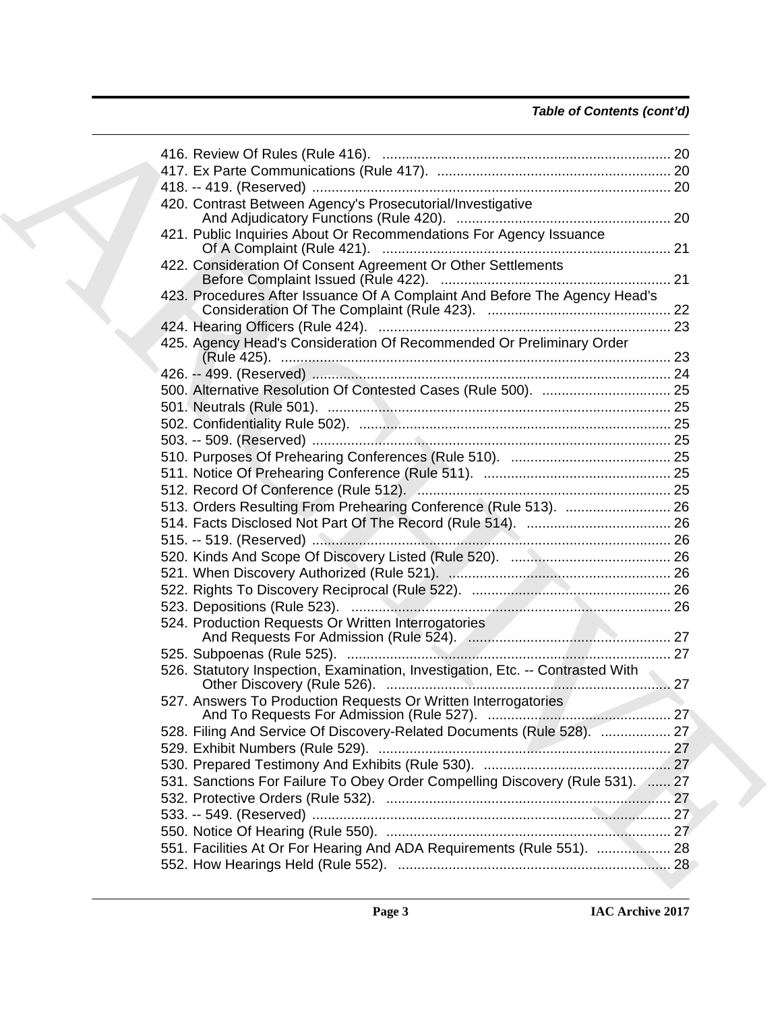|    | 420. Contrast Between Agency's Prosecutorial/Investigative                     |  |
|----|--------------------------------------------------------------------------------|--|
|    | 421. Public Inquiries About Or Recommendations For Agency Issuance             |  |
|    | 422. Consideration Of Consent Agreement Or Other Settlements                   |  |
|    | 423. Procedures After Issuance Of A Complaint And Before The Agency Head's     |  |
|    |                                                                                |  |
|    | 425. Agency Head's Consideration Of Recommended Or Preliminary Order           |  |
|    |                                                                                |  |
|    |                                                                                |  |
|    |                                                                                |  |
|    |                                                                                |  |
|    |                                                                                |  |
|    |                                                                                |  |
|    |                                                                                |  |
|    |                                                                                |  |
|    | 513. Orders Resulting From Prehearing Conference (Rule 513).  26               |  |
|    |                                                                                |  |
|    |                                                                                |  |
|    |                                                                                |  |
|    |                                                                                |  |
|    |                                                                                |  |
|    |                                                                                |  |
|    |                                                                                |  |
|    | 524. Production Requests Or Written Interrogatories                            |  |
|    |                                                                                |  |
| 27 | 526. Statutory Inspection, Examination, Investigation, Etc. -- Contrasted With |  |
|    | 527. Answers To Production Requests Or Written Interrogatories                 |  |
|    | 528. Filing And Service Of Discovery-Related Documents (Rule 528).  27         |  |
|    |                                                                                |  |
|    |                                                                                |  |
|    | 531. Sanctions For Failure To Obey Order Compelling Discovery (Rule 531). 27   |  |
|    |                                                                                |  |
|    |                                                                                |  |
|    |                                                                                |  |
|    | 551. Facilities At Or For Hearing And ADA Requirements (Rule 551).  28         |  |
|    |                                                                                |  |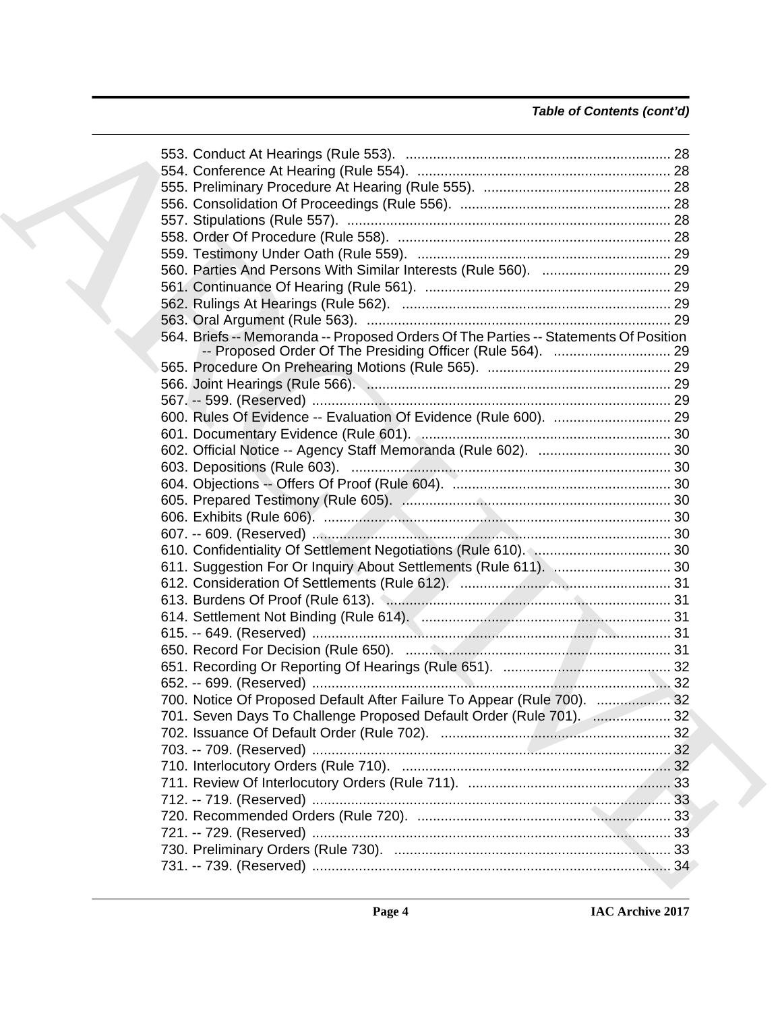| 564. Briefs -- Memoranda -- Proposed Orders Of The Parties -- Statements Of Position |  |
|--------------------------------------------------------------------------------------|--|
|                                                                                      |  |
|                                                                                      |  |
|                                                                                      |  |
|                                                                                      |  |
|                                                                                      |  |
|                                                                                      |  |
|                                                                                      |  |
|                                                                                      |  |
|                                                                                      |  |
|                                                                                      |  |
|                                                                                      |  |
|                                                                                      |  |
|                                                                                      |  |
|                                                                                      |  |
|                                                                                      |  |
|                                                                                      |  |
|                                                                                      |  |
|                                                                                      |  |
|                                                                                      |  |
|                                                                                      |  |
| 700. Notice Of Proposed Default After Failure To Appear (Rule 700).  32              |  |
| 701. Seven Days To Challenge Proposed Default Order (Rule 701).  32                  |  |
|                                                                                      |  |
|                                                                                      |  |
|                                                                                      |  |
|                                                                                      |  |
|                                                                                      |  |
|                                                                                      |  |
|                                                                                      |  |
|                                                                                      |  |
|                                                                                      |  |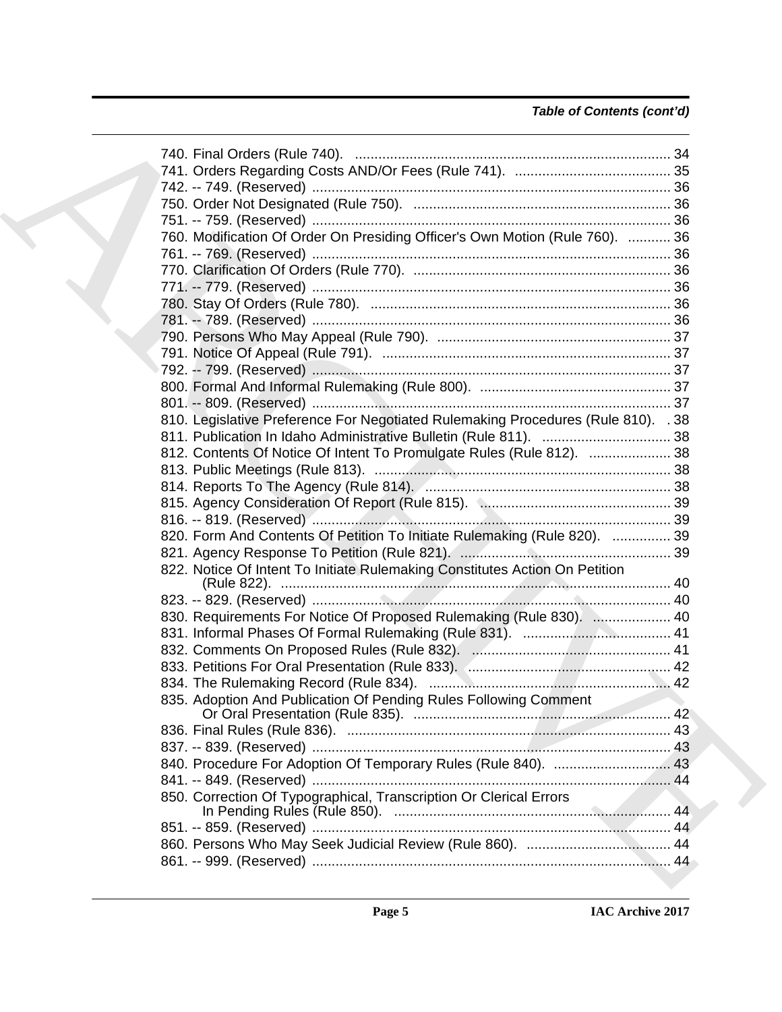# *Table of Contents (cont'd)*

| 760. Modification Of Order On Presiding Officer's Own Motion (Rule 760).  36      |  |
|-----------------------------------------------------------------------------------|--|
|                                                                                   |  |
|                                                                                   |  |
|                                                                                   |  |
|                                                                                   |  |
|                                                                                   |  |
|                                                                                   |  |
|                                                                                   |  |
|                                                                                   |  |
|                                                                                   |  |
|                                                                                   |  |
| 810. Legislative Preference For Negotiated Rulemaking Procedures (Rule 810). . 38 |  |
|                                                                                   |  |
| 812. Contents Of Notice Of Intent To Promulgate Rules (Rule 812).  38             |  |
|                                                                                   |  |
|                                                                                   |  |
|                                                                                   |  |
|                                                                                   |  |
|                                                                                   |  |
| 820. Form And Contents Of Petition To Initiate Rulemaking (Rule 820).  39         |  |
|                                                                                   |  |
| 822. Notice Of Intent To Initiate Rulemaking Constitutes Action On Petition       |  |
|                                                                                   |  |
|                                                                                   |  |
| 830. Requirements For Notice Of Proposed Rulemaking (Rule 830).  40               |  |
|                                                                                   |  |
|                                                                                   |  |
|                                                                                   |  |
|                                                                                   |  |
| 835. Adoption And Publication Of Pending Rules Following Comment                  |  |
|                                                                                   |  |
|                                                                                   |  |
|                                                                                   |  |
|                                                                                   |  |
|                                                                                   |  |
| 850. Correction Of Typographical, Transcription Or Clerical Errors                |  |
|                                                                                   |  |
|                                                                                   |  |
|                                                                                   |  |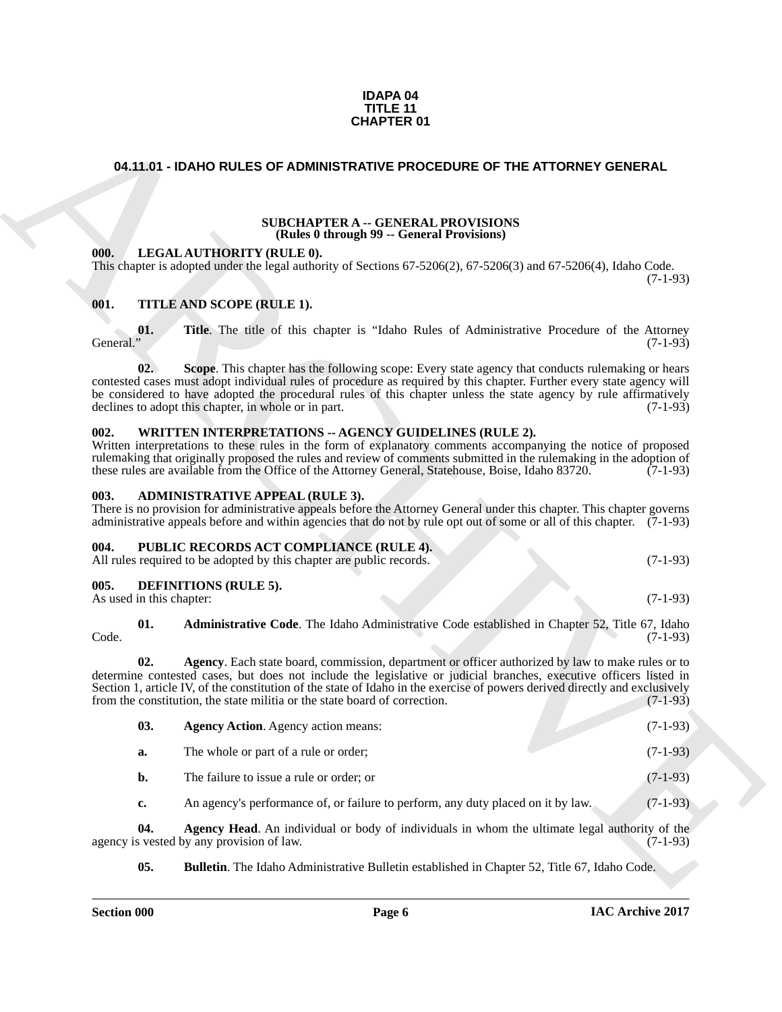#### **IDAPA 04 TITLE 11 CHAPTER 01**

#### <span id="page-5-0"></span>**04.11.01 - IDAHO RULES OF ADMINISTRATIVE PROCEDURE OF THE ATTORNEY GENERAL**

#### **SUBCHAPTER A -- GENERAL PROVISIONS (Rules 0 through 99 -- General Provisions)**

#### <span id="page-5-2"></span><span id="page-5-1"></span>**001. TITLE AND SCOPE (RULE 1).**

#### <span id="page-5-3"></span>**002. WRITTEN INTERPRETATIONS -- AGENCY GUIDELINES (RULE 2).**

#### <span id="page-5-4"></span>**003. ADMINISTRATIVE APPEAL (RULE 3).**

<span id="page-5-5"></span>

| 004 | <b>PUBLIC RECORDS ACT COMPLIANCE (RULE 4).</b>                       |            |
|-----|----------------------------------------------------------------------|------------|
|     | All rules required to be adopted by this chapter are public records. | $(7-1-93)$ |

#### <span id="page-5-6"></span>**005. DEFINITIONS (RULE 5).**

<span id="page-5-11"></span><span id="page-5-10"></span><span id="page-5-9"></span><span id="page-5-8"></span><span id="page-5-7"></span>

|      | <b>Administrative Code.</b> The Idaho Administrative Code established in Chapter 52, Title 67, Idaho |  |  |            |
|------|------------------------------------------------------------------------------------------------------|--|--|------------|
| Code |                                                                                                      |  |  | $(7-1-93)$ |

|                                  |     |                                                      | 04.11.01 - IDAHO RULES OF ADMINISTRATIVE PROCEDURE OF THE ATTORNEY GENERAL                                                                                   |                                                                                                                                                                                                                                                                                                                                                                      |
|----------------------------------|-----|------------------------------------------------------|--------------------------------------------------------------------------------------------------------------------------------------------------------------|----------------------------------------------------------------------------------------------------------------------------------------------------------------------------------------------------------------------------------------------------------------------------------------------------------------------------------------------------------------------|
|                                  |     |                                                      |                                                                                                                                                              |                                                                                                                                                                                                                                                                                                                                                                      |
|                                  |     |                                                      | <b>SUBCHAPTER A -- GENERAL PROVISIONS</b><br>(Rules 0 through 99 -- General Provisions)                                                                      |                                                                                                                                                                                                                                                                                                                                                                      |
| 000.                             |     | LEGAL AUTHORITY (RULE 0).                            | This chapter is adopted under the legal authority of Sections $67-5206(2)$ , $67-5206(3)$ and $67-5206(4)$ , Idaho Code.                                     | $(7-1-93)$                                                                                                                                                                                                                                                                                                                                                           |
| 001.                             |     | TITLE AND SCOPE (RULE 1).                            |                                                                                                                                                              |                                                                                                                                                                                                                                                                                                                                                                      |
| General."                        | 01. |                                                      |                                                                                                                                                              | Title. The title of this chapter is "Idaho Rules of Administrative Procedure of the Attorney<br>$(7-1-93)$                                                                                                                                                                                                                                                           |
|                                  | 02. | declines to adopt this chapter, in whole or in part. |                                                                                                                                                              | Scope. This chapter has the following scope: Every state agency that conducts rulemaking or hears<br>contested cases must adopt individual rules of procedure as required by this chapter. Further every state agency will<br>be considered to have adopted the procedural rules of this chapter unless the state agency by rule affirmatively<br>$(7-1-93)$         |
| 002.                             |     |                                                      | WRITTEN INTERPRETATIONS -- AGENCY GUIDELINES (RULE 2).<br>these rules are available from the Office of the Attorney General, Statehouse, Boise, Idaho 83720. | Written interpretations to these rules in the form of explanatory comments accompanying the notice of proposed<br>rulemaking that originally proposed the rules and review of comments submitted in the rulemaking in the adoption of<br>$(7-1-93)$                                                                                                                  |
| 003.                             |     | <b>ADMINISTRATIVE APPEAL (RULE 3).</b>               |                                                                                                                                                              | There is no provision for administrative appeals before the Attorney General under this chapter. This chapter governs<br>administrative appeals before and within agencies that do not by rule opt out of some or all of this chapter. (7-1-93)                                                                                                                      |
| 004.                             |     |                                                      | PUBLIC RECORDS ACT COMPLIANCE (RULE 4).<br>All rules required to be adopted by this chapter are public records.                                              | $(7-1-93)$                                                                                                                                                                                                                                                                                                                                                           |
| 005.<br>As used in this chapter: |     | <b>DEFINITIONS (RULE 5).</b>                         |                                                                                                                                                              | $(7-1-93)$                                                                                                                                                                                                                                                                                                                                                           |
| Code.                            | 01. |                                                      |                                                                                                                                                              | Administrative Code. The Idaho Administrative Code established in Chapter 52, Title 67, Idaho<br>$(7-1-93)$                                                                                                                                                                                                                                                          |
|                                  | 02. |                                                      | from the constitution, the state militia or the state board of correction.                                                                                   | Agency. Each state board, commission, department or officer authorized by law to make rules or to<br>determine contested cases, but does not include the legislative or judicial branches, executive officers listed in<br>Section 1, article IV, of the constitution of the state of Idaho in the exercise of powers derived directly and exclusively<br>$(7-1-93)$ |
|                                  | 03. | <b>Agency Action.</b> Agency action means:           |                                                                                                                                                              | $(7-1-93)$                                                                                                                                                                                                                                                                                                                                                           |
|                                  | a.  | The whole or part of a rule or order;                |                                                                                                                                                              | $(7-1-93)$                                                                                                                                                                                                                                                                                                                                                           |
|                                  | b.  | The failure to issue a rule or order; or             |                                                                                                                                                              | $(7-1-93)$                                                                                                                                                                                                                                                                                                                                                           |
|                                  | c.  |                                                      | An agency's performance of, or failure to perform, any duty placed on it by law.                                                                             | $(7-1-93)$                                                                                                                                                                                                                                                                                                                                                           |
|                                  | 04. | agency is vested by any provision of law.            |                                                                                                                                                              | Agency Head. An individual or body of individuals in whom the ultimate legal authority of the<br>$(7-1-93)$                                                                                                                                                                                                                                                          |
|                                  | 05. |                                                      | <b>Bulletin</b> . The Idaho Administrative Bulletin established in Chapter 52, Title 67, Idaho Code.                                                         |                                                                                                                                                                                                                                                                                                                                                                      |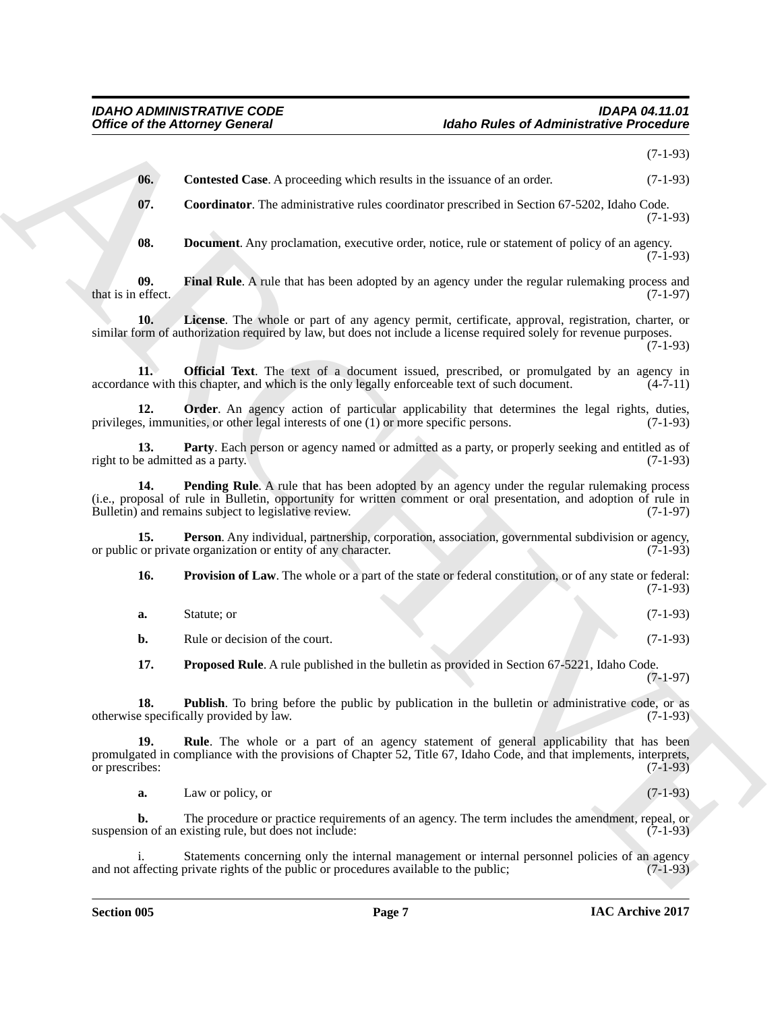<span id="page-6-4"></span><span id="page-6-3"></span><span id="page-6-2"></span><span id="page-6-1"></span><span id="page-6-0"></span>

|                                         | <b>Office of the Attorney General</b>                                                 | <b>Idaho Rules of Administrative Procedure</b>                                                                                                                                                                           |            |
|-----------------------------------------|---------------------------------------------------------------------------------------|--------------------------------------------------------------------------------------------------------------------------------------------------------------------------------------------------------------------------|------------|
|                                         |                                                                                       |                                                                                                                                                                                                                          | $(7-1-93)$ |
| 06.                                     |                                                                                       | <b>Contested Case.</b> A proceeding which results in the issuance of an order.                                                                                                                                           | $(7-1-93)$ |
| 07.                                     |                                                                                       | Coordinator. The administrative rules coordinator prescribed in Section 67-5202, Idaho Code.                                                                                                                             | $(7-1-93)$ |
| 08.                                     |                                                                                       | <b>Document</b> . Any proclamation, executive order, notice, rule or statement of policy of an agency.                                                                                                                   | $(7-1-93)$ |
| 09.<br>that is in effect.               |                                                                                       | Final Rule. A rule that has been adopted by an agency under the regular rulemaking process and                                                                                                                           | $(7-1-97)$ |
| 10.                                     |                                                                                       | License. The whole or part of any agency permit, certificate, approval, registration, charter, or<br>similar form of authorization required by law, but does not include a license required solely for revenue purposes. | $(7-1-93)$ |
| 11.                                     |                                                                                       | <b>Official Text.</b> The text of a document issued, prescribed, or promulgated by an agency in<br>accordance with this chapter, and which is the only legally enforceable text of such document.                        | $(4-7-11)$ |
| 12.                                     | privileges, immunities, or other legal interests of one (1) or more specific persons. | <b>Order</b> . An agency action of particular applicability that determines the legal rights, duties,                                                                                                                    | $(7-1-93)$ |
| 13.<br>right to be admitted as a party. |                                                                                       | Party. Each person or agency named or admitted as a party, or properly seeking and entitled as of                                                                                                                        | $(7-1-93)$ |
| 14.                                     | Bulletin) and remains subject to legislative review.                                  | Pending Rule. A rule that has been adopted by an agency under the regular rulemaking process<br>(i.e., proposal of rule in Bulletin, opportunity for written comment or oral presentation, and adoption of rule in       | $(7-1-97)$ |
| 15.                                     | or public or private organization or entity of any character.                         | Person. Any individual, partnership, corporation, association, governmental subdivision or agency,                                                                                                                       | $(7-1-93)$ |
| 16.                                     |                                                                                       | Provision of Law. The whole or a part of the state or federal constitution, or of any state or federal:                                                                                                                  | $(7-1-93)$ |
| a.                                      | Statute; or                                                                           |                                                                                                                                                                                                                          | $(7-1-93)$ |
| b.                                      | Rule or decision of the court.                                                        |                                                                                                                                                                                                                          | $(7-1-93)$ |
| 17.                                     |                                                                                       | <b>Proposed Rule</b> . A rule published in the bulletin as provided in Section 67-5221, Idaho Code.                                                                                                                      | $(7-1-97)$ |
| 18.                                     | otherwise specifically provided by law.                                               | <b>Publish</b> . To bring before the public by publication in the bulletin or administrative code, or as                                                                                                                 | $(7-1-93)$ |
| 19.<br>or prescribes:                   |                                                                                       | <b>Rule</b> . The whole or a part of an agency statement of general applicability that has been<br>promulgated in compliance with the provisions of Chapter 52, Title 67, Idaho Code, and that implements, interprets,   | $(7-1-93)$ |
| a.                                      | Law or policy, or                                                                     |                                                                                                                                                                                                                          | $(7-1-93)$ |
| b.                                      | suspension of an existing rule, but does not include:                                 | The procedure or practice requirements of an agency. The term includes the amendment, repeal, or                                                                                                                         | $(7-1-93)$ |
|                                         |                                                                                       |                                                                                                                                                                                                                          |            |

<span id="page-6-13"></span><span id="page-6-12"></span><span id="page-6-11"></span><span id="page-6-10"></span><span id="page-6-9"></span><span id="page-6-8"></span><span id="page-6-7"></span><span id="page-6-6"></span><span id="page-6-5"></span>

| <b>a.</b> | Statute; or |  |  | $(7-1-93)$ |
|-----------|-------------|--|--|------------|
|           |             |  |  |            |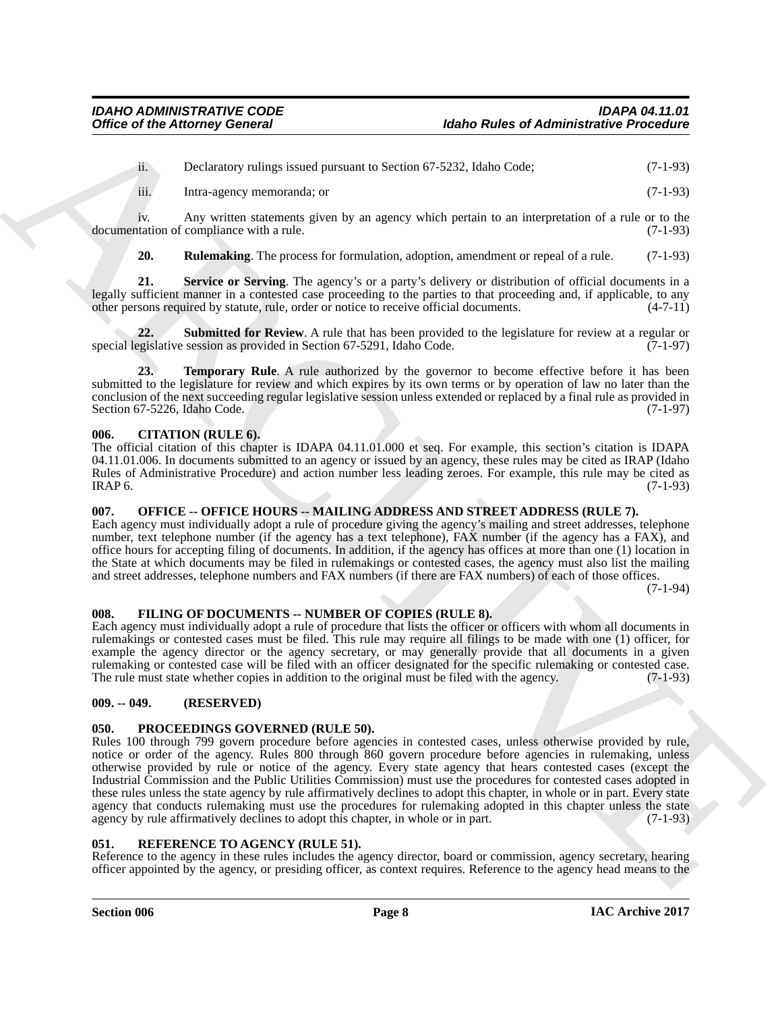ii. Declaratory rulings issued pursuant to Section 67-5232, Idaho Code; (7-1-93)

iii. Intra-agency memoranda; or (7-1-93)

iv. Any written statements given by an agency which pertain to an interpretation of a rule or to the tation of compliance with a rule. (7-1-93) documentation of compliance with a rule.

<span id="page-7-8"></span><span id="page-7-7"></span><span id="page-7-6"></span>**20. Rulemaking**. The process for formulation, adoption, amendment or repeal of a rule. (7-1-93)

**21. Service or Serving**. The agency's or a party's delivery or distribution of official documents in a legally sufficient manner in a contested case proceeding to the parties to that proceeding and, if applicable, to any other persons required by statute, rule, order or notice to receive official documents. (4-7-11) other persons required by statute, rule, order or notice to receive official documents.

**22. Submitted for Review**. A rule that has been provided to the legislature for review at a regular or gislative session as provided in Section 67-5291, Idaho Code. (7-1-97) special legislative session as provided in Section 67-5291, Idaho Code.

<span id="page-7-9"></span>**23. Temporary Rule**. A rule authorized by the governor to become effective before it has been submitted to the legislature for review and which expires by its own terms or by operation of law no later than the conclusion of the next succeeding regular legislative session unless extended or replaced by a final rule as provided in Section 67-5226, Idaho Code. (7-1-97)

### <span id="page-7-0"></span>**006. CITATION (RULE 6).**

The official citation of this chapter is IDAPA 04.11.01.000 et seq. For example, this section's citation is IDAPA 04.11.01.006. In documents submitted to an agency or issued by an agency, these rules may be cited as IRAP (Idaho Rules of Administrative Procedure) and action number less leading zeroes. For example, this rule may be cited as IRAP 6. (7-1-93)  $IRAP 6.$  (7-1-93)

# <span id="page-7-1"></span>**007. OFFICE -- OFFICE HOURS -- MAILING ADDRESS AND STREET ADDRESS (RULE 7).**

Each agency must individually adopt a rule of procedure giving the agency's mailing and street addresses, telephone number, text telephone number (if the agency has a text telephone), FAX number (if the agency has a FAX), and office hours for accepting filing of documents. In addition, if the agency has offices at more than one (1) location in the State at which documents may be filed in rulemakings or contested cases, the agency must also list the mailing and street addresses, telephone numbers and FAX numbers (if there are FAX numbers) of each of those offices.

(7-1-94)

### <span id="page-7-10"></span><span id="page-7-2"></span>**008. FILING OF DOCUMENTS -- NUMBER OF COPIES (RULE 8).**

Each agency must individually adopt a rule of procedure that lists the officer or officers with whom all documents in rulemakings or contested cases must be filed. This rule may require all filings to be made with one (1) officer, for example the agency director or the agency secretary, or may generally provide that all documents in a given rulemaking or contested case will be filed with an officer designated for the specific rulemaking or contested case. The rule must state whether copies in addition to the original must be filed with the agency. (7-1-93)

### <span id="page-7-3"></span>**009. -- 049. (RESERVED)**

### <span id="page-7-11"></span><span id="page-7-4"></span>**050. PROCEEDINGS GOVERNED (RULE 50).**

Office of the Attorney General<br>
iDentification (Advantuate Procession)<br>
iDentification (Advantuate Controller and Section 67.2223, Idabe Code<br>
4. The main stress of the system parameters of the system space when periodic Rules 100 through 799 govern procedure before agencies in contested cases, unless otherwise provided by rule, notice or order of the agency. Rules 800 through 860 govern procedure before agencies in rulemaking, unless otherwise provided by rule or notice of the agency. Every state agency that hears contested cases (except the Industrial Commission and the Public Utilities Commission) must use the procedures for contested cases adopted in these rules unless the state agency by rule affirmatively declines to adopt this chapter, in whole or in part. Every state agency that conducts rulemaking must use the procedures for rulemaking adopted in this chapter unless the state agency by rule affirmatively declines to adopt this chapter, in whole or in part.  $(7-1-93)$ 

### <span id="page-7-12"></span><span id="page-7-5"></span>**051. REFERENCE TO AGENCY (RULE 51).**

Reference to the agency in these rules includes the agency director, board or commission, agency secretary, hearing officer appointed by the agency, or presiding officer, as context requires. Reference to the agency head means to the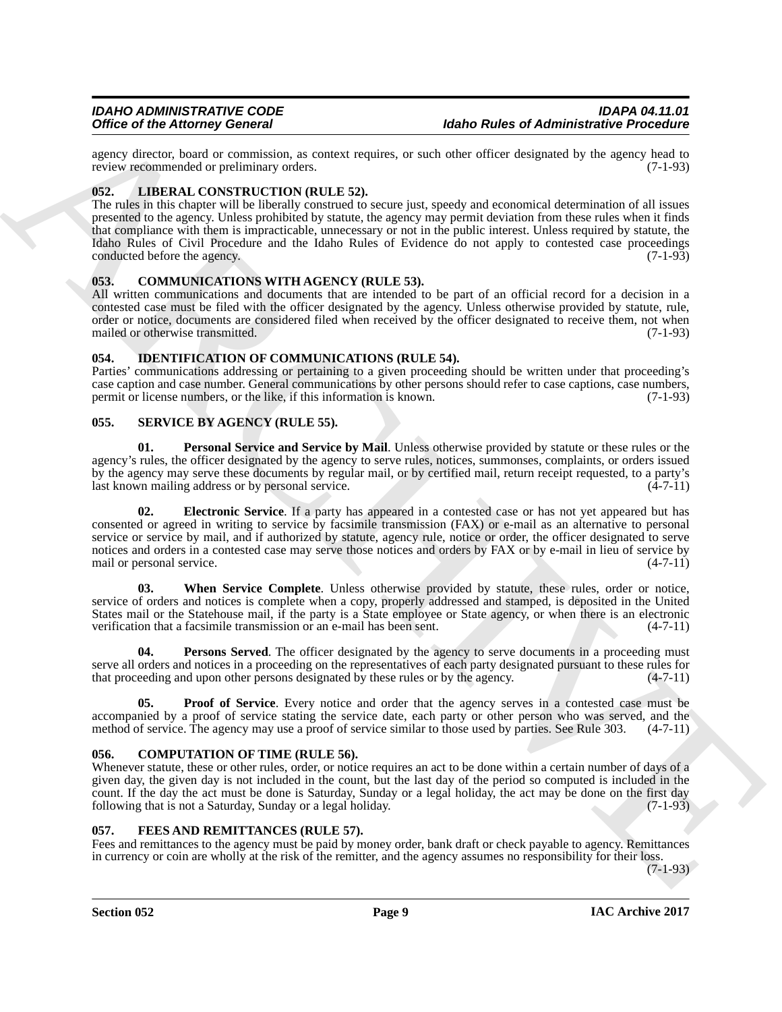agency director, board or commission, as context requires, or such other officer designated by the agency head to review recommended or preliminary orders. (7-1-93) review recommended or preliminary orders.

### <span id="page-8-10"></span><span id="page-8-0"></span>**052. LIBERAL CONSTRUCTION (RULE 52).**

The rules in this chapter will be liberally construed to secure just, speedy and economical determination of all issues presented to the agency. Unless prohibited by statute, the agency may permit deviation from these rules when it finds that compliance with them is impracticable, unnecessary or not in the public interest. Unless required by statute, the Idaho Rules of Civil Procedure and the Idaho Rules of Evidence do not apply to contested case proceedings conducted before the agency. (7-1-93)

#### <span id="page-8-6"></span><span id="page-8-1"></span>**053. COMMUNICATIONS WITH AGENCY (RULE 53).**

All written communications and documents that are intended to be part of an official record for a decision in a contested case must be filed with the officer designated by the agency. Unless otherwise provided by statute, rule, order or notice, documents are considered filed when received by the officer designated to receive them, not when mailed or otherwise transmitted. (7-1-93)

#### <span id="page-8-9"></span><span id="page-8-2"></span>**054. IDENTIFICATION OF COMMUNICATIONS (RULE 54).**

Parties' communications addressing or pertaining to a given proceeding should be written under that proceeding's case caption and case number. General communications by other persons should refer to case captions, case numbers, permit or license numbers, or the like, if this information is known. (7-1-93)

#### <span id="page-8-11"></span><span id="page-8-3"></span>**055. SERVICE BY AGENCY (RULE 55).**

<span id="page-8-13"></span><span id="page-8-12"></span>**01. Personal Service and Service by Mail**. Unless otherwise provided by statute or these rules or the agency's rules, the officer designated by the agency to serve rules, notices, summonses, complaints, or orders issued by the agency may serve these documents by regular mail, or by certified mail, return receipt requested, to a party's last known mailing address or by personal service.

One of the Advantagement Concerns and the United States of Advantagement Processing into the state of the Concerns and the Concerns and the Concerns and the Concerns and the Concerns and the Concerns and the Concerns and **02. Electronic Service**. If a party has appeared in a contested case or has not yet appeared but has consented or agreed in writing to service by facsimile transmission (FAX) or e-mail as an alternative to personal service or service by mail, and if authorized by statute, agency rule, notice or order, the officer designated to serve notices and orders in a contested case may serve those notices and orders by FAX or by e-mail in lieu of service by mail or personal service. (4-7-11)

<span id="page-8-16"></span>**03. When Service Complete**. Unless otherwise provided by statute, these rules, order or notice, service of orders and notices is complete when a copy, properly addressed and stamped, is deposited in the United States mail or the Statehouse mail, if the party is a State employee or State agency, or when there is an electronic verification that a facsimile transmission or an e-mail has been sent. (4-7-11)

<span id="page-8-14"></span>**04.** Persons Served. The officer designated by the agency to serve documents in a proceeding must serve all orders and notices in a proceeding on the representatives of each party designated pursuant to these rules for that proceeding and upon other persons designated by these rules or by the agency.  $(4-7-11)$ 

<span id="page-8-15"></span>**05.** Proof of Service. Every notice and order that the agency serves in a contested case must be accompanied by a proof of service stating the service date, each party or other person who was served, and the method of service. The agency may use a proof of service similar to those used by parties. See Rule 303.  $(4-7$ method of service. The agency may use a proof of service similar to those used by parties. See Rule 303.

#### <span id="page-8-7"></span><span id="page-8-4"></span>**056. COMPUTATION OF TIME (RULE 56).**

Whenever statute, these or other rules, order, or notice requires an act to be done within a certain number of days of a given day, the given day is not included in the count, but the last day of the period so computed is included in the count. If the day the act must be done is Saturday, Sunday or a legal holiday, the act may be done on the first day following that is not a Saturday, Sunday or a legal holiday. (7-1-93)

#### <span id="page-8-8"></span><span id="page-8-5"></span>**057. FEES AND REMITTANCES (RULE 57).**

Fees and remittances to the agency must be paid by money order, bank draft or check payable to agency. Remittances in currency or coin are wholly at the risk of the remitter, and the agency assumes no responsibility for their loss.

 $(7-1-93)$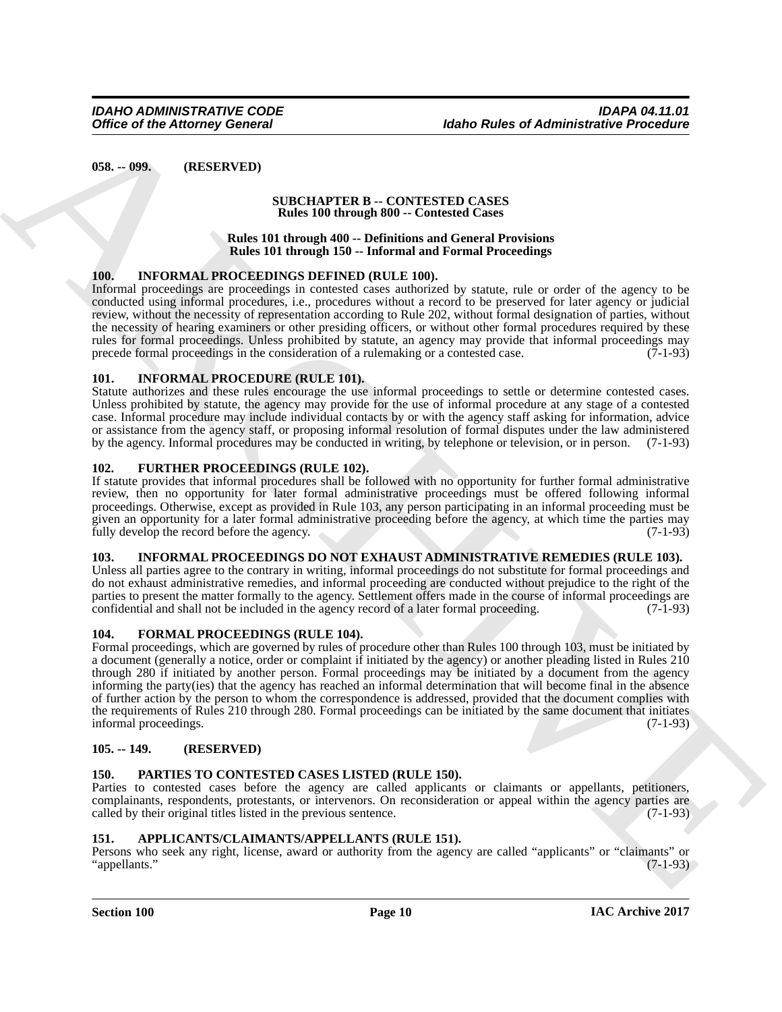<span id="page-9-0"></span>**058. -- 099. (RESERVED)**

#### **SUBCHAPTER B -- CONTESTED CASES Rules 100 through 800 -- Contested Cases**

#### **Rules 101 through 400 -- Definitions and General Provisions Rules 101 through 150 -- Informal and Formal Proceedings**

### <span id="page-9-13"></span><span id="page-9-1"></span>**100. INFORMAL PROCEEDINGS DEFINED (RULE 100).**

Informal proceedings are proceedings in contested cases authorized by statute, rule or order of the agency to be conducted using informal procedures, i.e., procedures without a record to be preserved for later agency or judicial review, without the necessity of representation according to Rule 202, without formal designation of parties, without the necessity of hearing examiners or other presiding officers, or without other formal procedures required by these rules for formal proceedings. Unless prohibited by statute, an agency may provide that informal proceedings may precede formal proceedings in the consideration of a rulemaking or a contested case. (7-1-93)

### <span id="page-9-12"></span><span id="page-9-2"></span>**101. INFORMAL PROCEDURE (RULE 101).**

Statute authorizes and these rules encourage the use informal proceedings to settle or determine contested cases. Unless prohibited by statute, the agency may provide for the use of informal procedure at any stage of a contested case. Informal procedure may include individual contacts by or with the agency staff asking for information, advice or assistance from the agency staff, or proposing informal resolution of formal disputes under the law administered by the agency. Informal procedures may be conducted in writing, by telephone or television, or in person. (7-1-93)

### <span id="page-9-11"></span><span id="page-9-3"></span>**102. FURTHER PROCEEDINGS (RULE 102).**

If statute provides that informal procedures shall be followed with no opportunity for further formal administrative review, then no opportunity for later formal administrative proceedings must be offered following informal proceedings. Otherwise, except as provided in Rule 103, any person participating in an informal proceeding must be given an opportunity for a later formal administrative proceeding before the agency, at which time the parties may fully develop the record before the agency.

### <span id="page-9-14"></span><span id="page-9-4"></span>**103. INFORMAL PROCEEDINGS DO NOT EXHAUST ADMINISTRATIVE REMEDIES (RULE 103).**

Unless all parties agree to the contrary in writing, informal proceedings do not substitute for formal proceedings and do not exhaust administrative remedies, and informal proceeding are conducted without prejudice to the right of the parties to present the matter formally to the agency. Settlement offers made in the course of informal proceedings are confidential and shall not be included in the agency record of a later formal proceeding. (7-1-93)

### <span id="page-9-10"></span><span id="page-9-5"></span>**104. FORMAL PROCEEDINGS (RULE 104).**

Office of the Attorney General<br>
(85). -999. IRESERVED (1990) (1990) (1990) (1990) (1990) (1990) (1990) (1990) (1990) (1990) (1990) (1990) (1990) (1990) (1990) (1990) (1990) (1990) (1990) (1990) (1990) (1990) (1990) (1990) Formal proceedings, which are governed by rules of procedure other than Rules 100 through 103, must be initiated by a document (generally a notice, order or complaint if initiated by the agency) or another pleading listed in Rules 210 through 280 if initiated by another person. Formal proceedings may be initiated by a document from the agency informing the party(ies) that the agency has reached an informal determination that will become final in the absence of further action by the person to whom the correspondence is addressed, provided that the document complies with the requirements of Rules 210 through 280. Formal proceedings can be initiated by the same document that initiates informal proceedings. (7-1-93)

### <span id="page-9-6"></span>**105. -- 149. (RESERVED)**

### <span id="page-9-15"></span><span id="page-9-7"></span>**150. PARTIES TO CONTESTED CASES LISTED (RULE 150).**

Parties to contested cases before the agency are called applicants or claimants or appellants, petitioners, complainants, respondents, protestants, or intervenors. On reconsideration or appeal within the agency parties are called by their original titles listed in the previous sentence. called by their original titles listed in the previous sentence.

### <span id="page-9-9"></span><span id="page-9-8"></span>**151. APPLICANTS/CLAIMANTS/APPELLANTS (RULE 151).**

Persons who seek any right, license, award or authority from the agency are called "applicants" or "claimants" or "appellants." (7-1-93)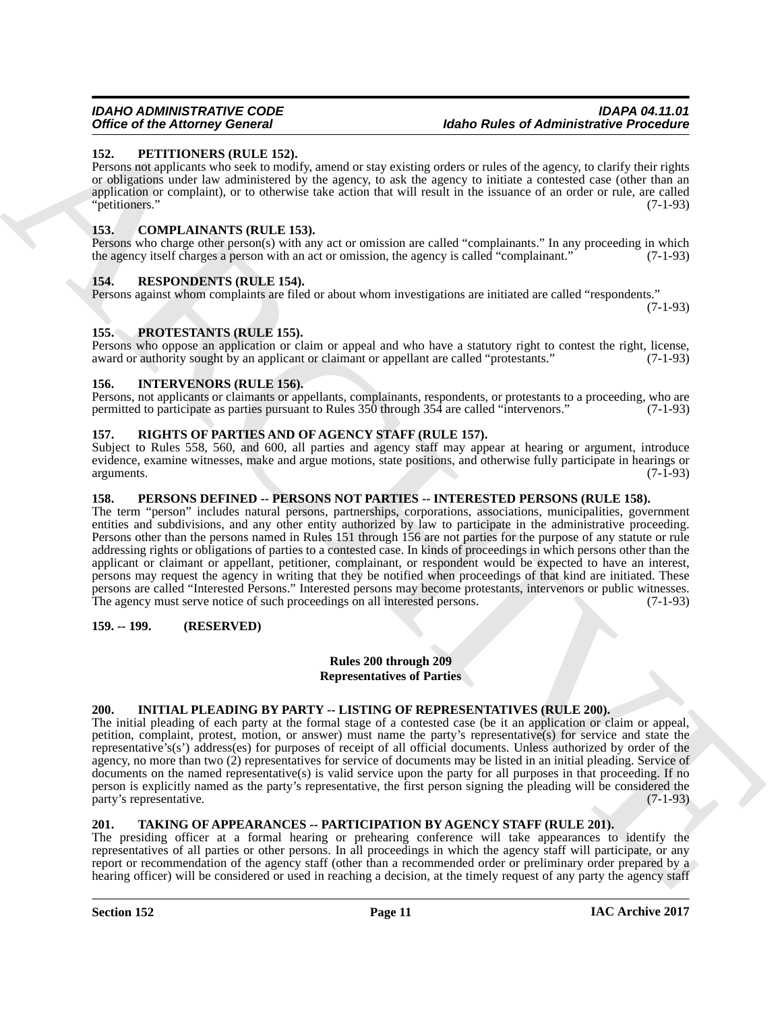#### <span id="page-10-14"></span><span id="page-10-0"></span>**152. PETITIONERS (RULE 152).**

Persons not applicants who seek to modify, amend or stay existing orders or rules of the agency, to clarify their rights or obligations under law administered by the agency, to ask the agency to initiate a contested case (other than an application or complaint), or to otherwise take action that will result in the issuance of an order or rule, are called "petitioners." (7-1-93)

### <span id="page-10-10"></span><span id="page-10-1"></span>**153. COMPLAINANTS (RULE 153).**

Persons who charge other person(s) with any act or omission are called "complainants." In any proceeding in which the agency itself charges a person with an act or omission, the agency is called "complainant." (7-1-93)

### <span id="page-10-16"></span><span id="page-10-2"></span>**154. RESPONDENTS (RULE 154).**

Persons against whom complaints are filed or about whom investigations are initiated are called "respondents."

(7-1-93)

### <span id="page-10-15"></span><span id="page-10-3"></span>**155. PROTESTANTS (RULE 155).**

Persons who oppose an application or claim or appeal and who have a statutory right to contest the right, license, award or authority sought by an applicant or claimant or appellant are called "protestants." (7-1-93) award or authority sought by an applicant or claimant or appellant are called "protestants."

### <span id="page-10-12"></span><span id="page-10-4"></span>**156. INTERVENORS (RULE 156).**

Persons, not applicants or claimants or appellants, complainants, respondents, or protestants to a proceeding, who are permitted to participate as parties pursuant to Rules 350 through 354 are called "intervenors." (7-1-93 permitted to participate as parties pursuant to Rules 350 through 354 are called "intervenors."

### <span id="page-10-17"></span><span id="page-10-5"></span>**157. RIGHTS OF PARTIES AND OF AGENCY STAFF (RULE 157).**

Subject to Rules 558, 560, and 600, all parties and agency staff may appear at hearing or argument, introduce evidence, examine witnesses, make and argue motions, state positions, and otherwise fully participate in hearings or arguments. (7-1-93) arguments. (7-1-93)

#### <span id="page-10-13"></span><span id="page-10-6"></span>**158. PERSONS DEFINED -- PERSONS NOT PARTIES -- INTERESTED PERSONS (RULE 158).**

Office of *H* Memory General Matheon Rules of *Administrative* Precision Fig. 22. **PETITIONES We are the state of** *Administrative* **Precision Control Matheon Rules of** *Administrative* **Precision Control Matheos Control Math** The term "person" includes natural persons, partnerships, corporations, associations, municipalities, government entities and subdivisions, and any other entity authorized by law to participate in the administrative proceeding. Persons other than the persons named in Rules 151 through 156 are not parties for the purpose of any statute or rule addressing rights or obligations of parties to a contested case. In kinds of proceedings in which persons other than the applicant or claimant or appellant, petitioner, complainant, or respondent would be expected to have an interest, persons may request the agency in writing that they be notified when proceedings of that kind are initiated. These persons are called "Interested Persons." Interested persons may become protestants, intervenors or public witnesses. The agency must serve notice of such proceedings on all interested persons. (7-1-93)

#### <span id="page-10-7"></span>**159. -- 199. (RESERVED)**

#### **Rules 200 through 209 Representatives of Parties**

### <span id="page-10-11"></span><span id="page-10-8"></span>**200. INITIAL PLEADING BY PARTY -- LISTING OF REPRESENTATIVES (RULE 200).**

The initial pleading of each party at the formal stage of a contested case (be it an application or claim or appeal, petition, complaint, protest, motion, or answer) must name the party's representative(s) for service and state the representative's(s') address(es) for purposes of receipt of all official documents. Unless authorized by order of the agency, no more than two (2) representatives for service of documents may be listed in an initial pleading. Service of documents on the named representative(s) is valid service upon the party for all purposes in that proceeding. If no person is explicitly named as the party's representative, the first person signing the pleading will be considered the party's representative. (7-1-93)

### <span id="page-10-18"></span><span id="page-10-9"></span>**201. TAKING OF APPEARANCES -- PARTICIPATION BY AGENCY STAFF (RULE 201).**

The presiding officer at a formal hearing or prehearing conference will take appearances to identify the representatives of all parties or other persons. In all proceedings in which the agency staff will participate, or any report or recommendation of the agency staff (other than a recommended order or preliminary order prepared by a hearing officer) will be considered or used in reaching a decision, at the timely request of any party the agency staff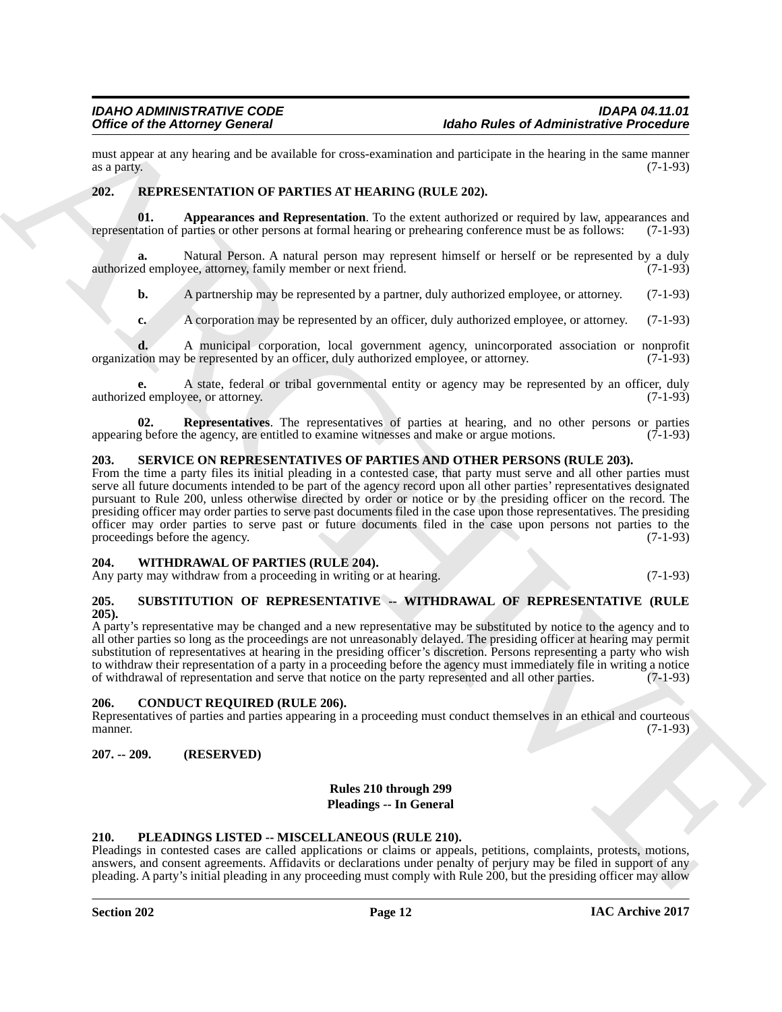must appear at any hearing and be available for cross-examination and participate in the hearing in the same manner as a party. (7-1-93) as a party.  $(7-1-93)$ 

#### <span id="page-11-9"></span><span id="page-11-8"></span><span id="page-11-0"></span>**202. REPRESENTATION OF PARTIES AT HEARING (RULE 202).**

**01. Appearances and Representation**. To the extent authorized or required by law, appearances and tation of parties or other persons at formal hearing or prehearing conference must be as follows: (7-1-93) representation of parties or other persons at formal hearing or prehearing conference must be as follows:

Natural Person. A natural person may represent himself or herself or be represented by a duly authorized employee, attorney, family member or next friend. (7-1-93)

**b.** A partnership may be represented by a partner, duly authorized employee, or attorney. (7-1-93)

**c.** A corporation may be represented by an officer, duly authorized employee, or attorney. (7-1-93)

**d.** A municipal corporation, local government agency, unincorporated association or nonprofit tion may be represented by an officer, duly authorized employee, or attorney. (7-1-93) organization may be represented by an officer, duly authorized employee, or attorney.

A state, federal or tribal governmental entity or agency may be represented by an officer, duly vee, or attorney. authorized employee, or attorney.

<span id="page-11-10"></span>**02. Representatives**. The representatives of parties at hearing, and no other persons or parties g before the agency, are entitled to examine witnesses and make or argue motions. (7-1-93) appearing before the agency, are entitled to examine witnesses and make or argue motions.

#### <span id="page-11-11"></span><span id="page-11-1"></span>**203. SERVICE ON REPRESENTATIVES OF PARTIES AND OTHER PERSONS (RULE 203).**

Office of the Attorney General Venezular is the spectroscopy of the spectral interaction in the spectral interaction of the spectral interaction of the spectral interaction of the spectral interaction of the spectral inte From the time a party files its initial pleading in a contested case, that party must serve and all other parties must serve all future documents intended to be part of the agency record upon all other parties' representatives designated pursuant to Rule 200, unless otherwise directed by order or notice or by the presiding officer on the record. The presiding officer may order parties to serve past documents filed in the case upon those representatives. The presiding officer may order parties to serve past or future documents filed in the case upon persons not parties to the proceedings before the agency. (7-1-93) proceedings before the agency.

#### <span id="page-11-13"></span><span id="page-11-2"></span>**204. WITHDRAWAL OF PARTIES (RULE 204).**

Any party may withdraw from a proceeding in writing or at hearing. (7-1-93)

#### <span id="page-11-12"></span><span id="page-11-3"></span>**205. SUBSTITUTION OF REPRESENTATIVE -- WITHDRAWAL OF REPRESENTATIVE (RULE 205).**

A party's representative may be changed and a new representative may be substituted by notice to the agency and to all other parties so long as the proceedings are not unreasonably delayed. The presiding officer at hearing may permit substitution of representatives at hearing in the presiding officer's discretion. Persons representing a party who wish to withdraw their representation of a party in a proceeding before the agency must immediately file in writing a notice of withdrawal of representation and serve that notice on the party represented and all other parties. (7-1-93)

#### <span id="page-11-4"></span>**206. CONDUCT REQUIRED (RULE 206).**

Representatives of parties and parties appearing in a proceeding must conduct themselves in an ethical and courteous manner. (7-1-93) manner. (7-1-93)

#### <span id="page-11-5"></span>**207. -- 209. (RESERVED)**

#### **Rules 210 through 299 Pleadings -- In General**

# <span id="page-11-7"></span><span id="page-11-6"></span>**210. PLEADINGS LISTED -- MISCELLANEOUS (RULE 210).**

Pleadings in contested cases are called applications or claims or appeals, petitions, complaints, protests, motions, answers, and consent agreements. Affidavits or declarations under penalty of perjury may be filed in support of any pleading. A party's initial pleading in any proceeding must comply with Rule 200, but the presiding officer may allow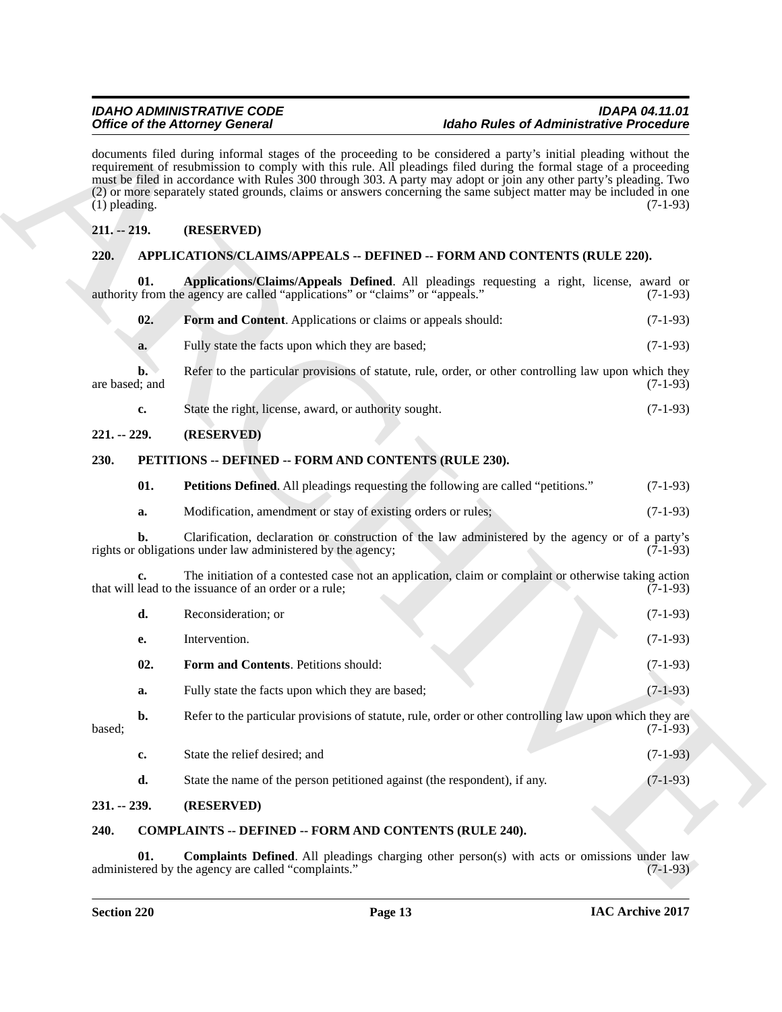# <span id="page-12-0"></span>**211. -- 219. (RESERVED)**

# <span id="page-12-10"></span><span id="page-12-7"></span><span id="page-12-6"></span><span id="page-12-3"></span><span id="page-12-2"></span><span id="page-12-1"></span>**220. APPLICATIONS/CLAIMS/APPEALS -- DEFINED -- FORM AND CONTENTS (RULE 220).**

|                                                                                 | <b>Office of the Attorney General</b>                                                                                                                                                                                                                                                                                                                                                                                                                                            | <b>Idaho Rules of Administrative Procedure</b> |  |  |  |
|---------------------------------------------------------------------------------|----------------------------------------------------------------------------------------------------------------------------------------------------------------------------------------------------------------------------------------------------------------------------------------------------------------------------------------------------------------------------------------------------------------------------------------------------------------------------------|------------------------------------------------|--|--|--|
| $(1)$ pleading.                                                                 | documents filed during informal stages of the proceeding to be considered a party's initial pleading without the<br>requirement of resubmission to comply with this rule. All pleadings filed during the formal stage of a proceeding<br>must be filed in accordance with Rules 300 through 303. A party may adopt or join any other party's pleading. Two<br>(2) or more separately stated grounds, claims or answers concerning the same subject matter may be included in one | $(7-1-93)$                                     |  |  |  |
| $211. - 219.$                                                                   | (RESERVED)                                                                                                                                                                                                                                                                                                                                                                                                                                                                       |                                                |  |  |  |
| 220.<br>APPLICATIONS/CLAIMS/APPEALS -- DEFINED -- FORM AND CONTENTS (RULE 220). |                                                                                                                                                                                                                                                                                                                                                                                                                                                                                  |                                                |  |  |  |
| 01.                                                                             | Applications/Claims/Appeals Defined. All pleadings requesting a right, license, award or<br>authority from the agency are called "applications" or "claims" or "appeals."                                                                                                                                                                                                                                                                                                        | $(7-1-93)$                                     |  |  |  |
| 02.                                                                             | Form and Content. Applications or claims or appeals should:                                                                                                                                                                                                                                                                                                                                                                                                                      | $(7-1-93)$                                     |  |  |  |
| a.                                                                              | Fully state the facts upon which they are based;                                                                                                                                                                                                                                                                                                                                                                                                                                 | $(7-1-93)$                                     |  |  |  |
| b.<br>are based; and                                                            | Refer to the particular provisions of statute, rule, order, or other controlling law upon which they                                                                                                                                                                                                                                                                                                                                                                             | $(7-1-93)$                                     |  |  |  |
| c.                                                                              | State the right, license, award, or authority sought.                                                                                                                                                                                                                                                                                                                                                                                                                            | $(7-1-93)$                                     |  |  |  |
| $221. - 229.$                                                                   | (RESERVED)                                                                                                                                                                                                                                                                                                                                                                                                                                                                       |                                                |  |  |  |
| 230.                                                                            | PETITIONS -- DEFINED -- FORM AND CONTENTS (RULE 230).                                                                                                                                                                                                                                                                                                                                                                                                                            |                                                |  |  |  |
| 01.                                                                             | <b>Petitions Defined.</b> All pleadings requesting the following are called "petitions."                                                                                                                                                                                                                                                                                                                                                                                         | $(7-1-93)$                                     |  |  |  |
| a.                                                                              | Modification, amendment or stay of existing orders or rules;                                                                                                                                                                                                                                                                                                                                                                                                                     | $(7-1-93)$                                     |  |  |  |
| b.                                                                              | Clarification, declaration or construction of the law administered by the agency or of a party's<br>rights or obligations under law administered by the agency;                                                                                                                                                                                                                                                                                                                  | $(7-1-93)$                                     |  |  |  |
| c.                                                                              | The initiation of a contested case not an application, claim or complaint or otherwise taking action<br>that will lead to the issuance of an order or a rule;                                                                                                                                                                                                                                                                                                                    | $(7-1-93)$                                     |  |  |  |
| d.                                                                              | Reconsideration; or                                                                                                                                                                                                                                                                                                                                                                                                                                                              | $(7-1-93)$                                     |  |  |  |
| е.                                                                              | Intervention.                                                                                                                                                                                                                                                                                                                                                                                                                                                                    | $(7-1-93)$                                     |  |  |  |
| 02.                                                                             | Form and Contents. Petitions should:                                                                                                                                                                                                                                                                                                                                                                                                                                             | $(7-1-93)$                                     |  |  |  |
| a.                                                                              | Fully state the facts upon which they are based;                                                                                                                                                                                                                                                                                                                                                                                                                                 | $(7-1-93)$                                     |  |  |  |
| $\mathbf{b}$ .<br>based;                                                        | Refer to the particular provisions of statute, rule, order or other controlling law upon which they are                                                                                                                                                                                                                                                                                                                                                                          | $(7-1-93)$                                     |  |  |  |
| $\mathbf{c}$                                                                    | State the relief desired; and                                                                                                                                                                                                                                                                                                                                                                                                                                                    | $(7-1-93)$                                     |  |  |  |
| d.                                                                              | State the name of the person petitioned against (the respondent), if any.                                                                                                                                                                                                                                                                                                                                                                                                        | $(7-1-93)$                                     |  |  |  |
| $231 - 239$ .                                                                   | (RESERVED)                                                                                                                                                                                                                                                                                                                                                                                                                                                                       |                                                |  |  |  |
| 240.                                                                            | <b>COMPLAINTS -- DEFINED -- FORM AND CONTENTS (RULE 240).</b>                                                                                                                                                                                                                                                                                                                                                                                                                    |                                                |  |  |  |
| 01.                                                                             | <b>Complaints Defined.</b> All pleadings charging other person(s) with acts or omissions under law                                                                                                                                                                                                                                                                                                                                                                               |                                                |  |  |  |

### <span id="page-12-9"></span><span id="page-12-8"></span><span id="page-12-5"></span><span id="page-12-4"></span>**240. COMPLAINTS -- DEFINED -- FORM AND CONTENTS (RULE 240).**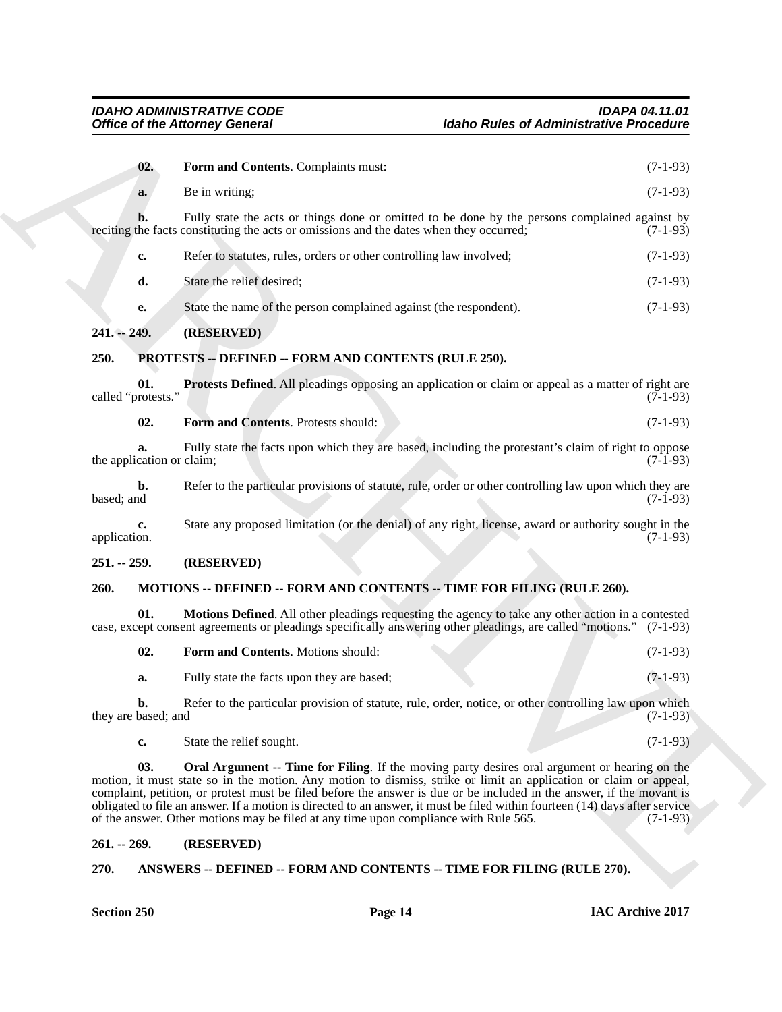<span id="page-13-6"></span><span id="page-13-0"></span>

| <b>Office of the Attorney General</b> |                                                                                                                                                                                                                                                                                                                                                                                                                                                                   | <b>Idaho Rules of Administrative Procedure</b>                                                             |            |  |
|---------------------------------------|-------------------------------------------------------------------------------------------------------------------------------------------------------------------------------------------------------------------------------------------------------------------------------------------------------------------------------------------------------------------------------------------------------------------------------------------------------------------|------------------------------------------------------------------------------------------------------------|------------|--|
| 02.                                   | Form and Contents. Complaints must:                                                                                                                                                                                                                                                                                                                                                                                                                               |                                                                                                            | $(7-1-93)$ |  |
| a.                                    | Be in writing;                                                                                                                                                                                                                                                                                                                                                                                                                                                    |                                                                                                            | $(7-1-93)$ |  |
| b.                                    | reciting the facts constituting the acts or omissions and the dates when they occurred;                                                                                                                                                                                                                                                                                                                                                                           | Fully state the acts or things done or omitted to be done by the persons complained against by             | $(7-1-93)$ |  |
| c.                                    | Refer to statutes, rules, orders or other controlling law involved;                                                                                                                                                                                                                                                                                                                                                                                               |                                                                                                            | $(7-1-93)$ |  |
| d.                                    | State the relief desired;                                                                                                                                                                                                                                                                                                                                                                                                                                         |                                                                                                            | $(7-1-93)$ |  |
| e.                                    | State the name of the person complained against (the respondent).                                                                                                                                                                                                                                                                                                                                                                                                 |                                                                                                            | $(7-1-93)$ |  |
| 241. -- 249.                          | (RESERVED)                                                                                                                                                                                                                                                                                                                                                                                                                                                        |                                                                                                            |            |  |
| 250.                                  | PROTESTS -- DEFINED -- FORM AND CONTENTS (RULE 250).                                                                                                                                                                                                                                                                                                                                                                                                              |                                                                                                            |            |  |
| 01.<br>called "protests."             |                                                                                                                                                                                                                                                                                                                                                                                                                                                                   | <b>Protests Defined.</b> All pleadings opposing an application or claim or appeal as a matter of right are | $(7-1-93)$ |  |
| 02.                                   | Form and Contents. Protests should:                                                                                                                                                                                                                                                                                                                                                                                                                               |                                                                                                            | $(7-1-93)$ |  |
| a.<br>the application or claim;       |                                                                                                                                                                                                                                                                                                                                                                                                                                                                   | Fully state the facts upon which they are based, including the protestant's claim of right to oppose       | $(7-1-93)$ |  |
| b.<br>based; and                      |                                                                                                                                                                                                                                                                                                                                                                                                                                                                   | Refer to the particular provisions of statute, rule, order or other controlling law upon which they are    | $(7-1-93)$ |  |
| c.<br>application.                    |                                                                                                                                                                                                                                                                                                                                                                                                                                                                   | State any proposed limitation (or the denial) of any right, license, award or authority sought in the      | $(7-1-93)$ |  |
| $251. - 259.$                         | (RESERVED)                                                                                                                                                                                                                                                                                                                                                                                                                                                        |                                                                                                            |            |  |
| 260.                                  | MOTIONS -- DEFINED -- FORM AND CONTENTS -- TIME FOR FILING (RULE 260).                                                                                                                                                                                                                                                                                                                                                                                            |                                                                                                            |            |  |
| 01.                                   | case, except consent agreements or pleadings specifically answering other pleadings, are called "motions." (7-1-93)                                                                                                                                                                                                                                                                                                                                               | Motions Defined. All other pleadings requesting the agency to take any other action in a contested         |            |  |
| 02.                                   | Form and Contents. Motions should:                                                                                                                                                                                                                                                                                                                                                                                                                                |                                                                                                            | $(7-1-93)$ |  |
| a.                                    | Fully state the facts upon they are based;                                                                                                                                                                                                                                                                                                                                                                                                                        |                                                                                                            | $(7-1-93)$ |  |
| b.<br>they are based; and             |                                                                                                                                                                                                                                                                                                                                                                                                                                                                   | Refer to the particular provision of statute, rule, order, notice, or other controlling law upon which     | $(7-1-93)$ |  |
| c.                                    | State the relief sought.                                                                                                                                                                                                                                                                                                                                                                                                                                          |                                                                                                            | $(7-1-93)$ |  |
| 03.                                   | motion, it must state so in the motion. Any motion to dismiss, strike or limit an application or claim or appeal,<br>complaint, petition, or protest must be filed before the answer is due or be included in the answer, if the movant is<br>obligated to file an answer. If a motion is directed to an answer, it must be filed within fourteen (14) days after service<br>of the answer. Other motions may be filed at any time upon compliance with Rule 565. | <b>Oral Argument -- Time for Filing</b> . If the moving party desires oral argument or hearing on the      | $(7-1-93)$ |  |
| $261. - 269.$                         | (RESERVED)                                                                                                                                                                                                                                                                                                                                                                                                                                                        |                                                                                                            |            |  |
| 270.                                  | ANSWERS -- DEFINED -- FORM AND CONTENTS -- TIME FOR FILING (RULE 270).                                                                                                                                                                                                                                                                                                                                                                                            |                                                                                                            |            |  |

### <span id="page-13-8"></span><span id="page-13-7"></span><span id="page-13-2"></span><span id="page-13-1"></span>**251. -- 259. (RESERVED)**

### <span id="page-13-3"></span>**260. MOTIONS -- DEFINED -- FORM AND CONTENTS -- TIME FOR FILING (RULE 260).**

<span id="page-13-11"></span><span id="page-13-10"></span><span id="page-13-9"></span>

| 02. | <b>Form and Contents.</b> Motions should:  | $(7-1-93)$ |
|-----|--------------------------------------------|------------|
| а.  | Fully state the facts upon they are based; | $(7-1-93)$ |

### <span id="page-13-4"></span>**261. -- 269. (RESERVED)**

### <span id="page-13-5"></span>**270. ANSWERS -- DEFINED -- FORM AND CONTENTS -- TIME FOR FILING (RULE 270).**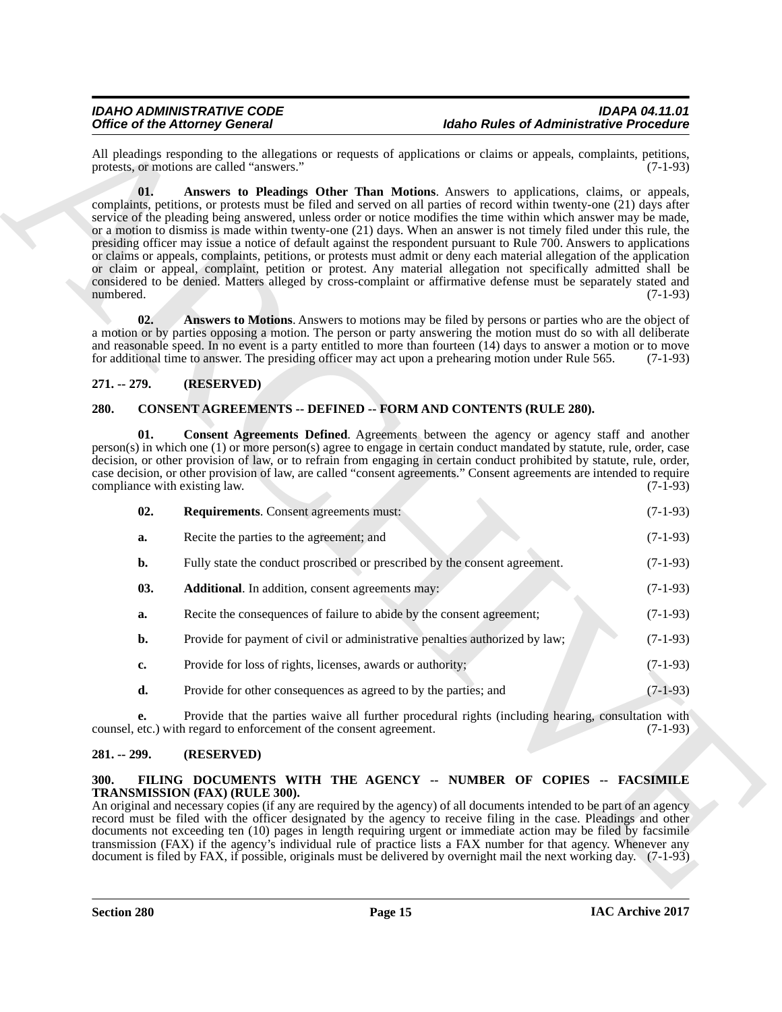### <span id="page-14-8"></span><span id="page-14-0"></span>**271. -- 279. (RESERVED)**

#### <span id="page-14-7"></span><span id="page-14-6"></span><span id="page-14-5"></span><span id="page-14-1"></span>**280. CONSENT AGREEMENTS -- DEFINED -- FORM AND CONTENTS (RULE 280).**

<span id="page-14-9"></span>

|                                      | <b>Office of the Attorney General</b>                                       | <b>Idaho Rules of Administrative Procedure</b>                                                                                                                                                                                                                                                                                                                                                                                                                                                                                                                                                                                                                                                                                                                                                                                                                                                                                                       |                                                                                                                 |
|--------------------------------------|-----------------------------------------------------------------------------|------------------------------------------------------------------------------------------------------------------------------------------------------------------------------------------------------------------------------------------------------------------------------------------------------------------------------------------------------------------------------------------------------------------------------------------------------------------------------------------------------------------------------------------------------------------------------------------------------------------------------------------------------------------------------------------------------------------------------------------------------------------------------------------------------------------------------------------------------------------------------------------------------------------------------------------------------|-----------------------------------------------------------------------------------------------------------------|
|                                      | protests, or motions are called "answers."                                  | All pleadings responding to the allegations or requests of applications or claims or appeals, complaints, petitions,                                                                                                                                                                                                                                                                                                                                                                                                                                                                                                                                                                                                                                                                                                                                                                                                                                 | $(7-1-93)$                                                                                                      |
| 01.<br>numbered.                     |                                                                             | Answers to Pleadings Other Than Motions. Answers to applications, claims, or appeals,<br>complaints, petitions, or protests must be filed and served on all parties of record within twenty-one (21) days after<br>service of the pleading being answered, unless order or notice modifies the time within which answer may be made,<br>or a motion to dismiss is made within twenty-one (21) days. When an answer is not timely filed under this rule, the<br>presiding officer may issue a notice of default against the respondent pursuant to Rule 700. Answers to applications<br>or claims or appeals, complaints, petitions, or protests must admit or deny each material allegation of the application<br>or claim or appeal, complaint, petition or protest. Any material allegation not specifically admitted shall be<br>considered to be denied. Matters alleged by cross-complaint or affirmative defense must be separately stated and | $(7-1-93)$                                                                                                      |
| 02.                                  |                                                                             | Answers to Motions. Answers to motions may be filed by persons or parties who are the object of<br>a motion or by parties opposing a motion. The person or party answering the motion must do so with all deliberate<br>and reasonable speed. In no event is a party entitled to more than fourteen (14) days to answer a motion or to move<br>for additional time to answer. The presiding officer may act upon a prehearing motion under Rule 565.                                                                                                                                                                                                                                                                                                                                                                                                                                                                                                 | $(7-1-93)$                                                                                                      |
| $271. - 279.$                        | (RESERVED)                                                                  |                                                                                                                                                                                                                                                                                                                                                                                                                                                                                                                                                                                                                                                                                                                                                                                                                                                                                                                                                      |                                                                                                                 |
| 280.                                 |                                                                             | <b>CONSENT AGREEMENTS -- DEFINED -- FORM AND CONTENTS (RULE 280).</b>                                                                                                                                                                                                                                                                                                                                                                                                                                                                                                                                                                                                                                                                                                                                                                                                                                                                                |                                                                                                                 |
| 01.<br>compliance with existing law. |                                                                             | <b>Consent Agreements Defined.</b> Agreements between the agency or agency staff and another<br>person(s) in which one (1) or more person(s) agree to engage in certain conduct mandated by statute, rule, order, case<br>decision, or other provision of law, or to refrain from engaging in certain conduct prohibited by statute, rule, order,<br>case decision, or other provision of law, are called "consent agreements." Consent agreements are intended to require                                                                                                                                                                                                                                                                                                                                                                                                                                                                           | $(7-1-93)$                                                                                                      |
| 02.                                  | Requirements. Consent agreements must:                                      |                                                                                                                                                                                                                                                                                                                                                                                                                                                                                                                                                                                                                                                                                                                                                                                                                                                                                                                                                      | $(7-1-93)$                                                                                                      |
| a.                                   | Recite the parties to the agreement; and                                    |                                                                                                                                                                                                                                                                                                                                                                                                                                                                                                                                                                                                                                                                                                                                                                                                                                                                                                                                                      | $(7-1-93)$                                                                                                      |
| b.                                   | Fully state the conduct proscribed or prescribed by the consent agreement.  |                                                                                                                                                                                                                                                                                                                                                                                                                                                                                                                                                                                                                                                                                                                                                                                                                                                                                                                                                      | $(7-1-93)$                                                                                                      |
| 03.                                  | <b>Additional.</b> In addition, consent agreements may:                     |                                                                                                                                                                                                                                                                                                                                                                                                                                                                                                                                                                                                                                                                                                                                                                                                                                                                                                                                                      | $(7-1-93)$                                                                                                      |
| a.                                   | Recite the consequences of failure to abide by the consent agreement;       |                                                                                                                                                                                                                                                                                                                                                                                                                                                                                                                                                                                                                                                                                                                                                                                                                                                                                                                                                      | $(7-1-93)$                                                                                                      |
| b.                                   | Provide for payment of civil or administrative penalties authorized by law; |                                                                                                                                                                                                                                                                                                                                                                                                                                                                                                                                                                                                                                                                                                                                                                                                                                                                                                                                                      | $(7-1-93)$                                                                                                      |
| c.                                   | Provide for loss of rights, licenses, awards or authority;                  |                                                                                                                                                                                                                                                                                                                                                                                                                                                                                                                                                                                                                                                                                                                                                                                                                                                                                                                                                      | $(7-1-93)$                                                                                                      |
| d.                                   | Provide for other consequences as agreed to by the parties; and             |                                                                                                                                                                                                                                                                                                                                                                                                                                                                                                                                                                                                                                                                                                                                                                                                                                                                                                                                                      | $(7-1-93)$                                                                                                      |
| e.                                   | counsel, etc.) with regard to enforcement of the consent agreement.         | Provide that the parties waive all further procedural rights (including hearing, consultation with                                                                                                                                                                                                                                                                                                                                                                                                                                                                                                                                                                                                                                                                                                                                                                                                                                                   | $(7-1-93)$                                                                                                      |
| $281. - 299.$<br>(RESERVED)          |                                                                             |                                                                                                                                                                                                                                                                                                                                                                                                                                                                                                                                                                                                                                                                                                                                                                                                                                                                                                                                                      |                                                                                                                 |
| 300.                                 | TRANSMISSION (FAX) (RULE 300).                                              | FILING DOCUMENTS WITH THE AGENCY -- NUMBER OF COPIES -- FACSIMILE<br>An original and necessary copies (if any are required by the agency) of all documents intended to be part of an agency<br>record must be filed with the officer designated by the agency to receive filing in the case. Pleadings and other                                                                                                                                                                                                                                                                                                                                                                                                                                                                                                                                                                                                                                     | documents not exceeding ten (10) pages in length requiring urgent or immediate action may be filed by facsimile |

#### <span id="page-14-2"></span>**281. -- 299. (RESERVED)**

#### <span id="page-14-4"></span><span id="page-14-3"></span>**300. FILING DOCUMENTS WITH THE AGENCY -- NUMBER OF COPIES -- FACSIMILE TRANSMISSION (FAX) (RULE 300).**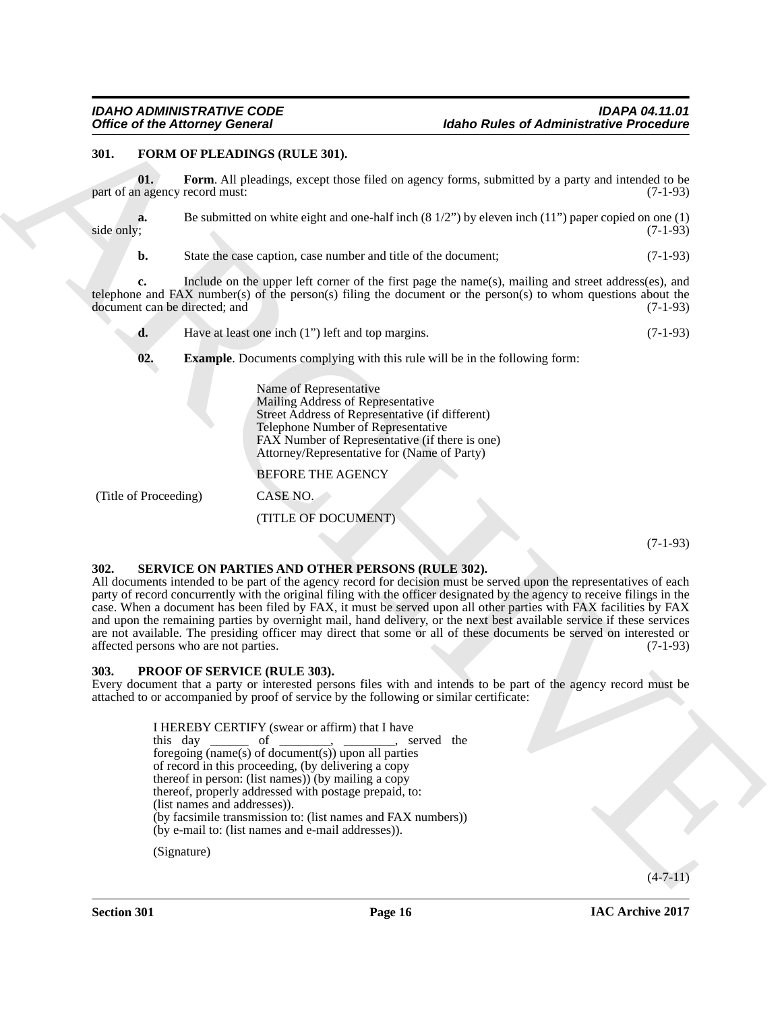### <span id="page-15-0"></span>**301. FORM OF PLEADINGS (RULE 301).**

<span id="page-15-4"></span>**01. Form**. All pleadings, except those filed on agency forms, submitted by a party and intended to be part of an agency record must:  $(7-1-93)$ 

**a.** Be submitted on white eight and one-half inch (8 1/2") by eleven inch (11") paper copied on one (1) side only; (7-1-93) side only; (7-1-93)

**b.** State the case caption, case number and title of the document; (7-1-93)

**c.** Include on the upper left corner of the first page the name(s), mailing and street address(es), and telephone and FAX number(s) of the person(s) filing the document or the person(s) to whom questions about the document can be directed; and  $(7-1-93)$ document can be directed; and

**d.** Have at least one inch (1") left and top margins. (7-1-93)

<span id="page-15-3"></span>**02. Example**. Documents complying with this rule will be in the following form:

Name of Representative Mailing Address of Representative Street Address of Representative (if different) Telephone Number of Representative FAX Number of Representative (if there is one) Attorney/Representative for (Name of Party)

BEFORE THE AGENCY

(Title of Proceeding) CASE NO.

(TITLE OF DOCUMENT)

(7-1-93)

#### <span id="page-15-6"></span><span id="page-15-1"></span>**302. SERVICE ON PARTIES AND OTHER PERSONS (RULE 302).**

Office of the Atlontace Concerns 10.<br>
19. **EVALUATION** CONTINUES IN the state of Administrative Procedure<br>
39. **IDENTIFY CONTINUES IN the state of the state of the state of the state of the state of the state of the state** All documents intended to be part of the agency record for decision must be served upon the representatives of each party of record concurrently with the original filing with the officer designated by the agency to receive filings in the case. When a document has been filed by FAX, it must be served upon all other parties with FAX facilities by FAX and upon the remaining parties by overnight mail, hand delivery, or the next best available service if these services are not available. The presiding officer may direct that some or all of these documents be served on interested or affected persons who are not parties. (7-1-93)

#### <span id="page-15-5"></span><span id="page-15-2"></span>**303. PROOF OF SERVICE (RULE 303).**

Every document that a party or interested persons files with and intends to be part of the agency record must be attached to or accompanied by proof of service by the following or similar certificate:

I HEREBY CERTIFY (swear or affirm) that I have this day  $\frac{1}{\sqrt{1-\frac{1}{\sqrt{1-\frac{1}{\sqrt{1-\frac{1}{\sqrt{1-\frac{1}{\sqrt{1-\frac{1}{\sqrt{1-\frac{1}{\sqrt{1-\frac{1}{\sqrt{1-\frac{1}{\sqrt{1-\frac{1}{\sqrt{1-\frac{1}{\sqrt{1-\frac{1}{\sqrt{1-\frac{1}{\sqrt{1-\frac{1}{\sqrt{1-\frac{1}{\sqrt{1-\frac{1}{\sqrt{1-\frac{1}{\sqrt{1-\frac{1}{\sqrt{1-\frac{1}{\sqrt{1-\frac{1}{\sqrt{1-\frac{1}{\sqrt{1-\frac{1}{\sqrt{1-\frac{1}{\sqrt{1-\frac{1$ foregoing  $(\overline{\text{name(s)}})$  of document(s)) upon all parties of record in this proceeding, (by delivering a copy thereof in person: (list names)) (by mailing a copy thereof, properly addressed with postage prepaid, to: (list names and addresses)). (by facsimile transmission to: (list names and FAX numbers)) (by e-mail to: (list names and e-mail addresses)).

(Signature)

 $(4 - 7 - 11)$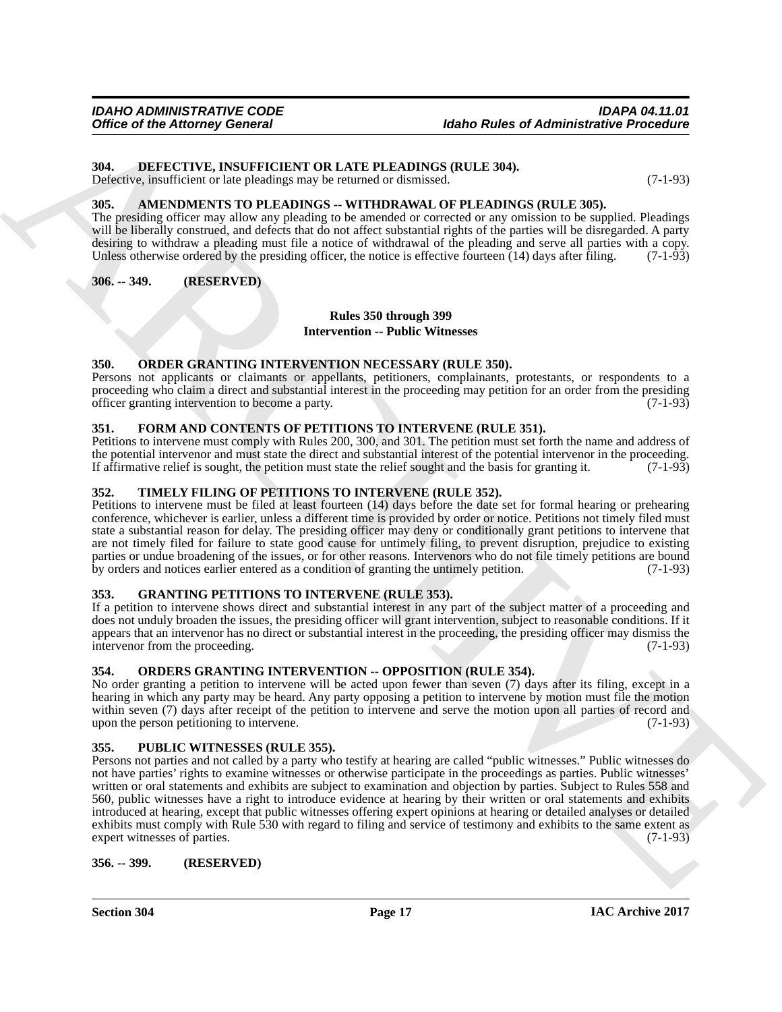# <span id="page-16-11"></span><span id="page-16-0"></span>**304. DEFECTIVE, INSUFFICIENT OR LATE PLEADINGS (RULE 304).**

Defective, insufficient or late pleadings may be returned or dismissed. (7-1-93)

# <span id="page-16-10"></span><span id="page-16-1"></span>**305. AMENDMENTS TO PLEADINGS -- WITHDRAWAL OF PLEADINGS (RULE 305).**

The presiding officer may allow any pleading to be amended or corrected or any omission to be supplied. Pleadings will be liberally construed, and defects that do not affect substantial rights of the parties will be disregarded. A party desiring to withdraw a pleading must file a notice of withdrawal of the pleading and serve all parties with a copy. Unless otherwise ordered by the presiding officer, the notice is effective fourteen  $(14)$  days after filing.  $(7-1-93)$ 

<span id="page-16-2"></span>**306. -- 349. (RESERVED)**

# **Rules 350 through 399**

**Intervention -- Public Witnesses**

#### <span id="page-16-14"></span><span id="page-16-3"></span>**350. ORDER GRANTING INTERVENTION NECESSARY (RULE 350).**

Persons not applicants or claimants or appellants, petitioners, complainants, protestants, or respondents to a proceeding who claim a direct and substantial interest in the proceeding may petition for an order from the presiding officer granting intervention to become a party. officer granting intervention to become a party.

### <span id="page-16-12"></span><span id="page-16-4"></span>**351. FORM AND CONTENTS OF PETITIONS TO INTERVENE (RULE 351).**

Petitions to intervene must comply with Rules 200, 300, and 301. The petition must set forth the name and address of the potential intervenor and must state the direct and substantial interest of the potential intervenor in the proceeding. If affirmative relief is sought, the petition must state the relief sought and the basis for granting it. (7-1-93)

#### <span id="page-16-17"></span><span id="page-16-5"></span>**352. TIMELY FILING OF PETITIONS TO INTERVENE (RULE 352).**

Petitions to intervene must be filed at least fourteen (14) days before the date set for formal hearing or prehearing conference, whichever is earlier, unless a different time is provided by order or notice. Petitions not timely filed must state a substantial reason for delay. The presiding officer may deny or conditionally grant petitions to intervene that are not timely filed for failure to state good cause for untimely filing, to prevent disruption, prejudice to existing parties or undue broadening of the issues, or for other reasons. Intervenors who do not file timely petitions are bound by orders and notices earlier entered as a condition of granting the untimely petition. (7-1-93)

### <span id="page-16-13"></span><span id="page-16-6"></span>**353. GRANTING PETITIONS TO INTERVENE (RULE 353).**

If a petition to intervene shows direct and substantial interest in any part of the subject matter of a proceeding and does not unduly broaden the issues, the presiding officer will grant intervention, subject to reasonable conditions. If it appears that an intervenor has no direct or substantial interest in the proceeding, the presiding officer may dismiss the intervenor from the proceeding. (7-1-93)

#### <span id="page-16-15"></span><span id="page-16-7"></span>**354. ORDERS GRANTING INTERVENTION -- OPPOSITION (RULE 354).**

No order granting a petition to intervene will be acted upon fewer than seven (7) days after its filing, except in a hearing in which any party may be heard. Any party opposing a petition to intervene by motion must file the motion within seven (7) days after receipt of the petition to intervene and serve the motion upon all parties of record and upon the person petitioning to intervene. (7-1-93) upon the person petitioning to intervene.

### <span id="page-16-16"></span><span id="page-16-8"></span>**355. PUBLIC WITNESSES (RULE 355).**

Office of the Attorney General<br>
Make Rules of Administrative Procedure<br>
Ma<sub>tematics</sub> Decrease of Administrative Control (2002)<br>
Notes and the attention of the photography the venture of the transfer of the CoNSC (RULE 36) Persons not parties and not called by a party who testify at hearing are called "public witnesses." Public witnesses do not have parties' rights to examine witnesses or otherwise participate in the proceedings as parties. Public witnesses' written or oral statements and exhibits are subject to examination and objection by parties. Subject to Rules 558 and 560, public witnesses have a right to introduce evidence at hearing by their written or oral statements and exhibits introduced at hearing, except that public witnesses offering expert opinions at hearing or detailed analyses or detailed exhibits must comply with Rule 530 with regard to filing and service of testimony and exhibits to the same extent as expert witnesses of parties. (7-1-93) expert witnesses of parties.

<span id="page-16-9"></span>**356. -- 399. (RESERVED)**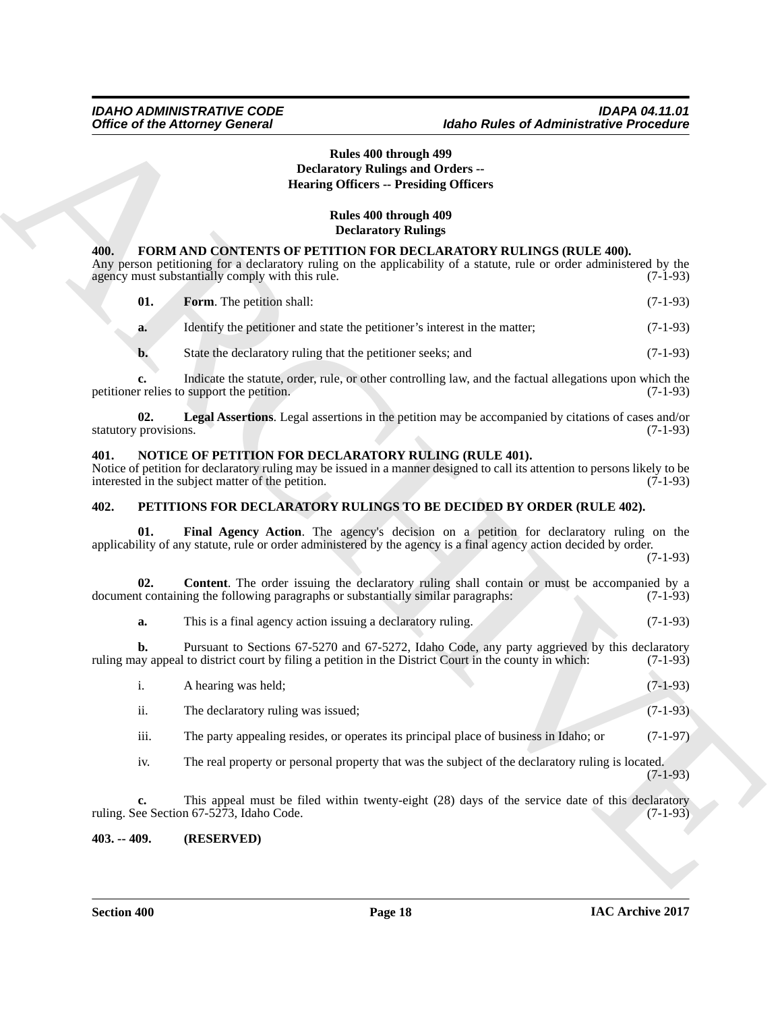### **Rules 400 through 499 Declaratory Rulings and Orders -- Hearing Officers -- Presiding Officers**

# **Rules 400 through 409 Declaratory Rulings**

#### <span id="page-17-5"></span><span id="page-17-4"></span><span id="page-17-0"></span>**400. FORM AND CONTENTS OF PETITION FOR DECLARATORY RULINGS (RULE 400).**

| Rules 400 through 499<br><b>Declaratory Rulings and Orders --</b><br><b>Hearing Officers -- Presiding Officers</b> |                                                                                                            |                                                                                                                                                                                                             |            |
|--------------------------------------------------------------------------------------------------------------------|------------------------------------------------------------------------------------------------------------|-------------------------------------------------------------------------------------------------------------------------------------------------------------------------------------------------------------|------------|
|                                                                                                                    |                                                                                                            |                                                                                                                                                                                                             |            |
|                                                                                                                    |                                                                                                            | Rules 400 through 409                                                                                                                                                                                       |            |
|                                                                                                                    |                                                                                                            | <b>Declaratory Rulings</b>                                                                                                                                                                                  |            |
| 400.                                                                                                               | agency must substantially comply with this rule.                                                           | <b>FORM AND CONTENTS OF PETITION FOR DECLARATORY RULINGS (RULE 400).</b><br>Any person petitioning for a declaratory ruling on the applicability of a statute, rule or order administered by the            | $(7-1-93)$ |
| 01.                                                                                                                | Form. The petition shall:                                                                                  |                                                                                                                                                                                                             | $(7-1-93)$ |
| a.                                                                                                                 | Identify the petitioner and state the petitioner's interest in the matter;                                 |                                                                                                                                                                                                             | $(7-1-93)$ |
| $\mathbf{b}$ .                                                                                                     | State the declaratory ruling that the petitioner seeks; and                                                |                                                                                                                                                                                                             | $(7-1-93)$ |
| c.                                                                                                                 | petitioner relies to support the petition.                                                                 | Indicate the statute, order, rule, or other controlling law, and the factual allegations upon which the                                                                                                     | $(7-1-93)$ |
| 02.<br>statutory provisions.                                                                                       |                                                                                                            | Legal Assertions. Legal assertions in the petition may be accompanied by citations of cases and/or                                                                                                          | $(7-1-93)$ |
| 401.                                                                                                               | NOTICE OF PETITION FOR DECLARATORY RULING (RULE 401).<br>interested in the subject matter of the petition. | Notice of petition for declaratory ruling may be issued in a manner designed to call its attention to persons likely to be                                                                                  | $(7-1-93)$ |
| 402.<br>PETITIONS FOR DECLARATORY RULINGS TO BE DECIDED BY ORDER (RULE 402).                                       |                                                                                                            |                                                                                                                                                                                                             |            |
| 01.                                                                                                                |                                                                                                            | Final Agency Action. The agency's decision on a petition for declaratory ruling on the<br>applicability of any statute, rule or order administered by the agency is a final agency action decided by order. | $(7-1-93)$ |
| 02.                                                                                                                | document containing the following paragraphs or substantially similar paragraphs:                          | <b>Content</b> . The order issuing the declaratory ruling shall contain or must be accompanied by a                                                                                                         | $(7-1-93)$ |
| a.                                                                                                                 | This is a final agency action issuing a declaratory ruling.                                                |                                                                                                                                                                                                             | $(7-1-93)$ |
| b.                                                                                                                 |                                                                                                            | Pursuant to Sections 67-5270 and 67-5272, Idaho Code, any party aggrieved by this declaratory<br>ruling may appeal to district court by filing a petition in the District Court in the county in which:     | $(7-1-93)$ |
| 1.                                                                                                                 | A hearing was held:                                                                                        |                                                                                                                                                                                                             | $(7-1-93)$ |
| ii.                                                                                                                | The declaratory ruling was issued;                                                                         |                                                                                                                                                                                                             | $(7-1-93)$ |
| iii.                                                                                                               |                                                                                                            | The party appealing resides, or operates its principal place of business in Idaho; or                                                                                                                       | $(7-1-97)$ |
| iv.                                                                                                                |                                                                                                            | The real property or personal property that was the subject of the declaratory ruling is located.                                                                                                           | $(7-1-93)$ |
| c.                                                                                                                 | ruling. See Section 67-5273, Idaho Code.                                                                   | This appeal must be filed within twenty-eight (28) days of the service date of this declaratory                                                                                                             | $(7-1-93)$ |
| $403. - 409.$                                                                                                      | (RESERVED)                                                                                                 |                                                                                                                                                                                                             |            |

### <span id="page-17-7"></span><span id="page-17-6"></span><span id="page-17-1"></span>**401. NOTICE OF PETITION FOR DECLARATORY RULING (RULE 401).**

#### <span id="page-17-9"></span><span id="page-17-8"></span><span id="page-17-2"></span>**402. PETITIONS FOR DECLARATORY RULINGS TO BE DECIDED BY ORDER (RULE 402).**

|      | A hearing was held;                                                                   | $(7-1-93)$ |
|------|---------------------------------------------------------------------------------------|------------|
| ii.  | The declaratory ruling was issued;                                                    | $(7-1-93)$ |
| iii. | The party appealing resides, or operates its principal place of business in Idaho; or | $(7-1-97)$ |

#### <span id="page-17-3"></span>**403. -- 409. (RESERVED)**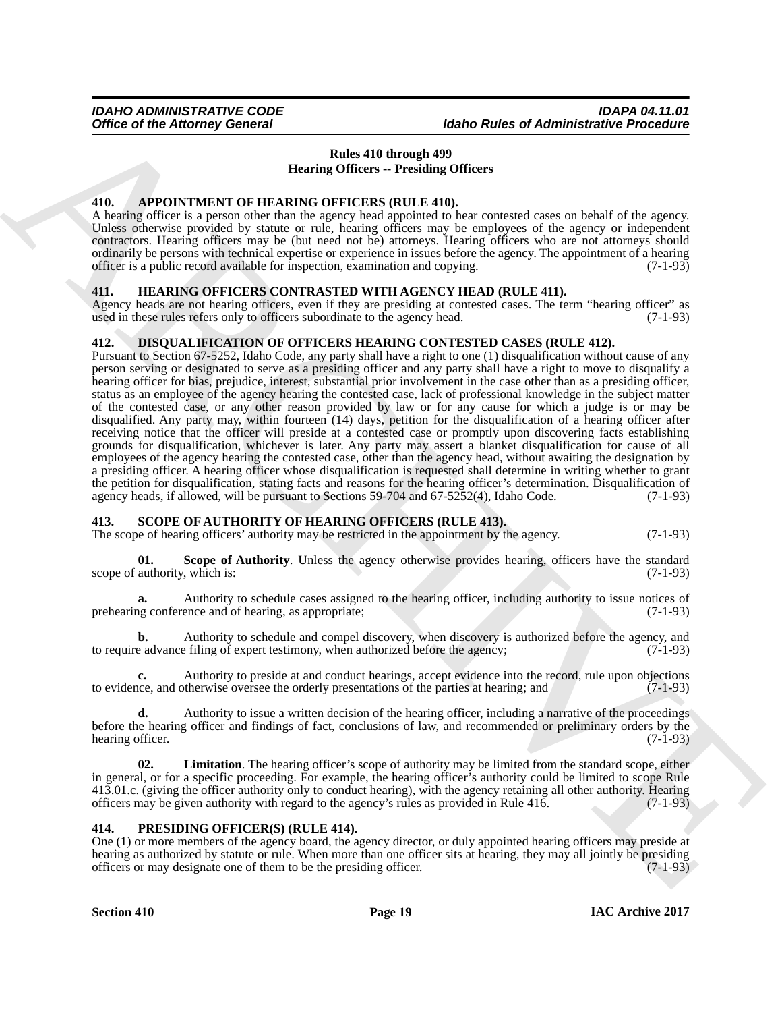# <span id="page-18-8"></span>**Rules 410 through 499 Hearing Officers -- Presiding Officers**

#### <span id="page-18-5"></span><span id="page-18-0"></span>**410. APPOINTMENT OF HEARING OFFICERS (RULE 410).**

A hearing officer is a person other than the agency head appointed to hear contested cases on behalf of the agency. Unless otherwise provided by statute or rule, hearing officers may be employees of the agency or independent contractors. Hearing officers may be (but need not be) attorneys. Hearing officers who are not attorneys should ordinarily be persons with technical expertise or experience in issues before the agency. The appointment of a hearing officer is a public record available for inspection, examination and copying. (7-1-93)

#### <span id="page-18-7"></span><span id="page-18-1"></span>**411. HEARING OFFICERS CONTRASTED WITH AGENCY HEAD (RULE 411).**

Agency heads are not hearing officers, even if they are presiding at contested cases. The term "hearing officer" as used in these rules refers only to officers subordinate to the agency head. (7-1-93) used in these rules refers only to officers subordinate to the agency head.

#### <span id="page-18-6"></span><span id="page-18-2"></span>**412. DISQUALIFICATION OF OFFICERS HEARING CONTESTED CASES (RULE 412).**

Office of the Attorney General<br>
Heat 410 through 489 collects of Administrative Precisions<br>
The second of the Attachive Collects of the second of the second of the second of the second<br>
The second of the second of the sec Pursuant to Section 67-5252, Idaho Code, any party shall have a right to one (1) disqualification without cause of any person serving or designated to serve as a presiding officer and any party shall have a right to move to disqualify a hearing officer for bias, prejudice, interest, substantial prior involvement in the case other than as a presiding officer, status as an employee of the agency hearing the contested case, lack of professional knowledge in the subject matter of the contested case, or any other reason provided by law or for any cause for which a judge is or may be disqualified. Any party may, within fourteen (14) days, petition for the disqualification of a hearing officer after receiving notice that the officer will preside at a contested case or promptly upon discovering facts establishing grounds for disqualification, whichever is later. Any party may assert a blanket disqualification for cause of all employees of the agency hearing the contested case, other than the agency head, without awaiting the designation by a presiding officer. A hearing officer whose disqualification is requested shall determine in writing whether to grant the petition for disqualification, stating facts and reasons for the hearing officer's determination. Disqualification of agency heads, if allowed, will be pursuant to Sections 59-704 and 67-5252(4), Idaho Code. (7-1-93)

### <span id="page-18-3"></span>**413. SCOPE OF AUTHORITY OF HEARING OFFICERS (RULE 413).**

The scope of hearing officers' authority may be restricted in the appointment by the agency. (7-1-93)

<span id="page-18-11"></span>**01.** Scope of Authority. Unless the agency otherwise provides hearing, officers have the standard authority, which is: (7-1-93) scope of authority, which is:

**a.** Authority to schedule cases assigned to the hearing officer, including authority to issue notices of the conference and of hearing, as appropriate: (7-1-93) prehearing conference and of hearing, as appropriate;

**b.** Authority to schedule and compel discovery, when discovery is authorized before the agency, and to require advance filing of expert testimony, when authorized before the agency; (7-1-93)

**c.** Authority to preside at and conduct hearings, accept evidence into the record, rule upon objections are, and otherwise oversee the orderly presentations of the parties at hearing; and  $(7-1-93)$ to evidence, and otherwise oversee the orderly presentations of the parties at hearing; and

**d.** Authority to issue a written decision of the hearing officer, including a narrative of the proceedings before the hearing officer and findings of fact, conclusions of law, and recommended or preliminary orders by the hearing officer. (7-1-93) hearing officer.

<span id="page-18-10"></span>**02. Limitation**. The hearing officer's scope of authority may be limited from the standard scope, either in general, or for a specific proceeding. For example, the hearing officer's authority could be limited to scope Rule 413.01.c. (giving the officer authority only to conduct hearing), with the agency retaining all other authority. Hearing officers may be given authority with regard to the agency's rules as provided in Rule 416. (7-1-93)

### <span id="page-18-9"></span><span id="page-18-4"></span>**414. PRESIDING OFFICER(S) (RULE 414).**

One (1) or more members of the agency board, the agency director, or duly appointed hearing officers may preside at hearing as authorized by statute or rule. When more than one officer sits at hearing, they may all jointly be presiding officers or may designate one of them to be the presiding officer. (7-1-93)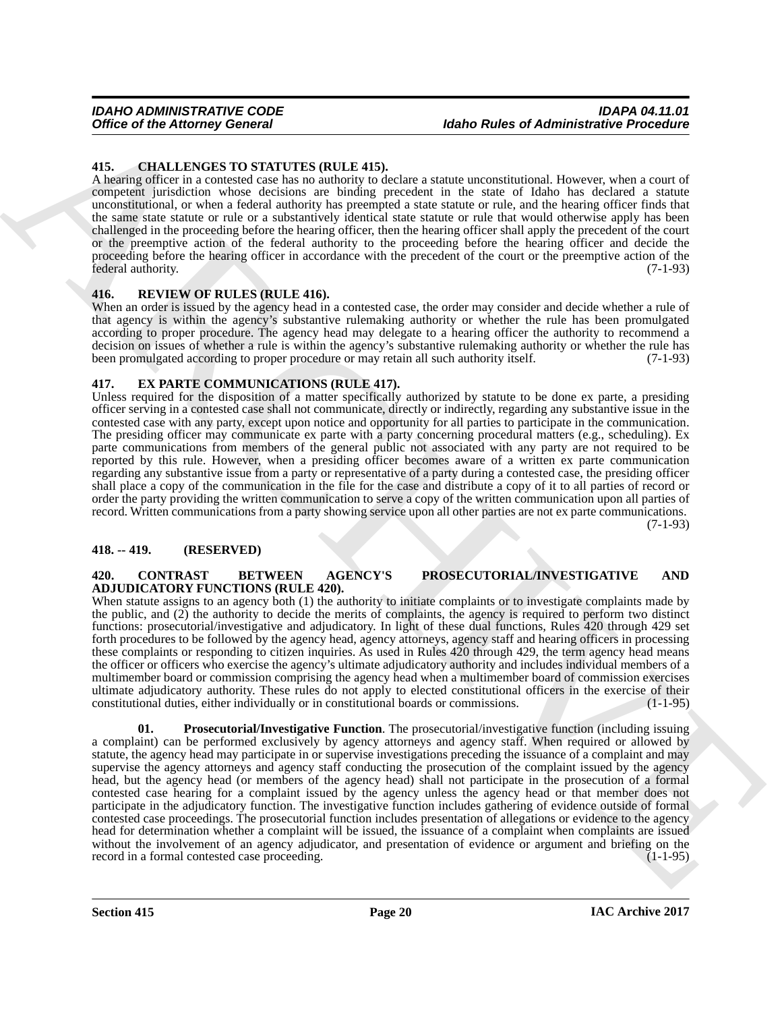#### <span id="page-19-5"></span><span id="page-19-0"></span>**415. CHALLENGES TO STATUTES (RULE 415).**

A hearing officer in a contested case has no authority to declare a statute unconstitutional. However, when a court of competent jurisdiction whose decisions are binding precedent in the state of Idaho has declared a statute unconstitutional, or when a federal authority has preempted a state statute or rule, and the hearing officer finds that the same state statute or rule or a substantively identical state statute or rule that would otherwise apply has been challenged in the proceeding before the hearing officer, then the hearing officer shall apply the precedent of the court or the preemptive action of the federal authority to the proceeding before the hearing officer and decide the proceeding before the hearing officer in accordance with the precedent of the court or the preemptive action of the federal authority. (7-1-93)

#### <span id="page-19-8"></span><span id="page-19-1"></span>**416. REVIEW OF RULES (RULE 416).**

When an order is issued by the agency head in a contested case, the order may consider and decide whether a rule of that agency is within the agency's substantive rulemaking authority or whether the rule has been promulgated according to proper procedure. The agency head may delegate to a hearing officer the authority to recommend a decision on issues of whether a rule is within the agency's substantive rulemaking authority or whether the rule has been promulgated according to proper procedure or may retain all such authority itself. (7-1-93) been promulgated according to proper procedure or may retain all such authority itself.

#### <span id="page-19-7"></span><span id="page-19-2"></span>**417. EX PARTE COMMUNICATIONS (RULE 417).**

Unless required for the disposition of a matter specifically authorized by statute to be done ex parte, a presiding officer serving in a contested case shall not communicate, directly or indirectly, regarding any substantive issue in the contested case with any party, except upon notice and opportunity for all parties to participate in the communication. The presiding officer may communicate ex parte with a party concerning procedural matters (e.g., scheduling). Ex parte communications from members of the general public not associated with any party are not required to be reported by this rule. However, when a presiding officer becomes aware of a written ex parte communication regarding any substantive issue from a party or representative of a party during a contested case, the presiding officer shall place a copy of the communication in the file for the case and distribute a copy of it to all parties of record or order the party providing the written communication to serve a copy of the written communication upon all parties of record. Written communications from a party showing service upon all other parties are not ex parte communications.

(7-1-93)

#### <span id="page-19-3"></span>**418. -- 419. (RESERVED)**

#### <span id="page-19-4"></span>**420. CONTRAST BETWEEN AGENCY'S PROSECUTORIAL/INVESTIGATIVE AND ADJUDICATORY FUNCTIONS (RULE 420).**

<span id="page-19-6"></span>When statute assigns to an agency both (1) the authority to initiate complaints or to investigate complaints made by the public, and (2) the authority to decide the merits of complaints, the agency is required to perform two distinct functions: prosecutorial/investigative and adjudicatory. In light of these dual functions, Rules 420 through 429 set forth procedures to be followed by the agency head, agency attorneys, agency staff and hearing officers in processing these complaints or responding to citizen inquiries. As used in Rules 420 through 429, the term agency head means the officer or officers who exercise the agency's ultimate adjudicatory authority and includes individual members of a multimember board or commission comprising the agency head when a multimember board of commission exercises ultimate adjudicatory authority. These rules do not apply to elected constitutional officers in the exercise of their constitutional duties, either individually or in constitutional boards or commissions.

Office of the Attorney General<br>
45. CHALLENGAND The Mathematical State of Administrative Precision Control of the Attached State of Administrative Precision Control of the Attached State of Administrative Precision Contro **01. Prosecutorial/Investigative Function**. The prosecutorial/investigative function (including issuing a complaint) can be performed exclusively by agency attorneys and agency staff. When required or allowed by statute, the agency head may participate in or supervise investigations preceding the issuance of a complaint and may supervise the agency attorneys and agency staff conducting the prosecution of the complaint issued by the agency head, but the agency head (or members of the agency head) shall not participate in the prosecution of a formal contested case hearing for a complaint issued by the agency unless the agency head or that member does not participate in the adjudicatory function. The investigative function includes gathering of evidence outside of formal contested case proceedings. The prosecutorial function includes presentation of allegations or evidence to the agency head for determination whether a complaint will be issued, the issuance of a complaint when complaints are issued without the involvement of an agency adjudicator, and presentation of evidence or argument and briefing on the record in a formal contested case proceeding.  $(1-1-95)$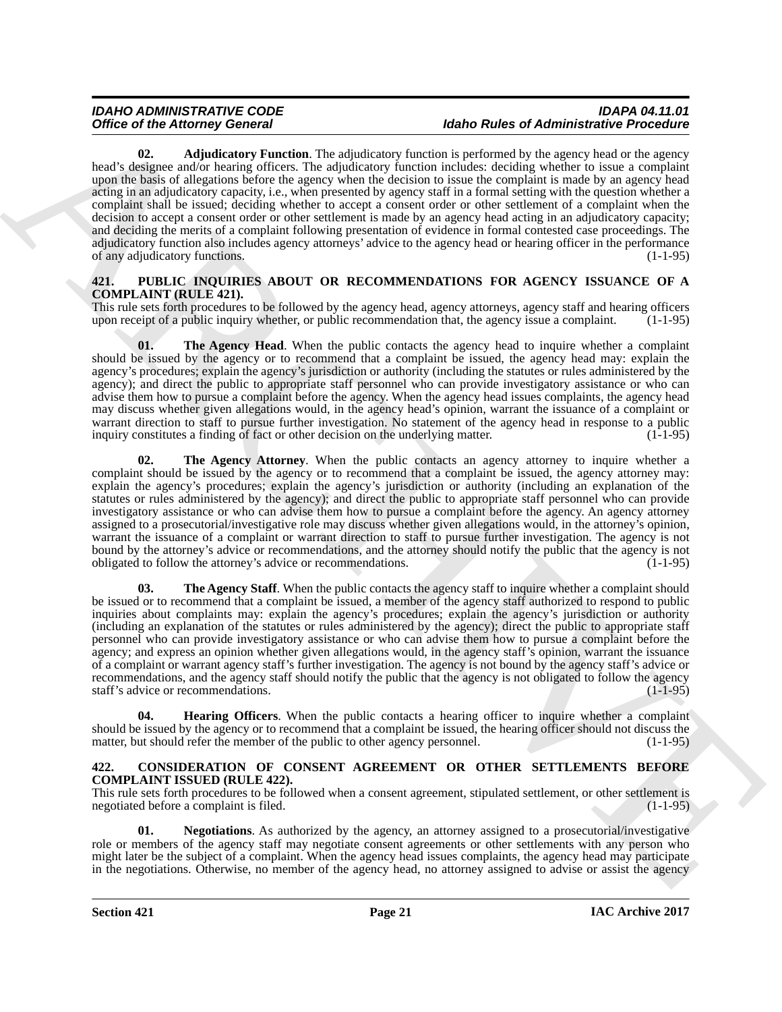Office of Herman General constitue the state of the state of Administration Franchises Properties The state of the state of the state of the state of the state of the state of the state of the state of the state of the st **02.** Adjudicatory Function. The adjudicatory function is performed by the agency head or the agency head's designee and/or hearing officers. The adjudicatory function includes: deciding whether to issue a complaint upon the basis of allegations before the agency when the decision to issue the complaint is made by an agency head acting in an adjudicatory capacity, i.e., when presented by agency staff in a formal setting with the question whether a complaint shall be issued; deciding whether to accept a consent order or other settlement of a complaint when the decision to accept a consent order or other settlement is made by an agency head acting in an adjudicatory capacity; and deciding the merits of a complaint following presentation of evidence in formal contested case proceedings. The adjudicatory function also includes agency attorneys' advice to the agency head or hearing officer in the performance of any adjudicatory functions. (1-1-95)

### <span id="page-20-3"></span><span id="page-20-0"></span>**421. PUBLIC INQUIRIES ABOUT OR RECOMMENDATIONS FOR AGENCY ISSUANCE OF A COMPLAINT (RULE 421).**

This rule sets forth procedures to be followed by the agency head, agency attorneys, agency staff and hearing officers upon receipt of a public inquiry whether, or public recommendation that, the agency issue a complaint. (1-1-95)

<span id="page-20-6"></span>**01.** The Agency Head. When the public contacts the agency head to inquire whether a complaint should be issued by the agency or to recommend that a complaint be issued, the agency head may: explain the agency's procedures; explain the agency's jurisdiction or authority (including the statutes or rules administered by the agency); and direct the public to appropriate staff personnel who can provide investigatory assistance or who can advise them how to pursue a complaint before the agency. When the agency head issues complaints, the agency head may discuss whether given allegations would, in the agency head's opinion, warrant the issuance of a complaint or warrant direction to staff to pursue further investigation. No statement of the agency head in response to a public inquiry constitutes a finding of fact or other decision on the underlying matter. (1-1-95) inquiry constitutes a finding of fact or other decision on the underlying matter.

<span id="page-20-5"></span>**02.** The Agency Attorney. When the public contacts an agency attorney to inquire whether a complaint should be issued by the agency or to recommend that a complaint be issued, the agency attorney may: explain the agency's procedures; explain the agency's jurisdiction or authority (including an explanation of the statutes or rules administered by the agency); and direct the public to appropriate staff personnel who can provide investigatory assistance or who can advise them how to pursue a complaint before the agency. An agency attorney assigned to a prosecutorial/investigative role may discuss whether given allegations would, in the attorney's opinion, warrant the issuance of a complaint or warrant direction to staff to pursue further investigation. The agency is not bound by the attorney's advice or recommendations, and the attorney should notify the public that the agency is not obligated to follow the attorney's advice or recommendations. (1-1-95)

<span id="page-20-7"></span>**03.** The Agency Staff. When the public contacts the agency staff to inquire whether a complaint should be issued or to recommend that a complaint be issued, a member of the agency staff authorized to respond to public inquiries about complaints may: explain the agency's procedures; explain the agency's jurisdiction or authority (including an explanation of the statutes or rules administered by the agency); direct the public to appropriate staff personnel who can provide investigatory assistance or who can advise them how to pursue a complaint before the agency; and express an opinion whether given allegations would, in the agency staff's opinion, warrant the issuance of a complaint or warrant agency staff's further investigation. The agency is not bound by the agency staff's advice or recommendations, and the agency staff should notify the public that the agency is not obligated to follow the agency staff's advice or recommendations. (1-1-95)

<span id="page-20-4"></span>**04. Hearing Officers**. When the public contacts a hearing officer to inquire whether a complaint should be issued by the agency or to recommend that a complaint be issued, the hearing officer should not discuss the matter, but should refer the member of the public to other agency personnel. (1-1-95) matter, but should refer the member of the public to other agency personnel.

#### <span id="page-20-1"></span>**422. CONSIDERATION OF CONSENT AGREEMENT OR OTHER SETTLEMENTS BEFORE COMPLAINT ISSUED (RULE 422).**

This rule sets forth procedures to be followed when a consent agreement, stipulated settlement, or other settlement is negotiated before a complaint is filed. (1-1-95)

<span id="page-20-2"></span>**01. Negotiations**. As authorized by the agency, an attorney assigned to a prosecutorial/investigative role or members of the agency staff may negotiate consent agreements or other settlements with any person who might later be the subject of a complaint. When the agency head issues complaints, the agency head may participate in the negotiations. Otherwise, no member of the agency head, no attorney assigned to advise or assist the agency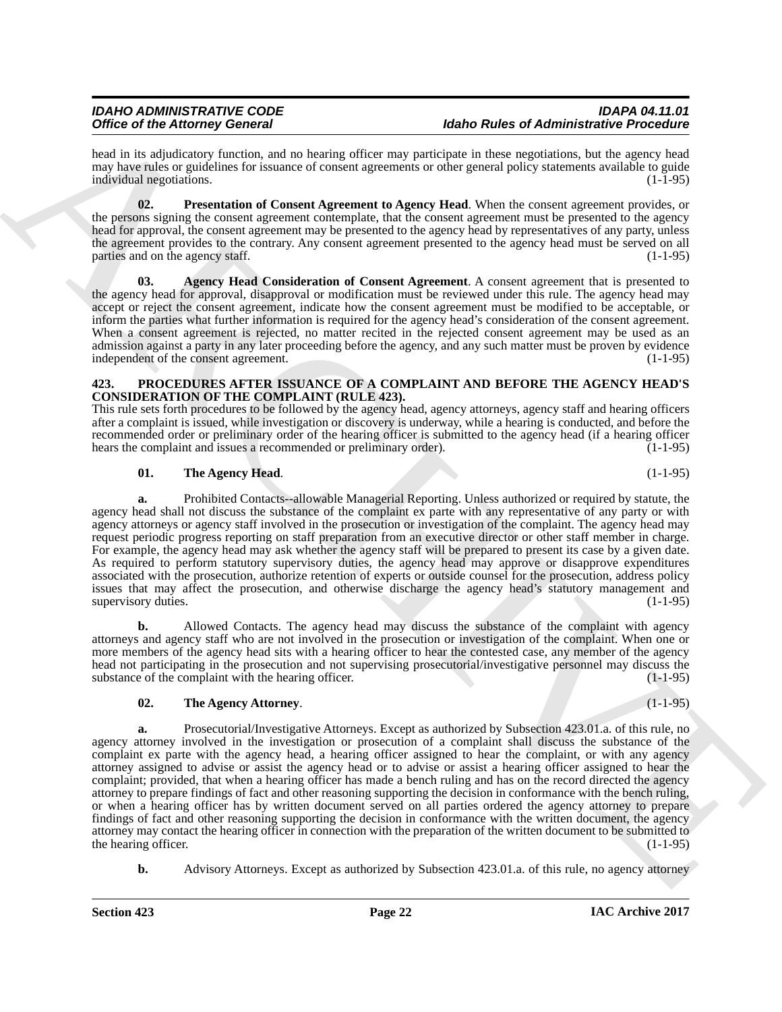head in its adjudicatory function, and no hearing officer may participate in these negotiations, but the agency head may have rules or guidelines for issuance of consent agreements or other general policy statements available to guide<br>individual negotiations. (1-1-95) individual negotiations.

<span id="page-21-2"></span>**02. Presentation of Consent Agreement to Agency Head**. When the consent agreement provides, or the persons signing the consent agreement contemplate, that the consent agreement must be presented to the agency head for approval, the consent agreement may be presented to the agency head by representatives of any party, unless the agreement provides to the contrary. Any consent agreement presented to the agency head must be served on all parties and on the agency staff.  $(1-1-95)$ 

<span id="page-21-1"></span>**03. Agency Head Consideration of Consent Agreement**. A consent agreement that is presented to the agency head for approval, disapproval or modification must be reviewed under this rule. The agency head may accept or reject the consent agreement, indicate how the consent agreement must be modified to be acceptable, or inform the parties what further information is required for the agency head's consideration of the consent agreement. When a consent agreement is rejected, no matter recited in the rejected consent agreement may be used as an admission against a party in any later proceeding before the agency, and any such matter must be proven by evidence independent of the consent agreement. independent of the consent agreement.

#### <span id="page-21-0"></span>**423. PROCEDURES AFTER ISSUANCE OF A COMPLAINT AND BEFORE THE AGENCY HEAD'S CONSIDERATION OF THE COMPLAINT (RULE 423).**

This rule sets forth procedures to be followed by the agency head, agency attorneys, agency staff and hearing officers after a complaint is issued, while investigation or discovery is underway, while a hearing is conducted, and before the recommended order or preliminary order of the hearing officer is submitted to the agency head (if a hearing officer hears the complaint and issues a recommended or preliminary order). (1-1-95) hears the complaint and issues a recommended or preliminary order).

# <span id="page-21-4"></span>**01. The Agency Head**. (1-1-95)

**a.** Prohibited Contacts--allowable Managerial Reporting. Unless authorized or required by statute, the agency head shall not discuss the substance of the complaint ex parte with any representative of any party or with agency attorneys or agency staff involved in the prosecution or investigation of the complaint. The agency head may request periodic progress reporting on staff preparation from an executive director or other staff member in charge. For example, the agency head may ask whether the agency staff will be prepared to present its case by a given date. As required to perform statutory supervisory duties, the agency head may approve or disapprove expenditures associated with the prosecution, authorize retention of experts or outside counsel for the prosecution, address policy issues that may affect the prosecution, and otherwise discharge the agency head's statutory management and supervisory duties. (1-1-95)

**b.** Allowed Contacts. The agency head may discuss the substance of the complaint with agency attorneys and agency staff who are not involved in the prosecution or investigation of the complaint. When one or more members of the agency head sits with a hearing officer to hear the contested case, any member of the agency head not participating in the prosecution and not supervising prosecutorial/investigative personnel may discuss the substance of the complaint with the hearing officer. (1-1-95) substance of the complaint with the hearing officer.

# <span id="page-21-3"></span>**02. The Agency Attorney**. (1-1-95)

Office of the Adeleony General and and anti-scaling technique probability the state of Adelmandstering in the Association of the Association of the Association of the Association of the Association of the Association of t **a.** Prosecutorial/Investigative Attorneys. Except as authorized by Subsection 423.01.a. of this rule, no agency attorney involved in the investigation or prosecution of a complaint shall discuss the substance of the complaint ex parte with the agency head, a hearing officer assigned to hear the complaint, or with any agency attorney assigned to advise or assist the agency head or to advise or assist a hearing officer assigned to hear the complaint; provided, that when a hearing officer has made a bench ruling and has on the record directed the agency attorney to prepare findings of fact and other reasoning supporting the decision in conformance with the bench ruling, or when a hearing officer has by written document served on all parties ordered the agency attorney to prepare findings of fact and other reasoning supporting the decision in conformance with the written document, the agency attorney may contact the hearing officer in connection with the preparation of the written document to be submitted to the hearing officer.

**b.** Advisory Attorneys. Except as authorized by Subsection 423.01.a. of this rule, no agency attorney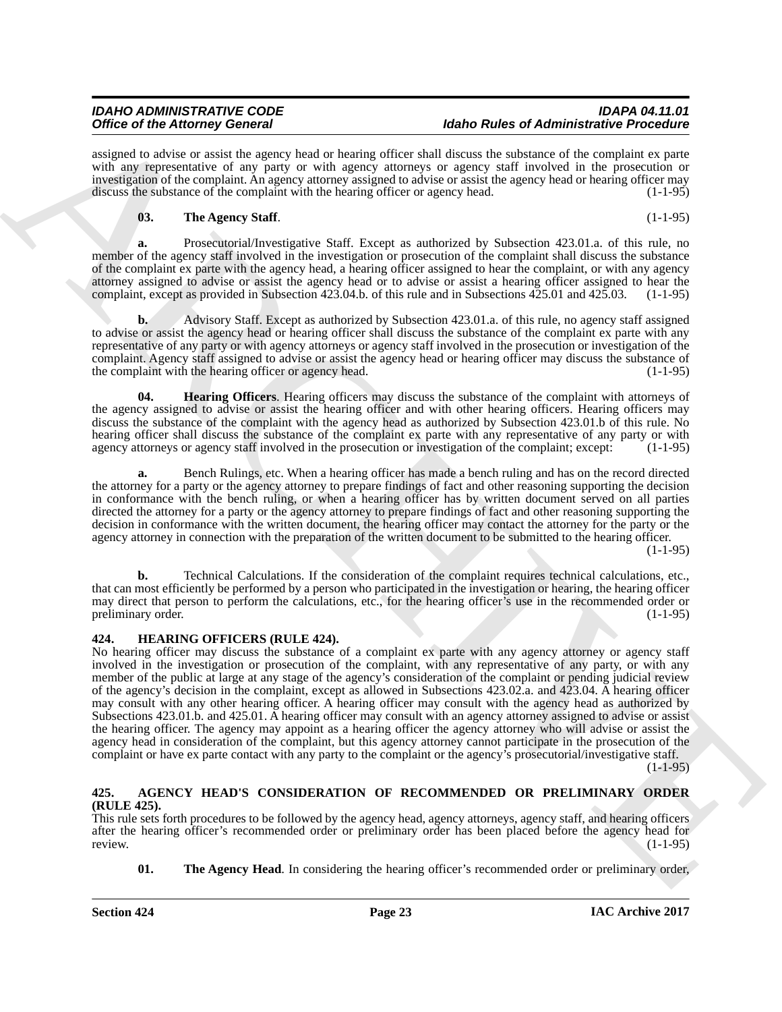# *IDAHO ADMINISTRATIVE CODE IDAPA 04.11.01* **Idaho Rules of Administrative Procedure**

assigned to advise or assist the agency head or hearing officer shall discuss the substance of the complaint ex parte with any representative of any party or with agency attorneys or agency staff involved in the prosecution or investigation of the complaint. An agency attorney assigned to advise or assist the agency head or hearing officer may discuss the substance of the complaint with the hearing officer or agency head. (1-1-95)

# <span id="page-22-5"></span>**03. The Agency Staff**. (1-1-95)

**a.** Prosecutorial/Investigative Staff. Except as authorized by Subsection 423.01.a. of this rule, no member of the agency staff involved in the investigation or prosecution of the complaint shall discuss the substance of the complaint ex parte with the agency head, a hearing officer assigned to hear the complaint, or with any agency attorney assigned to advise or assist the agency head or to advise or assist a hearing officer assigned to hear the complaint, except as provided in Subsection 423.04.b. of this rule and in Subsections 425.01 and 425.03. (1-1-95)

**b.** Advisory Staff. Except as authorized by Subsection 423.01.a. of this rule, no agency staff assigned to advise or assist the agency head or hearing officer shall discuss the substance of the complaint ex parte with any representative of any party or with agency attorneys or agency staff involved in the prosecution or investigation of the complaint. Agency staff assigned to advise or assist the agency head or hearing officer may discuss the substance of the complaint with the hearing officer or agency head. (1-1-95) the complaint with the hearing officer or agency head.

<span id="page-22-4"></span>**04. Hearing Officers**. Hearing officers may discuss the substance of the complaint with attorneys of the agency assigned to advise or assist the hearing officer and with other hearing officers. Hearing officers may discuss the substance of the complaint with the agency head as authorized by Subsection 423.01.b of this rule. No hearing officer shall discuss the substance of the complaint ex parte with any representative of any party or with agency attorneys or agency staff involved in the prosecution or investigation of the complaint; except: (1-1-95)

**a.** Bench Rulings, etc. When a hearing officer has made a bench ruling and has on the record directed the attorney for a party or the agency attorney to prepare findings of fact and other reasoning supporting the decision in conformance with the bench ruling, or when a hearing officer has by written document served on all parties directed the attorney for a party or the agency attorney to prepare findings of fact and other reasoning supporting the decision in conformance with the written document, the hearing officer may contact the attorney for the party or the agency attorney in connection with the preparation of the written document to be submitted to the hearing officer. (1-1-95)

**b.** Technical Calculations. If the consideration of the complaint requires technical calculations, etc., that can most efficiently be performed by a person who participated in the investigation or hearing, the hearing officer may direct that person to perform the calculations, etc., for the hearing officer's use in the recommended order or preliminary order. (1-1-95)

### <span id="page-22-3"></span><span id="page-22-0"></span>**424. HEARING OFFICERS (RULE 424).**

Office of the Adeney General Constraints of the Adele College of Adene Constraints of the College of Adenes Constraints of the College of Adenes Constraints of the College of Adenes Constraints of the College of Adenes Co No hearing officer may discuss the substance of a complaint ex parte with any agency attorney or agency staff involved in the investigation or prosecution of the complaint, with any representative of any party, or with any member of the public at large at any stage of the agency's consideration of the complaint or pending judicial review of the agency's decision in the complaint, except as allowed in Subsections 423.02.a. and 423.04. A hearing officer may consult with any other hearing officer. A hearing officer may consult with the agency head as authorized by Subsections 423.01.b. and 425.01. A hearing officer may consult with an agency attorney assigned to advise or assist the hearing officer. The agency may appoint as a hearing officer the agency attorney who will advise or assist the agency head in consideration of the complaint, but this agency attorney cannot participate in the prosecution of the complaint or have ex parte contact with any party to the complaint or the agency's prosecutorial/investigative staff.

 $(1-1-95)$ 

# <span id="page-22-1"></span>**425. AGENCY HEAD'S CONSIDERATION OF RECOMMENDED OR PRELIMINARY ORDER (RULE 425).**

This rule sets forth procedures to be followed by the agency head, agency attorneys, agency staff, and hearing officers after the hearing officer's recommended order or preliminary order has been placed before the agency head for<br>review. (1-1-95) review. (1-1-95)

<span id="page-22-2"></span>**01.** The Agency Head. In considering the hearing officer's recommended order or preliminary order,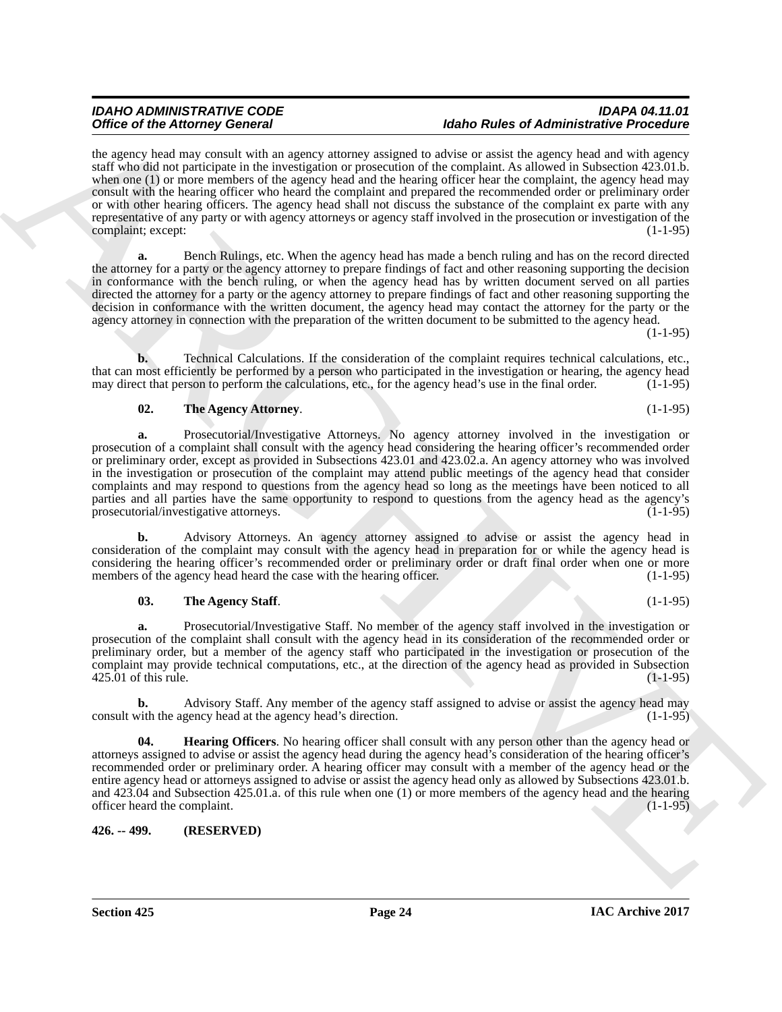# *IDAHO ADMINISTRATIVE CODE IDAPA 04.11.01* **Idaho Rules of Administrative Procedure**

One of the Adense Concern is a magnitude of the state of Adense College of Adense Concern in the State of the State of Adense Concern in the State of the State of the State of the State of the State of the State of the St the agency head may consult with an agency attorney assigned to advise or assist the agency head and with agency staff who did not participate in the investigation or prosecution of the complaint. As allowed in Subsection 423.01.b. when one (1) or more members of the agency head and the hearing officer hear the complaint, the agency head may consult with the hearing officer who heard the complaint and prepared the recommended order or preliminary order or with other hearing officers. The agency head shall not discuss the substance of the complaint ex parte with any representative of any party or with agency attorneys or agency staff involved in the prosecution or investigation of the complaint; except:

**a.** Bench Rulings, etc. When the agency head has made a bench ruling and has on the record directed the attorney for a party or the agency attorney to prepare findings of fact and other reasoning supporting the decision in conformance with the bench ruling, or when the agency head has by written document served on all parties directed the attorney for a party or the agency attorney to prepare findings of fact and other reasoning supporting the decision in conformance with the written document, the agency head may contact the attorney for the party or the agency attorney in connection with the preparation of the written document to be submitted to the agency head.

 $(1-1-95)$ 

**b.** Technical Calculations. If the consideration of the complaint requires technical calculations, etc., that can most efficiently be performed by a person who participated in the investigation or hearing, the agency head may direct that person to perform the calculations, etc., for the agency head's use in the final order. (1-1-95)

# <span id="page-23-2"></span>**02. The Agency Attorney**. (1-1-95)

**a.** Prosecutorial/Investigative Attorneys. No agency attorney involved in the investigation or prosecution of a complaint shall consult with the agency head considering the hearing officer's recommended order or preliminary order, except as provided in Subsections 423.01 and 423.02.a. An agency attorney who was involved in the investigation or prosecution of the complaint may attend public meetings of the agency head that consider complaints and may respond to questions from the agency head so long as the meetings have been noticed to all parties and all parties have the same opportunity to respond to questions from the agency head as the agency's prosecutorial/investigative attorneys. (1-1-95)

**b.** Advisory Attorneys. An agency attorney assigned to advise or assist the agency head in consideration of the complaint may consult with the agency head in preparation for or while the agency head is considering the hearing officer's recommended order or preliminary order or draft final order when one or more members of the agency head heard the case with the hearing officer. (1-1-95)

# <span id="page-23-3"></span>**03. The Agency Staff**. (1-1-95)

**a.** Prosecutorial/Investigative Staff. No member of the agency staff involved in the investigation or prosecution of the complaint shall consult with the agency head in its consideration of the recommended order or preliminary order, but a member of the agency staff who participated in the investigation or prosecution of the complaint may provide technical computations, etc., at the direction of the agency head as provided in Subsection  $425.01$  of this rule. (1-1-95)

**b.** Advisory Staff. Any member of the agency staff assigned to advise or assist the agency head may with the agency head at the agency head's direction. (1-1-95) consult with the agency head at the agency head's direction.

<span id="page-23-1"></span>**04. Hearing Officers**. No hearing officer shall consult with any person other than the agency head or attorneys assigned to advise or assist the agency head during the agency head's consideration of the hearing officer's recommended order or preliminary order. A hearing officer may consult with a member of the agency head or the entire agency head or attorneys assigned to advise or assist the agency head only as allowed by Subsections 423.01.b. and 423.04 and Subsection 425.01.a. of this rule when one (1) or more members of the agency head and the hearing officer heard the complaint. (1-1-95)

<span id="page-23-0"></span>**426. -- 499. (RESERVED)**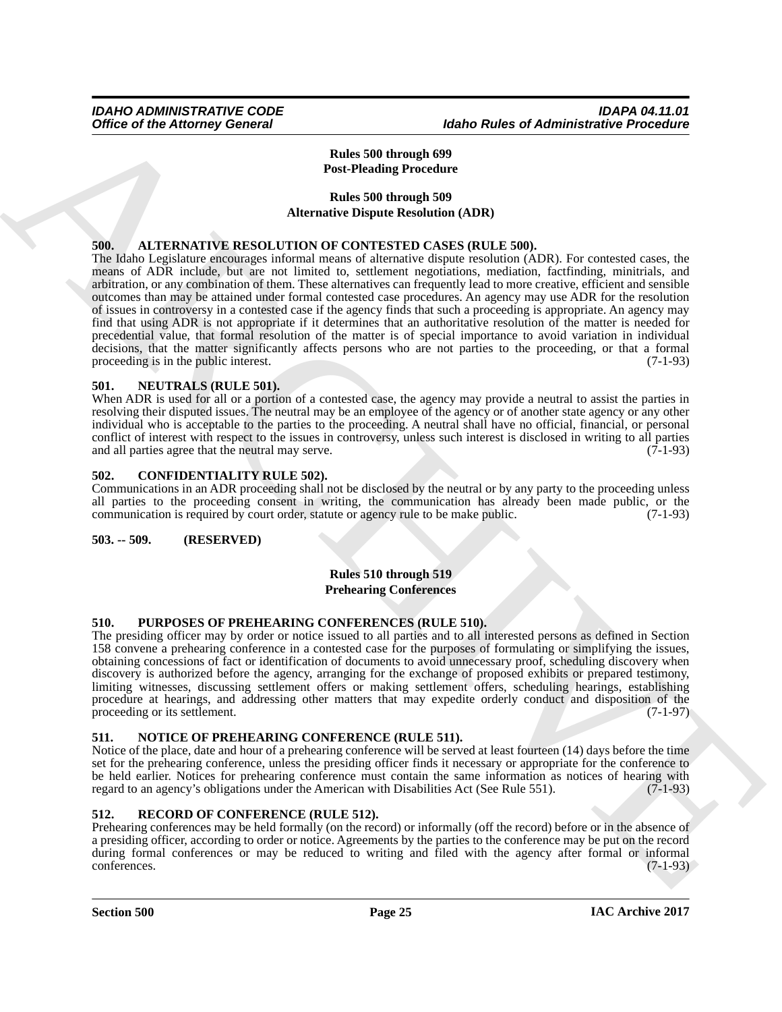# <span id="page-24-12"></span>**Rules 500 through 699 Post-Pleading Procedure**

# <span id="page-24-7"></span>**Rules 500 through 509 Alternative Dispute Resolution (ADR)**

### <span id="page-24-8"></span><span id="page-24-0"></span>**500. ALTERNATIVE RESOLUTION OF CONTESTED CASES (RULE 500).**

Office of the Attorney General<br>
Hates 500 through 600<br>
Tables 800 through 600<br>
Tables 800 through 600<br>
Tables 800 through 600<br>
Tables 800 through 800<br>
Tables 800 through 800<br>
Tables 800 through 800<br>
Tables 800 through 800 The Idaho Legislature encourages informal means of alternative dispute resolution (ADR). For contested cases, the means of ADR include, but are not limited to, settlement negotiations, mediation, factfinding, minitrials, and arbitration, or any combination of them. These alternatives can frequently lead to more creative, efficient and sensible outcomes than may be attained under formal contested case procedures. An agency may use ADR for the resolution of issues in controversy in a contested case if the agency finds that such a proceeding is appropriate. An agency may find that using ADR is not appropriate if it determines that an authoritative resolution of the matter is needed for precedential value, that formal resolution of the matter is of special importance to avoid variation in individual decisions, that the matter significantly affects persons who are not parties to the proceeding, or that a formal proceeding is in the public interest. (7-1-93)

### <span id="page-24-10"></span><span id="page-24-1"></span>**501. NEUTRALS (RULE 501).**

When ADR is used for all or a portion of a contested case, the agency may provide a neutral to assist the parties in resolving their disputed issues. The neutral may be an employee of the agency or of another state agency or any other individual who is acceptable to the parties to the proceeding. A neutral shall have no official, financial, or personal conflict of interest with respect to the issues in controversy, unless such interest is disclosed in writing to all parties and all parties agree that the neutral may serve. and all parties agree that the neutral may serve.

#### <span id="page-24-9"></span><span id="page-24-2"></span>**502. CONFIDENTIALITY RULE 502).**

Communications in an ADR proceeding shall not be disclosed by the neutral or by any party to the proceeding unless all parties to the proceeding consent in writing, the communication has already been made public, or the communication is required by court order, statute or agency rule to be make public. (7-1-93) communication is required by court order, statute or agency rule to be make public.

#### <span id="page-24-3"></span>**503. -- 509. (RESERVED)**

#### <span id="page-24-13"></span>**Rules 510 through 519 Prehearing Conferences**

### <span id="page-24-14"></span><span id="page-24-4"></span>**510. PURPOSES OF PREHEARING CONFERENCES (RULE 510).**

The presiding officer may by order or notice issued to all parties and to all interested persons as defined in Section 158 convene a prehearing conference in a contested case for the purposes of formulating or simplifying the issues, obtaining concessions of fact or identification of documents to avoid unnecessary proof, scheduling discovery when discovery is authorized before the agency, arranging for the exchange of proposed exhibits or prepared testimony, limiting witnesses, discussing settlement offers or making settlement offers, scheduling hearings, establishing procedure at hearings, and addressing other matters that may expedite orderly conduct and disposition of the proceeding or its settlement. (7-1-97)

### <span id="page-24-11"></span><span id="page-24-5"></span>**511. NOTICE OF PREHEARING CONFERENCE (RULE 511).**

Notice of the place, date and hour of a prehearing conference will be served at least fourteen (14) days before the time set for the prehearing conference, unless the presiding officer finds it necessary or appropriate for the conference to be held earlier. Notices for prehearing conference must contain the same information as notices of hearing with regard to an agency's obligations under the American with Disabilities Act (See Rule 551). (7-1-93) regard to an agency's obligations under the American with Disabilities Act (See Rule 551).

#### <span id="page-24-15"></span><span id="page-24-6"></span>**512. RECORD OF CONFERENCE (RULE 512).**

Prehearing conferences may be held formally (on the record) or informally (off the record) before or in the absence of a presiding officer, according to order or notice. Agreements by the parties to the conference may be put on the record during formal conferences or may be reduced to writing and filed with the agency after formal or informal conferences. (7-1-93)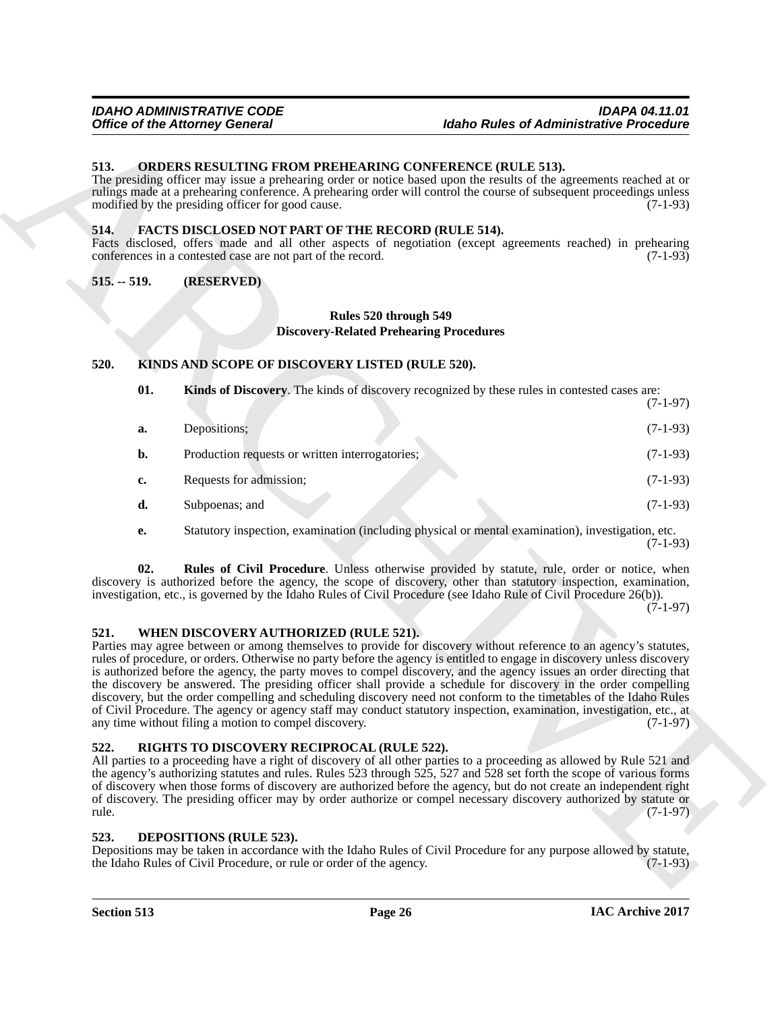### <span id="page-25-12"></span><span id="page-25-0"></span>**513. ORDERS RESULTING FROM PREHEARING CONFERENCE (RULE 513).**

#### <span id="page-25-9"></span><span id="page-25-1"></span>**514. FACTS DISCLOSED NOT PART OF THE RECORD (RULE 514).**

#### <span id="page-25-2"></span>**515. -- 519. (RESERVED)**

# <span id="page-25-8"></span>**Rules 520 through 549 Discovery-Related Prehearing Procedures**

#### <span id="page-25-10"></span><span id="page-25-3"></span>**520. KINDS AND SCOPE OF DISCOVERY LISTED (RULE 520).**

| 513.<br>ORDERS RESULTING FROM PREHEARING CONFERENCE (RULE 513).<br>The presiding officer may issue a prehearing order or notice based upon the results of the agreements reached at or<br>rulings made at a prehearing conference. A prehearing order will control the course of subsequent proceedings unless<br>modified by the presiding officer for good cause.<br>514.<br><b>FACTS DISCLOSED NOT PART OF THE RECORD (RULE 514).</b><br>Facts disclosed, offers made and all other aspects of negotiation (except agreements reached) in prehearing<br>conferences in a contested case are not part of the record.<br>$515. - 519.$<br>(RESERVED)<br>Rules 520 through 549<br><b>Discovery-Related Prehearing Procedures</b><br>520.<br>KINDS AND SCOPE OF DISCOVERY LISTED (RULE 520).<br>01.<br>Kinds of Discovery. The kinds of discovery recognized by these rules in contested cases are:<br>Depositions;<br>a.<br>b.<br>Production requests or written interrogatories;<br>Requests for admission;<br>c.<br>d.<br>Subpoenas; and<br>Statutory inspection, examination (including physical or mental examination), investigation, etc.<br>е.<br>02.<br>Rules of Civil Procedure. Unless otherwise provided by statute, rule, order or notice, when<br>discovery is authorized before the agency, the scope of discovery, other than statutory inspection, examination,<br>investigation, etc., is governed by the Idaho Rules of Civil Procedure (see Idaho Rule of Civil Procedure 26(b)).<br>WHEN DISCOVERY AUTHORIZED (RULE 521).<br>521.<br>Parties may agree between or among themselves to provide for discovery without reference to an agency's statutes,<br>rules of procedure, or orders. Otherwise no party before the agency is entitled to engage in discovery unless discovery<br>is authorized before the agency, the party moves to compel discovery, and the agency issues an order directing that<br>the discovery be answered. The presiding officer shall provide a schedule for discovery in the order compelling<br>discovery, but the order compelling and scheduling discovery need not conform to the timetables of the Idaho Rules<br>of Civil Procedure. The agency or agency staff may conduct statutory inspection, examination, investigation, etc., at<br>any time without filing a motion to compel discovery.<br>RIGHTS TO DISCOVERY RECIPROCAL (RULE 522).<br>522.<br>All parties to a proceeding have a right of discovery of all other parties to a proceeding as allowed by Rule 521 and<br>the agency's authorizing statutes and rules. Rules 523 through 525, 527 and 528 set forth the scope of various forms<br>of discovery when those forms of discovery are authorized before the agency, but do not create an independent right<br>of discovery. The presiding officer may by order authorize or compel necessary discovery authorized by statute or | <b>Office of the Attorney General</b> | <b>Idaho Rules of Administrative Procedure</b> |
|------------------------------------------------------------------------------------------------------------------------------------------------------------------------------------------------------------------------------------------------------------------------------------------------------------------------------------------------------------------------------------------------------------------------------------------------------------------------------------------------------------------------------------------------------------------------------------------------------------------------------------------------------------------------------------------------------------------------------------------------------------------------------------------------------------------------------------------------------------------------------------------------------------------------------------------------------------------------------------------------------------------------------------------------------------------------------------------------------------------------------------------------------------------------------------------------------------------------------------------------------------------------------------------------------------------------------------------------------------------------------------------------------------------------------------------------------------------------------------------------------------------------------------------------------------------------------------------------------------------------------------------------------------------------------------------------------------------------------------------------------------------------------------------------------------------------------------------------------------------------------------------------------------------------------------------------------------------------------------------------------------------------------------------------------------------------------------------------------------------------------------------------------------------------------------------------------------------------------------------------------------------------------------------------------------------------------------------------------------------------------------------------------------------------------------------------------------------------------------------------------------------------------------------------------------------------------------------------------------------------------------------------------------------------------------------------------------------------------------------------------------------------------------------------------------------------------------------------------------------------------------------------------------|---------------------------------------|------------------------------------------------|
|                                                                                                                                                                                                                                                                                                                                                                                                                                                                                                                                                                                                                                                                                                                                                                                                                                                                                                                                                                                                                                                                                                                                                                                                                                                                                                                                                                                                                                                                                                                                                                                                                                                                                                                                                                                                                                                                                                                                                                                                                                                                                                                                                                                                                                                                                                                                                                                                                                                                                                                                                                                                                                                                                                                                                                                                                                                                                                            |                                       | $(7-1-93)$                                     |
|                                                                                                                                                                                                                                                                                                                                                                                                                                                                                                                                                                                                                                                                                                                                                                                                                                                                                                                                                                                                                                                                                                                                                                                                                                                                                                                                                                                                                                                                                                                                                                                                                                                                                                                                                                                                                                                                                                                                                                                                                                                                                                                                                                                                                                                                                                                                                                                                                                                                                                                                                                                                                                                                                                                                                                                                                                                                                                            |                                       | $(7-1-93)$                                     |
|                                                                                                                                                                                                                                                                                                                                                                                                                                                                                                                                                                                                                                                                                                                                                                                                                                                                                                                                                                                                                                                                                                                                                                                                                                                                                                                                                                                                                                                                                                                                                                                                                                                                                                                                                                                                                                                                                                                                                                                                                                                                                                                                                                                                                                                                                                                                                                                                                                                                                                                                                                                                                                                                                                                                                                                                                                                                                                            |                                       |                                                |
|                                                                                                                                                                                                                                                                                                                                                                                                                                                                                                                                                                                                                                                                                                                                                                                                                                                                                                                                                                                                                                                                                                                                                                                                                                                                                                                                                                                                                                                                                                                                                                                                                                                                                                                                                                                                                                                                                                                                                                                                                                                                                                                                                                                                                                                                                                                                                                                                                                                                                                                                                                                                                                                                                                                                                                                                                                                                                                            |                                       |                                                |
|                                                                                                                                                                                                                                                                                                                                                                                                                                                                                                                                                                                                                                                                                                                                                                                                                                                                                                                                                                                                                                                                                                                                                                                                                                                                                                                                                                                                                                                                                                                                                                                                                                                                                                                                                                                                                                                                                                                                                                                                                                                                                                                                                                                                                                                                                                                                                                                                                                                                                                                                                                                                                                                                                                                                                                                                                                                                                                            |                                       |                                                |
|                                                                                                                                                                                                                                                                                                                                                                                                                                                                                                                                                                                                                                                                                                                                                                                                                                                                                                                                                                                                                                                                                                                                                                                                                                                                                                                                                                                                                                                                                                                                                                                                                                                                                                                                                                                                                                                                                                                                                                                                                                                                                                                                                                                                                                                                                                                                                                                                                                                                                                                                                                                                                                                                                                                                                                                                                                                                                                            |                                       | $(7-1-97)$                                     |
|                                                                                                                                                                                                                                                                                                                                                                                                                                                                                                                                                                                                                                                                                                                                                                                                                                                                                                                                                                                                                                                                                                                                                                                                                                                                                                                                                                                                                                                                                                                                                                                                                                                                                                                                                                                                                                                                                                                                                                                                                                                                                                                                                                                                                                                                                                                                                                                                                                                                                                                                                                                                                                                                                                                                                                                                                                                                                                            |                                       | $(7-1-93)$                                     |
|                                                                                                                                                                                                                                                                                                                                                                                                                                                                                                                                                                                                                                                                                                                                                                                                                                                                                                                                                                                                                                                                                                                                                                                                                                                                                                                                                                                                                                                                                                                                                                                                                                                                                                                                                                                                                                                                                                                                                                                                                                                                                                                                                                                                                                                                                                                                                                                                                                                                                                                                                                                                                                                                                                                                                                                                                                                                                                            |                                       | $(7-1-93)$                                     |
|                                                                                                                                                                                                                                                                                                                                                                                                                                                                                                                                                                                                                                                                                                                                                                                                                                                                                                                                                                                                                                                                                                                                                                                                                                                                                                                                                                                                                                                                                                                                                                                                                                                                                                                                                                                                                                                                                                                                                                                                                                                                                                                                                                                                                                                                                                                                                                                                                                                                                                                                                                                                                                                                                                                                                                                                                                                                                                            |                                       | $(7-1-93)$                                     |
|                                                                                                                                                                                                                                                                                                                                                                                                                                                                                                                                                                                                                                                                                                                                                                                                                                                                                                                                                                                                                                                                                                                                                                                                                                                                                                                                                                                                                                                                                                                                                                                                                                                                                                                                                                                                                                                                                                                                                                                                                                                                                                                                                                                                                                                                                                                                                                                                                                                                                                                                                                                                                                                                                                                                                                                                                                                                                                            |                                       | $(7-1-93)$                                     |
|                                                                                                                                                                                                                                                                                                                                                                                                                                                                                                                                                                                                                                                                                                                                                                                                                                                                                                                                                                                                                                                                                                                                                                                                                                                                                                                                                                                                                                                                                                                                                                                                                                                                                                                                                                                                                                                                                                                                                                                                                                                                                                                                                                                                                                                                                                                                                                                                                                                                                                                                                                                                                                                                                                                                                                                                                                                                                                            |                                       | $(7-1-93)$                                     |
|                                                                                                                                                                                                                                                                                                                                                                                                                                                                                                                                                                                                                                                                                                                                                                                                                                                                                                                                                                                                                                                                                                                                                                                                                                                                                                                                                                                                                                                                                                                                                                                                                                                                                                                                                                                                                                                                                                                                                                                                                                                                                                                                                                                                                                                                                                                                                                                                                                                                                                                                                                                                                                                                                                                                                                                                                                                                                                            |                                       | $(7-1-97)$                                     |
|                                                                                                                                                                                                                                                                                                                                                                                                                                                                                                                                                                                                                                                                                                                                                                                                                                                                                                                                                                                                                                                                                                                                                                                                                                                                                                                                                                                                                                                                                                                                                                                                                                                                                                                                                                                                                                                                                                                                                                                                                                                                                                                                                                                                                                                                                                                                                                                                                                                                                                                                                                                                                                                                                                                                                                                                                                                                                                            |                                       | $(7-1-97)$                                     |
| rule.                                                                                                                                                                                                                                                                                                                                                                                                                                                                                                                                                                                                                                                                                                                                                                                                                                                                                                                                                                                                                                                                                                                                                                                                                                                                                                                                                                                                                                                                                                                                                                                                                                                                                                                                                                                                                                                                                                                                                                                                                                                                                                                                                                                                                                                                                                                                                                                                                                                                                                                                                                                                                                                                                                                                                                                                                                                                                                      |                                       | $(7-1-97)$                                     |
| 523.<br>DEPOSITIONS (RULE 523).<br>Depositions may be taken in accordance with the Idaho Rules of Civil Procedure for any purpose allowed by statute,<br>the Idaho Rules of Civil Procedure, or rule or order of the agency.                                                                                                                                                                                                                                                                                                                                                                                                                                                                                                                                                                                                                                                                                                                                                                                                                                                                                                                                                                                                                                                                                                                                                                                                                                                                                                                                                                                                                                                                                                                                                                                                                                                                                                                                                                                                                                                                                                                                                                                                                                                                                                                                                                                                                                                                                                                                                                                                                                                                                                                                                                                                                                                                               |                                       | $(7-1-93)$                                     |

### <span id="page-25-14"></span><span id="page-25-11"></span><span id="page-25-4"></span>**521. WHEN DISCOVERY AUTHORIZED (RULE 521).**

### <span id="page-25-13"></span><span id="page-25-5"></span>**522. RIGHTS TO DISCOVERY RECIPROCAL (RULE 522).**

#### <span id="page-25-7"></span><span id="page-25-6"></span>**523. DEPOSITIONS (RULE 523).**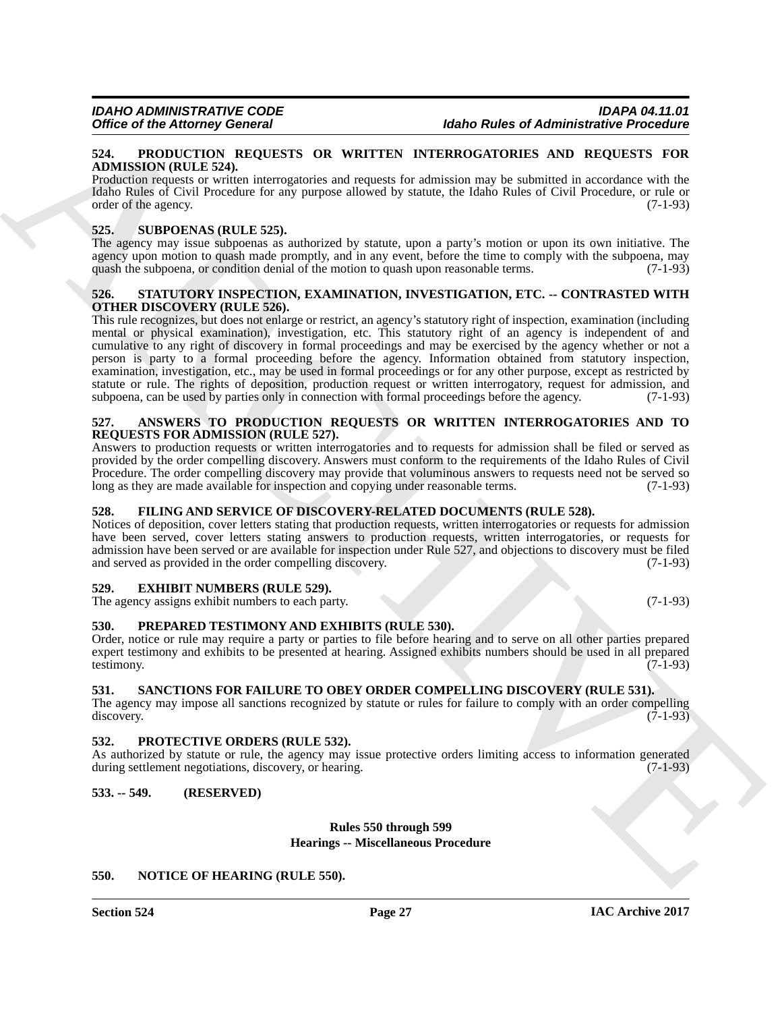#### <span id="page-26-16"></span><span id="page-26-0"></span>**524. PRODUCTION REQUESTS OR WRITTEN INTERROGATORIES AND REQUESTS FOR ADMISSION (RULE 524).**

Production requests or written interrogatories and requests for admission may be submitted in accordance with the Idaho Rules of Civil Procedure for any purpose allowed by statute, the Idaho Rules of Civil Procedure, or rule or order of the agency. (7-1-93)

#### <span id="page-26-20"></span><span id="page-26-1"></span>**525. SUBPOENAS (RULE 525).**

The agency may issue subpoenas as authorized by statute, upon a party's motion or upon its own initiative. The agency upon motion to quash made promptly, and in any event, before the time to comply with the subpoena, may quash the subpoena, or condition denial of the motion to quash upon reasonable terms. (7-1-93)

#### <span id="page-26-19"></span><span id="page-26-2"></span>**526. STATUTORY INSPECTION, EXAMINATION, INVESTIGATION, ETC. -- CONTRASTED WITH OTHER DISCOVERY (RULE 526).**

Office of the Alterna) Consent of the main of the main of the state of Administrative Procession<br>
SAR PRODUCTION RESIS OR WHITEN NYERROWS CONDITIES.<br>
ADMINISTRATIVE CONDITION TO THE CONDITION CONDITION CONDITION AND REQUE This rule recognizes, but does not enlarge or restrict, an agency's statutory right of inspection, examination (including mental or physical examination), investigation, etc. This statutory right of an agency is independent of and cumulative to any right of discovery in formal proceedings and may be exercised by the agency whether or not a person is party to a formal proceeding before the agency. Information obtained from statutory inspection, examination, investigation, etc., may be used in formal proceedings or for any other purpose, except as restricted by statute or rule. The rights of deposition, production request or written interrogatory, request for admission, and subpoena, can be used by parties only in connection with formal proceedings before the agency. (7-1-93)

#### <span id="page-26-11"></span><span id="page-26-3"></span>**527. ANSWERS TO PRODUCTION REQUESTS OR WRITTEN INTERROGATORIES AND TO REQUESTS FOR ADMISSION (RULE 527).**

Answers to production requests or written interrogatories and to requests for admission shall be filed or served as provided by the order compelling discovery. Answers must conform to the requirements of the Idaho Rules of Civil Procedure. The order compelling discovery may provide that voluminous answers to requests need not be served so long as they are made available for inspection and copying under reasonable terms. (7-1-93) long as they are made available for inspection and copying under reasonable terms.

### <span id="page-26-13"></span><span id="page-26-4"></span>**528. FILING AND SERVICE OF DISCOVERY-RELATED DOCUMENTS (RULE 528).**

Notices of deposition, cover letters stating that production requests, written interrogatories or requests for admission have been served, cover letters stating answers to production requests, written interrogatories, or requests for admission have been served or are available for inspection under Rule 527, and objections to discovery must be filed and served as provided in the order compelling discovery. (7-1-93)

### <span id="page-26-12"></span><span id="page-26-5"></span>**529. EXHIBIT NUMBERS (RULE 529).**

The agency assigns exhibit numbers to each party. (7-1-93)

#### <span id="page-26-15"></span><span id="page-26-6"></span>**530. PREPARED TESTIMONY AND EXHIBITS (RULE 530).**

Order, notice or rule may require a party or parties to file before hearing and to serve on all other parties prepared expert testimony and exhibits to be presented at hearing. Assigned exhibits numbers should be used in all prepared testimony. (7-1-93)

### <span id="page-26-18"></span><span id="page-26-7"></span>**531. SANCTIONS FOR FAILURE TO OBEY ORDER COMPELLING DISCOVERY (RULE 531).**

The agency may impose all sanctions recognized by statute or rules for failure to comply with an order compelling discovery. (7-1-93) discovery. (7-1-93)

#### <span id="page-26-17"></span><span id="page-26-8"></span>**532. PROTECTIVE ORDERS (RULE 532).**

As authorized by statute or rule, the agency may issue protective orders limiting access to information generated during settlement negotiations, discovery, or hearing. (7-1-93)

# <span id="page-26-9"></span>**533. -- 549. (RESERVED)**

#### **Rules 550 through 599 Hearings -- Miscellaneous Procedure**

### <span id="page-26-14"></span><span id="page-26-10"></span>**550. NOTICE OF HEARING (RULE 550).**

**Section 524 Page 27**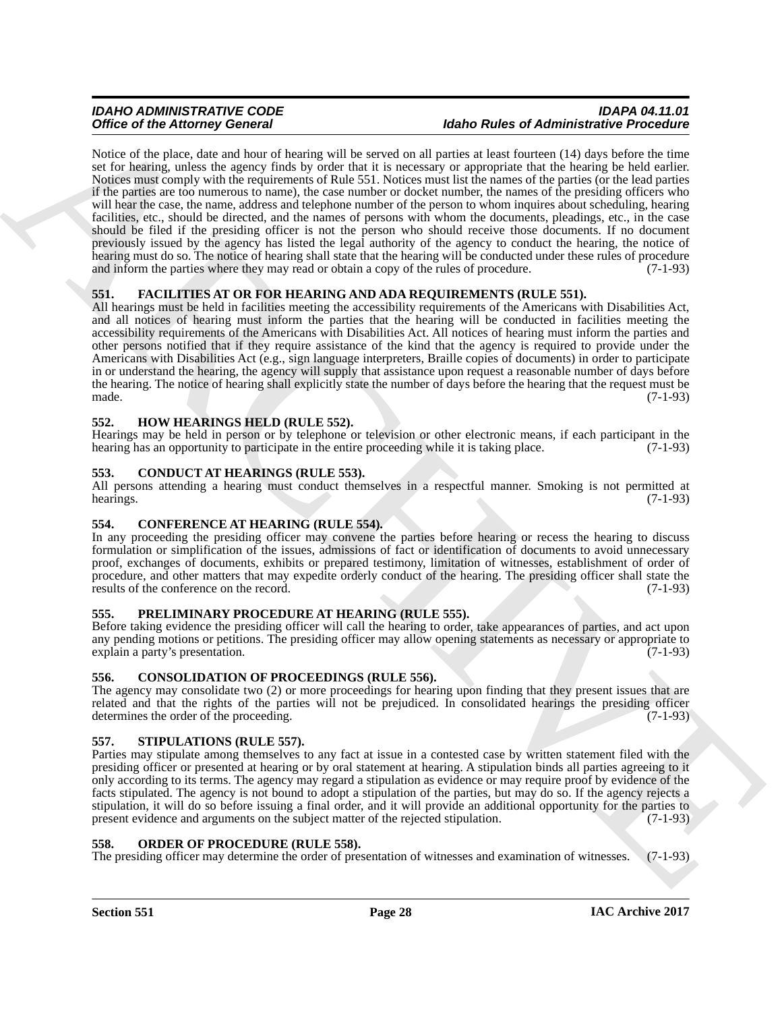### *IDAHO ADMINISTRATIVE CODE IDAPA 04.11.01 <u>Idaho Rules of Administrative Procedure</u>*

Office of the Adelmany General Constitution of the start of Adelma College and Adelma Constitution Procession<br>
Notice of the College and the start of the Start of the Start of the Start of the Start of the Start of the St Notice of the place, date and hour of hearing will be served on all parties at least fourteen (14) days before the time set for hearing, unless the agency finds by order that it is necessary or appropriate that the hearing be held earlier. Notices must comply with the requirements of Rule 551. Notices must list the names of the parties (or the lead parties if the parties are too numerous to name), the case number or docket number, the names of the presiding officers who will hear the case, the name, address and telephone number of the person to whom inquires about scheduling, hearing facilities, etc., should be directed, and the names of persons with whom the documents, pleadings, etc., in the case should be filed if the presiding officer is not the person who should receive those documents. If no document previously issued by the agency has listed the legal authority of the agency to conduct the hearing, the notice of hearing must do so. The notice of hearing shall state that the hearing will be conducted under these rules of procedure and inform the parties where they may read or obtain a copy of the rules of procedure. (7-1-93)

# <span id="page-27-11"></span><span id="page-27-0"></span>**551. FACILITIES AT OR FOR HEARING AND ADA REQUIREMENTS (RULE 551).**

All hearings must be held in facilities meeting the accessibility requirements of the Americans with Disabilities Act, and all notices of hearing must inform the parties that the hearing will be conducted in facilities meeting the accessibility requirements of the Americans with Disabilities Act. All notices of hearing must inform the parties and other persons notified that if they require assistance of the kind that the agency is required to provide under the Americans with Disabilities Act (e.g., sign language interpreters, Braille copies of documents) in order to participate in or understand the hearing, the agency will supply that assistance upon request a reasonable number of days before the hearing. The notice of hearing shall explicitly state the number of days before the hearing that the request must be made.  $(7-1-93)$ 

### <span id="page-27-12"></span><span id="page-27-1"></span>**552. HOW HEARINGS HELD (RULE 552).**

Hearings may be held in person or by telephone or television or other electronic means, if each participant in the hearing has an opportunity to participate in the entire proceeding while it is taking place. (7-1-93)

### <span id="page-27-8"></span><span id="page-27-2"></span>**553. CONDUCT AT HEARINGS (RULE 553).**

All persons attending a hearing must conduct themselves in a respectful manner. Smoking is not permitted at hearings. (7-1-93) hearings.  $(7-1-93)$ 

### <span id="page-27-9"></span><span id="page-27-3"></span>**554. CONFERENCE AT HEARING (RULE 554).**

In any proceeding the presiding officer may convene the parties before hearing or recess the hearing to discuss formulation or simplification of the issues, admissions of fact or identification of documents to avoid unnecessary proof, exchanges of documents, exhibits or prepared testimony, limitation of witnesses, establishment of order of procedure, and other matters that may expedite orderly conduct of the hearing. The presiding officer shall state the results of the conference on the record. (7-1-93) results of the conference on the record.

### <span id="page-27-14"></span><span id="page-27-4"></span>**555. PRELIMINARY PROCEDURE AT HEARING (RULE 555).**

Before taking evidence the presiding officer will call the hearing to order, take appearances of parties, and act upon any pending motions or petitions. The presiding officer may allow opening statements as necessary or appropriate to explain a party's presentation. (7-1-93) explain a party's presentation.

### <span id="page-27-10"></span><span id="page-27-5"></span>**556. CONSOLIDATION OF PROCEEDINGS (RULE 556).**

The agency may consolidate two (2) or more proceedings for hearing upon finding that they present issues that are related and that the rights of the parties will not be prejudiced. In consolidated hearings the presiding officer determines the order of the proceeding. (7-1-93) determines the order of the proceeding.

### <span id="page-27-15"></span><span id="page-27-6"></span>**557. STIPULATIONS (RULE 557).**

Parties may stipulate among themselves to any fact at issue in a contested case by written statement filed with the presiding officer or presented at hearing or by oral statement at hearing. A stipulation binds all parties agreeing to it only according to its terms. The agency may regard a stipulation as evidence or may require proof by evidence of the facts stipulated. The agency is not bound to adopt a stipulation of the parties, but may do so. If the agency rejects a stipulation, it will do so before issuing a final order, and it will provide an additional opportunity for the parties to present evidence and arguments on the subject matter of the rejected stipulation. (7-1-93)

#### <span id="page-27-13"></span><span id="page-27-7"></span>**558. ORDER OF PROCEDURE (RULE 558).**

The presiding officer may determine the order of presentation of witnesses and examination of witnesses. (7-1-93)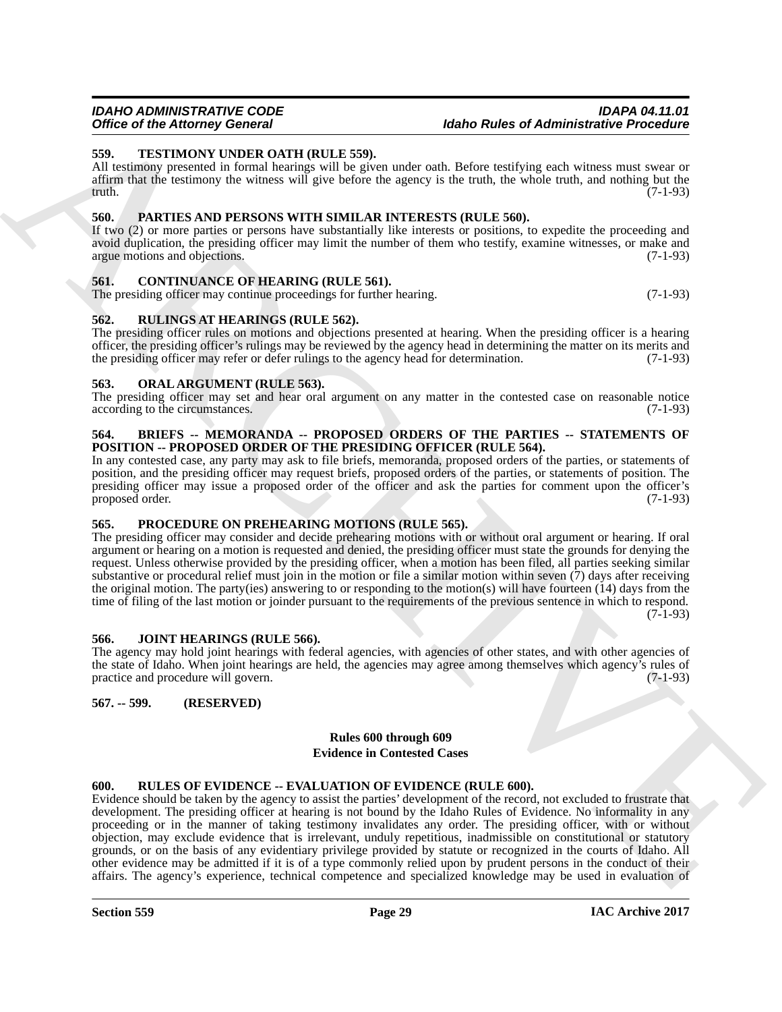#### *IDAHO ADMINISTRATIVE CODE IDAPA 04.11.01* **Idaho Rules of Administrative Procedure**

#### <span id="page-28-19"></span><span id="page-28-0"></span>**559. TESTIMONY UNDER OATH (RULE 559).**

All testimony presented in formal hearings will be given under oath. Before testifying each witness must swear or affirm that the testimony the witness will give before the agency is the truth, the whole truth, and nothing but the truth.  $(7-1-93)$ 

#### <span id="page-28-15"></span><span id="page-28-1"></span>**560. PARTIES AND PERSONS WITH SIMILAR INTERESTS (RULE 560).**

If two (2) or more parties or persons have substantially like interests or positions, to expedite the proceeding and avoid duplication, the presiding officer may limit the number of them who testify, examine witnesses, or make and argue motions and objections. (7-1-93)

#### <span id="page-28-11"></span><span id="page-28-2"></span>**561. CONTINUANCE OF HEARING (RULE 561).**

The presiding officer may continue proceedings for further hearing. (7-1-93)

#### <span id="page-28-18"></span><span id="page-28-3"></span>**562. RULINGS AT HEARINGS (RULE 562).**

The presiding officer rules on motions and objections presented at hearing. When the presiding officer is a hearing officer, the presiding officer's rulings may be reviewed by the agency head in determining the matter on its merits and the presiding officer may refer or defer rulings to the agency head for determination. (7-1-93) the presiding officer may refer or defer rulings to the agency head for determination.

#### <span id="page-28-14"></span><span id="page-28-4"></span>**563. ORAL ARGUMENT (RULE 563).**

The presiding officer may set and hear oral argument on any matter in the contested case on reasonable notice according to the circumstances. (7-1-93) according to the circumstances.

#### <span id="page-28-10"></span><span id="page-28-5"></span>**564. BRIEFS -- MEMORANDA -- PROPOSED ORDERS OF THE PARTIES -- STATEMENTS OF POSITION -- PROPOSED ORDER OF THE PRESIDING OFFICER (RULE 564).**

In any contested case, any party may ask to file briefs, memoranda, proposed orders of the parties, or statements of position, and the presiding officer may request briefs, proposed orders of the parties, or statements of position. The presiding officer may issue a proposed order of the officer and ask the parties for comment upon the officer's proposed order. (7-1-93)

### <span id="page-28-16"></span><span id="page-28-6"></span>**565. PROCEDURE ON PREHEARING MOTIONS (RULE 565).**

The presiding officer may consider and decide prehearing motions with or without oral argument or hearing. If oral argument or hearing on a motion is requested and denied, the presiding officer must state the grounds for denying the request. Unless otherwise provided by the presiding officer, when a motion has been filed, all parties seeking similar substantive or procedural relief must join in the motion or file a similar motion within seven (7) days after receiving the original motion. The party(ies) answering to or responding to the motion(s) will have fourteen (14) days from the time of filing of the last motion or joinder pursuant to the requirements of the previous sentence in which to respond.  $(7-1-93)$ 

#### <span id="page-28-13"></span><span id="page-28-7"></span>**566. JOINT HEARINGS (RULE 566).**

The agency may hold joint hearings with federal agencies, with agencies of other states, and with other agencies of the state of Idaho. When joint hearings are held, the agencies may agree among themselves which agency's rules of practice and procedure will govern. (7-1-93) practice and procedure will govern.

### <span id="page-28-8"></span>**567. -- 599. (RESERVED)**

#### <span id="page-28-12"></span>**Rules 600 through 609 Evidence in Contested Cases**

#### <span id="page-28-17"></span><span id="page-28-9"></span>**600. RULES OF EVIDENCE -- EVALUATION OF EVIDENCE (RULE 600).**

Office of the Alexander General Mathematics and the date of Administrative Procedure<br>
All including presents of the numbering of the system and the date in the system in the system and the system in the system in the syst Evidence should be taken by the agency to assist the parties' development of the record, not excluded to frustrate that development. The presiding officer at hearing is not bound by the Idaho Rules of Evidence. No informality in any proceeding or in the manner of taking testimony invalidates any order. The presiding officer, with or without objection, may exclude evidence that is irrelevant, unduly repetitious, inadmissible on constitutional or statutory grounds, or on the basis of any evidentiary privilege provided by statute or recognized in the courts of Idaho. All other evidence may be admitted if it is of a type commonly relied upon by prudent persons in the conduct of their affairs. The agency's experience, technical competence and specialized knowledge may be used in evaluation of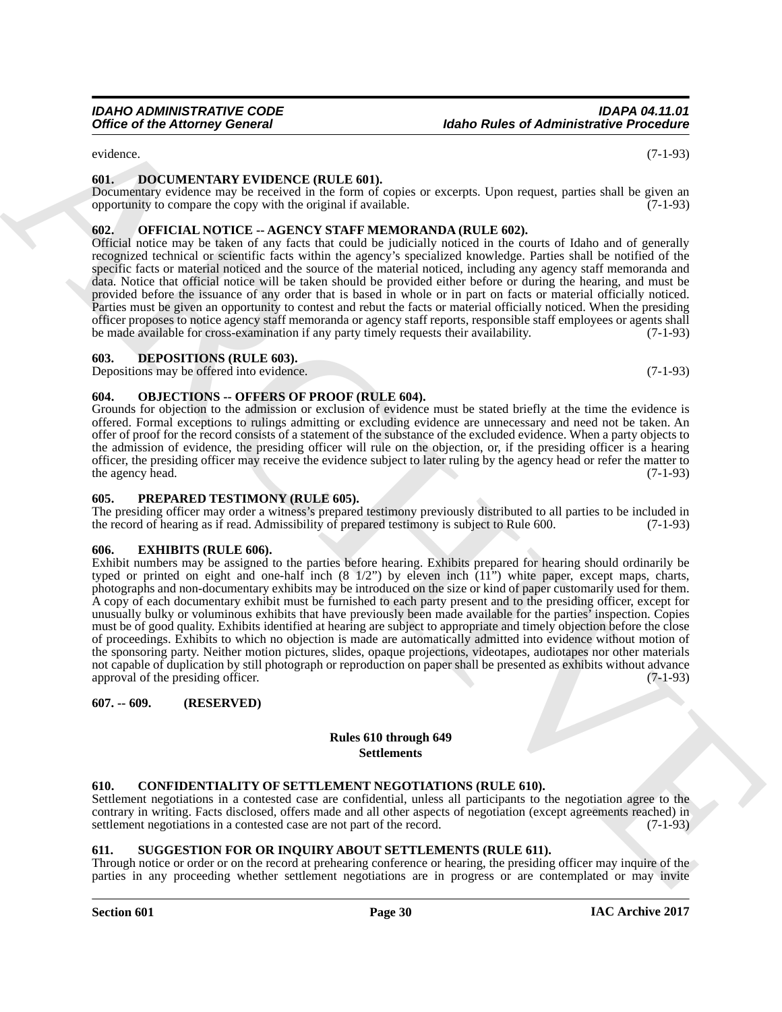<span id="page-29-11"></span>evidence. (7-1-93)

#### <span id="page-29-0"></span>**601. DOCUMENTARY EVIDENCE (RULE 601).**

Documentary evidence may be received in the form of copies or excerpts. Upon request, parties shall be given an opportunity to compare the copy with the original if available. (7-1-93)

### <span id="page-29-14"></span><span id="page-29-1"></span>**602. OFFICIAL NOTICE -- AGENCY STAFF MEMORANDA (RULE 602).**

Official notice may be taken of any facts that could be judicially noticed in the courts of Idaho and of generally recognized technical or scientific facts within the agency's specialized knowledge. Parties shall be notified of the specific facts or material noticed and the source of the material noticed, including any agency staff memoranda and data. Notice that official notice will be taken should be provided either before or during the hearing, and must be provided before the issuance of any order that is based in whole or in part on facts or material officially noticed. Parties must be given an opportunity to contest and rebut the facts or material officially noticed. When the presiding officer proposes to notice agency staff memoranda or agency staff reports, responsible staff employees or agents shall be made available for cross-examination if any party timely requests their availability. (7-1-93)

#### <span id="page-29-10"></span><span id="page-29-2"></span>**603. DEPOSITIONS (RULE 603).**

Depositions may be offered into evidence. (7-1-93)

#### <span id="page-29-13"></span><span id="page-29-3"></span>**604. OBJECTIONS -- OFFERS OF PROOF (RULE 604).**

Grounds for objection to the admission or exclusion of evidence must be stated briefly at the time the evidence is offered. Formal exceptions to rulings admitting or excluding evidence are unnecessary and need not be taken. An offer of proof for the record consists of a statement of the substance of the excluded evidence. When a party objects to the admission of evidence, the presiding officer will rule on the objection, or, if the presiding officer is a hearing officer, the presiding officer may receive the evidence subject to later ruling by the agency head or refer the matter to the agency head. (7-1-93)

#### <span id="page-29-15"></span><span id="page-29-4"></span>**605. PREPARED TESTIMONY (RULE 605).**

The presiding officer may order a witness's prepared testimony previously distributed to all parties to be included in the record of hearing as if read. Admissibility of prepared testimony is subject to Rule 600. (7-1-93)

#### <span id="page-29-12"></span><span id="page-29-5"></span>**606. EXHIBITS (RULE 606).**

Office of the Attorney General<br>
Column Advance (Corear) (General Mathematics Presentation Corear)<br>
Column Advance (Corear) (Corear) (Corear) (Corear) (Corear) (Corear) (Corear) (Corear) (Corear) (Corear) (Corear)<br>
Column Exhibit numbers may be assigned to the parties before hearing. Exhibits prepared for hearing should ordinarily be typed or printed on eight and one-half inch  $(8 \frac{1}{2})$  by eleven inch  $(11)$  white paper, except maps, charts, photographs and non-documentary exhibits may be introduced on the size or kind of paper customarily used for them. A copy of each documentary exhibit must be furnished to each party present and to the presiding officer, except for unusually bulky or voluminous exhibits that have previously been made available for the parties' inspection. Copies must be of good quality. Exhibits identified at hearing are subject to appropriate and timely objection before the close of proceedings. Exhibits to which no objection is made are automatically admitted into evidence without motion of the sponsoring party. Neither motion pictures, slides, opaque projections, videotapes, audiotapes nor other materials not capable of duplication by still photograph or reproduction on paper shall be presented as exhibits without advance approval of the presiding officer. (7-1-93)

### <span id="page-29-6"></span>**607. -- 609. (RESERVED)**

### **Rules 610 through 649 Settlements**

#### <span id="page-29-9"></span><span id="page-29-7"></span>**610. CONFIDENTIALITY OF SETTLEMENT NEGOTIATIONS (RULE 610).**

Settlement negotiations in a contested case are confidential, unless all participants to the negotiation agree to the contrary in writing. Facts disclosed, offers made and all other aspects of negotiation (except agreements reached) in settlement negotiations in a contested case are not part of the record. (7-1-93)

#### <span id="page-29-16"></span><span id="page-29-8"></span>**611. SUGGESTION FOR OR INQUIRY ABOUT SETTLEMENTS (RULE 611).**

Through notice or order or on the record at prehearing conference or hearing, the presiding officer may inquire of the parties in any proceeding whether settlement negotiations are in progress or are contemplated or may invite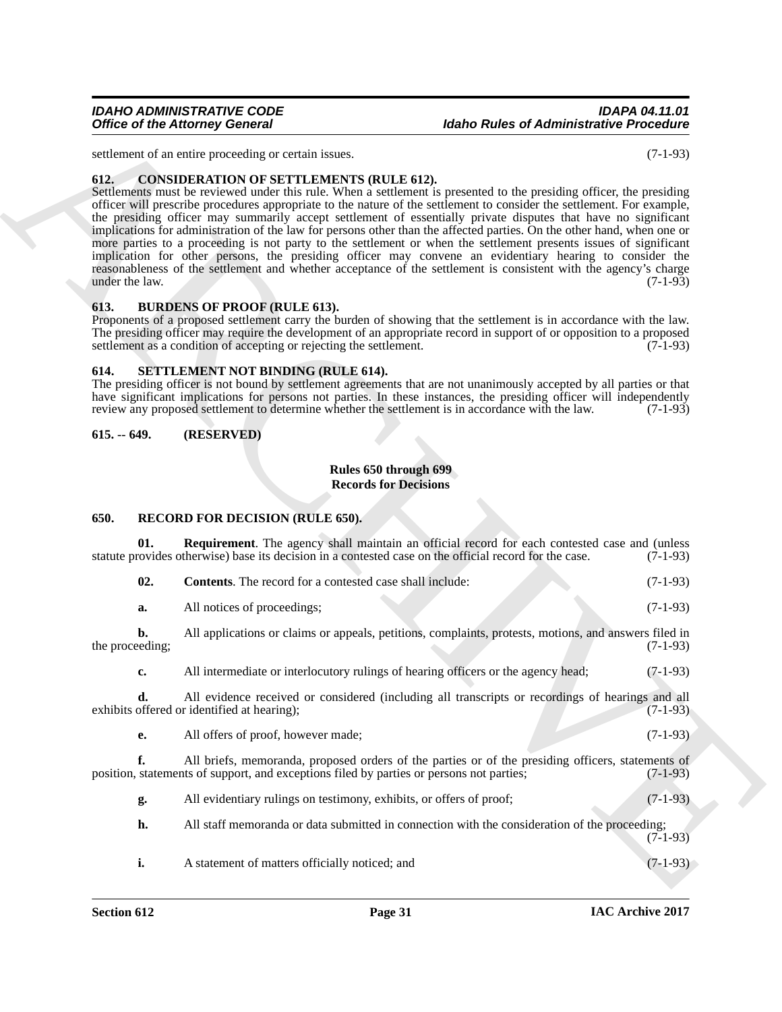#### *IDAHO ADMINISTRATIVE CODE IDAPA 04.11.01 Idaho Rules of Administrative Procedure*

# <span id="page-30-6"></span><span id="page-30-0"></span>**612. CONSIDERATION OF SETTLEMENTS (RULE 612).**

#### <span id="page-30-5"></span><span id="page-30-1"></span>**613. BURDENS OF PROOF (RULE 613).**

#### <span id="page-30-10"></span><span id="page-30-2"></span>**614. SETTLEMENT NOT BINDING (RULE 614).**

### <span id="page-30-3"></span>**615. -- 649. (RESERVED)**

### <span id="page-30-9"></span>**Rules 650 through 699 Records for Decisions**

### <span id="page-30-8"></span><span id="page-30-7"></span><span id="page-30-4"></span>**650. RECORD FOR DECISION (RULE 650).**

|                        | <b>Office of the Attorney General</b>                                                                                                                                                                                                                                                                                                                                                                                                                                                                                                                                                                                                                                                                                                                                                                                                                                                             | <b>Idaho Rules of Administrative Procedure</b>                                                |            |
|------------------------|---------------------------------------------------------------------------------------------------------------------------------------------------------------------------------------------------------------------------------------------------------------------------------------------------------------------------------------------------------------------------------------------------------------------------------------------------------------------------------------------------------------------------------------------------------------------------------------------------------------------------------------------------------------------------------------------------------------------------------------------------------------------------------------------------------------------------------------------------------------------------------------------------|-----------------------------------------------------------------------------------------------|------------|
|                        | settlement of an entire proceeding or certain issues.                                                                                                                                                                                                                                                                                                                                                                                                                                                                                                                                                                                                                                                                                                                                                                                                                                             |                                                                                               | $(7-1-93)$ |
| 612.<br>under the law. | <b>CONSIDERATION OF SETTLEMENTS (RULE 612).</b><br>Settlements must be reviewed under this rule. When a settlement is presented to the presiding officer, the presiding<br>officer will prescribe procedures appropriate to the nature of the settlement to consider the settlement. For example,<br>the presiding officer may summarily accept settlement of essentially private disputes that have no significant<br>implications for administration of the law for persons other than the affected parties. On the other hand, when one or<br>more parties to a proceeding is not party to the settlement or when the settlement presents issues of significant<br>implication for other persons, the presiding officer may convene an evidentiary hearing to consider the<br>reasonableness of the settlement and whether acceptance of the settlement is consistent with the agency's charge |                                                                                               | $(7-1-93)$ |
| 613.                   | <b>BURDENS OF PROOF (RULE 613).</b><br>Proponents of a proposed settlement carry the burden of showing that the settlement is in accordance with the law.<br>The presiding officer may require the development of an appropriate record in support of or opposition to a proposed<br>settlement as a condition of accepting or rejecting the settlement.                                                                                                                                                                                                                                                                                                                                                                                                                                                                                                                                          |                                                                                               | $(7-1-93)$ |
| 614.                   | SETTLEMENT NOT BINDING (RULE 614).<br>The presiding officer is not bound by settlement agreements that are not unanimously accepted by all parties or that<br>have significant implications for persons not parties. In these instances, the presiding officer will independently<br>review any proposed settlement to determine whether the settlement is in accordance with the law.                                                                                                                                                                                                                                                                                                                                                                                                                                                                                                            |                                                                                               | $(7-1-93)$ |
| $615. - 649.$          | (RESERVED)                                                                                                                                                                                                                                                                                                                                                                                                                                                                                                                                                                                                                                                                                                                                                                                                                                                                                        |                                                                                               |            |
|                        | Rules 650 through 699<br><b>Records for Decisions</b>                                                                                                                                                                                                                                                                                                                                                                                                                                                                                                                                                                                                                                                                                                                                                                                                                                             |                                                                                               |            |
| 650.                   | <b>RECORD FOR DECISION (RULE 650).</b>                                                                                                                                                                                                                                                                                                                                                                                                                                                                                                                                                                                                                                                                                                                                                                                                                                                            |                                                                                               |            |
| 01.                    | <b>Requirement</b> . The agency shall maintain an official record for each contested case and (unless<br>statute provides otherwise) base its decision in a contested case on the official record for the case.                                                                                                                                                                                                                                                                                                                                                                                                                                                                                                                                                                                                                                                                                   |                                                                                               | $(7-1-93)$ |
| 02.                    | Contents. The record for a contested case shall include:                                                                                                                                                                                                                                                                                                                                                                                                                                                                                                                                                                                                                                                                                                                                                                                                                                          |                                                                                               | $(7-1-93)$ |
| a.                     | All notices of proceedings;                                                                                                                                                                                                                                                                                                                                                                                                                                                                                                                                                                                                                                                                                                                                                                                                                                                                       |                                                                                               | $(7-1-93)$ |
| b.<br>the proceeding;  | All applications or claims or appeals, petitions, complaints, protests, motions, and answers filed in                                                                                                                                                                                                                                                                                                                                                                                                                                                                                                                                                                                                                                                                                                                                                                                             |                                                                                               | $(7-1-93)$ |
| c.                     | All intermediate or interlocutory rulings of hearing officers or the agency head;                                                                                                                                                                                                                                                                                                                                                                                                                                                                                                                                                                                                                                                                                                                                                                                                                 |                                                                                               | $(7-1-93)$ |
| d.                     | All evidence received or considered (including all transcripts or recordings of hearings and all<br>exhibits offered or identified at hearing);                                                                                                                                                                                                                                                                                                                                                                                                                                                                                                                                                                                                                                                                                                                                                   |                                                                                               | $(7-1-93)$ |
| e.                     | All offers of proof, however made;                                                                                                                                                                                                                                                                                                                                                                                                                                                                                                                                                                                                                                                                                                                                                                                                                                                                |                                                                                               | $(7-1-93)$ |
| f.                     | All briefs, memoranda, proposed orders of the parties or of the presiding officers, statements of<br>position, statements of support, and exceptions filed by parties or persons not parties;                                                                                                                                                                                                                                                                                                                                                                                                                                                                                                                                                                                                                                                                                                     |                                                                                               | $(7-1-93)$ |
| g.                     | All evidentiary rulings on testimony, exhibits, or offers of proof;                                                                                                                                                                                                                                                                                                                                                                                                                                                                                                                                                                                                                                                                                                                                                                                                                               |                                                                                               | $(7-1-93)$ |
|                        |                                                                                                                                                                                                                                                                                                                                                                                                                                                                                                                                                                                                                                                                                                                                                                                                                                                                                                   | All staff memoranda or data submitted in connection with the consideration of the proceeding; |            |
| h.                     |                                                                                                                                                                                                                                                                                                                                                                                                                                                                                                                                                                                                                                                                                                                                                                                                                                                                                                   |                                                                                               | $(7-1-93)$ |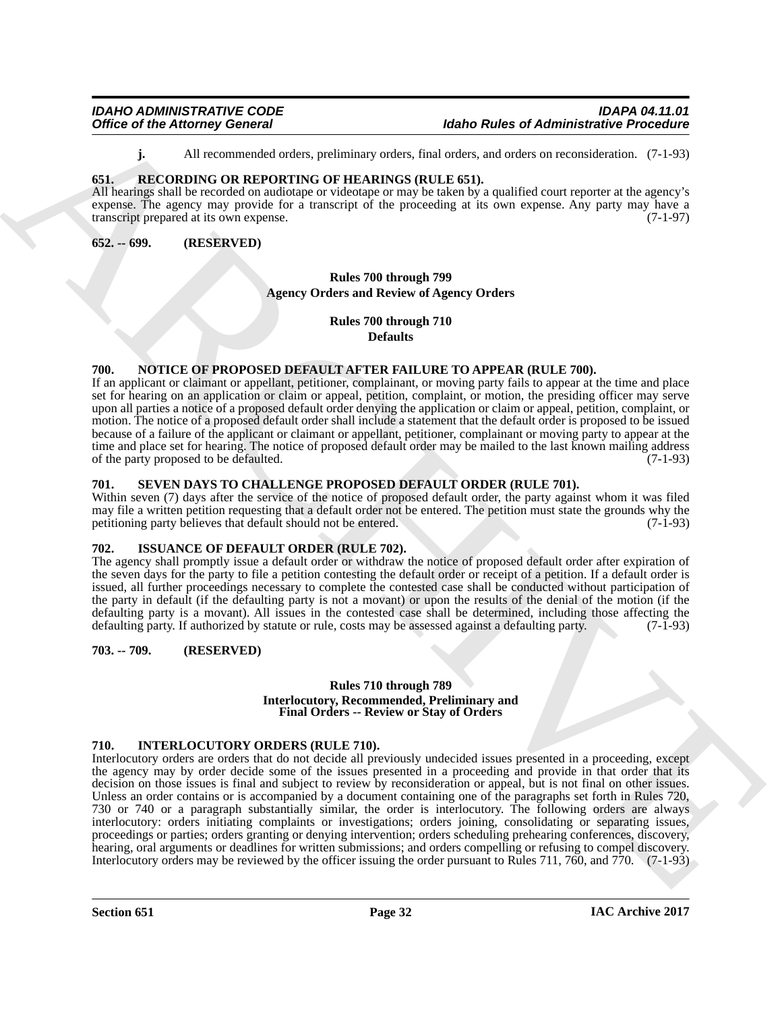<span id="page-31-12"></span>**j.** All recommended orders, preliminary orders, final orders, and orders on reconsideration. (7-1-93)

### <span id="page-31-0"></span>**651. RECORDING OR REPORTING OF HEARINGS (RULE 651).**

All hearings shall be recorded on audiotape or videotape or may be taken by a qualified court reporter at the agency's expense. The agency may provide for a transcript of the proceeding at its own expense. Any party may have a transcript prepared at its own expense. transcript prepared at its own expense.

#### <span id="page-31-1"></span>**652. -- 699. (RESERVED)**

# <span id="page-31-7"></span>**Rules 700 through 799 Agency Orders and Review of Agency Orders**

**Rules 700 through 710 Defaults**

### <span id="page-31-11"></span><span id="page-31-2"></span>**700. NOTICE OF PROPOSED DEFAULT AFTER FAILURE TO APPEAR (RULE 700).**

If an applicant or claimant or appellant, petitioner, complainant, or moving party fails to appear at the time and place set for hearing on an application or claim or appeal, petition, complaint, or motion, the presiding officer may serve upon all parties a notice of a proposed default order denying the application or claim or appeal, petition, complaint, or motion. The notice of a proposed default order shall include a statement that the default order is proposed to be issued because of a failure of the applicant or claimant or appellant, petitioner, complainant or moving party to appear at the time and place set for hearing. The notice of proposed default order may be mailed to the last known mailing address<br>of the party proposed to be defaulted. (7-1-93) of the party proposed to be defaulted.

### <span id="page-31-13"></span><span id="page-31-3"></span>**701. SEVEN DAYS TO CHALLENGE PROPOSED DEFAULT ORDER (RULE 701).**

Within seven (7) days after the service of the notice of proposed default order, the party against whom it was filed may file a written petition requesting that a default order not be entered. The petition must state the grounds why the petitioning party believes that default should not be entered. (7-1-93)

### <span id="page-31-10"></span><span id="page-31-4"></span>**702. ISSUANCE OF DEFAULT ORDER (RULE 702).**

The agency shall promptly issue a default order or withdraw the notice of proposed default order after expiration of the seven days for the party to file a petition contesting the default order or receipt of a petition. If a default order is issued, all further proceedings necessary to complete the contested case shall be conducted without participation of the party in default (if the defaulting party is not a movant) or upon the results of the denial of the motion (if the defaulting party is a movant). All issues in the contested case shall be determined, including those affecting the defaulting party. If authorized by statute or rule, costs may be assessed against a defaulting party. (7-1defaulting party. If authorized by statute or rule, costs may be assessed against a defaulting party.

### <span id="page-31-5"></span>**703. -- 709. (RESERVED)**

#### <span id="page-31-9"></span>**Rules 710 through 789 Interlocutory, Recommended, Preliminary and Final Orders -- Review or Stay of Orders**

### <span id="page-31-8"></span><span id="page-31-6"></span>**710. INTERLOCUTORY ORDERS (RULE 710).**

Office of the Attorney General<br>
Added Robert of Addenia (Adden Radiotical Control in the Attack School and Addenia (Addenia Control in the Attack School and Addenia (Addenia Control in the Attack School and Addenia (Adden Interlocutory orders are orders that do not decide all previously undecided issues presented in a proceeding, except the agency may by order decide some of the issues presented in a proceeding and provide in that order that its decision on those issues is final and subject to review by reconsideration or appeal, but is not final on other issues. Unless an order contains or is accompanied by a document containing one of the paragraphs set forth in Rules 720, 730 or 740 or a paragraph substantially similar, the order is interlocutory. The following orders are always interlocutory: orders initiating complaints or investigations; orders joining, consolidating or separating issues, proceedings or parties; orders granting or denying intervention; orders scheduling prehearing conferences, discovery, hearing, oral arguments or deadlines for written submissions; and orders compelling or refusing to compel discovery. Interlocutory orders may be reviewed by the officer issuing the order pursuant to Rules 711, 760, and 770. (7-1-93)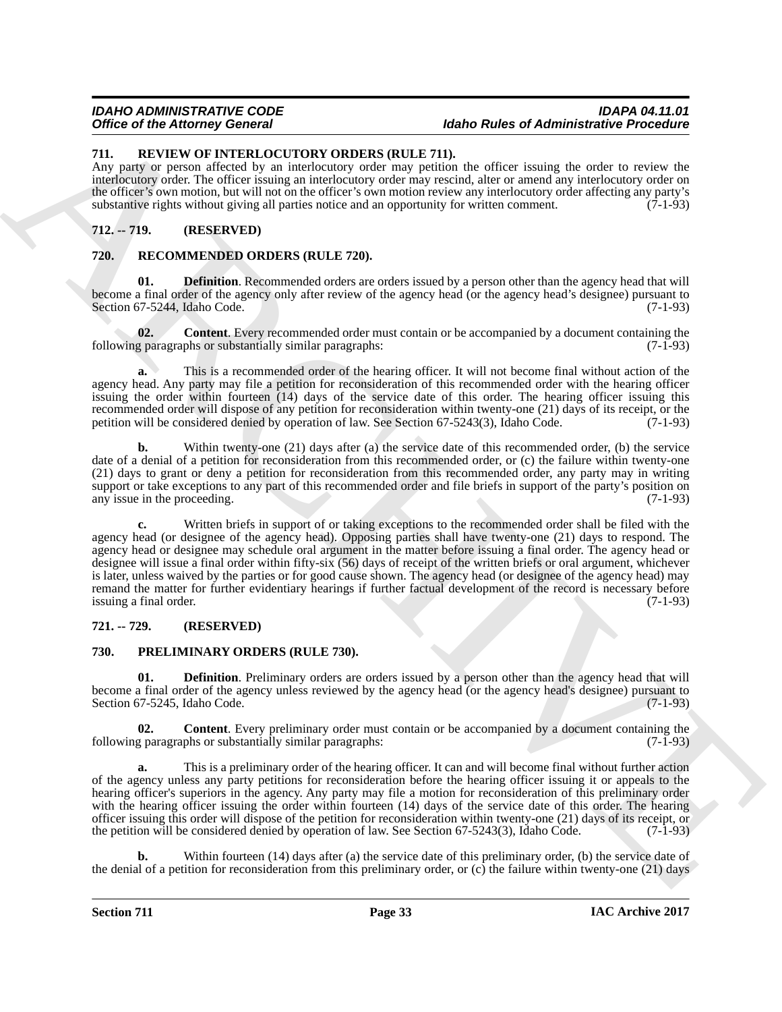### *IDAHO ADMINISTRATIVE CODE IDAPA 04.11.01 <u>Idaho Rules of Administrative Procedure</u>*

### <span id="page-32-9"></span><span id="page-32-0"></span>**711. REVIEW OF INTERLOCUTORY ORDERS (RULE 711).**

Any party or person affected by an interlocutory order may petition the officer issuing the order to review the interlocutory order. The officer issuing an interlocutory order may rescind, alter or amend any interlocutory order on the officer's own motion, but will not on the officer's own motion review any interlocutory order affecting any party's substantive rights without giving all parties notice and an opportunity for written comment. (7-1-93)

# <span id="page-32-1"></span>**712. -- 719. (RESERVED)**

### <span id="page-32-2"></span>**720. RECOMMENDED ORDERS (RULE 720).**

<span id="page-32-8"></span>**01. Definition**. Recommended orders are orders issued by a person other than the agency head that will become a final order of the agency only after review of the agency head (or the agency head's designee) pursuant to<br>Section 67-5244. Idaho Code. (7-1-93) Section 67-5244, Idaho Code.

<span id="page-32-7"></span>**02. Content**. Every recommended order must contain or be accompanied by a document containing the g paragraphs or substantially similar paragraphs: (7-1-93) following paragraphs or substantially similar paragraphs:

**a.** This is a recommended order of the hearing officer. It will not become final without action of the agency head. Any party may file a petition for reconsideration of this recommended order with the hearing officer issuing the order within fourteen (14) days of the service date of this order. The hearing officer issuing this recommended order will dispose of any petition for reconsideration within twenty-one (21) days of its receipt, or the petition will be considered denied by operation of law. See Section 67-5243(3). Idaho Code. (7-1-93) petition will be considered denied by operation of law. See Section 67-5243(3), Idaho Code.

**b.** Within twenty-one (21) days after (a) the service date of this recommended order, (b) the service date of a denial of a petition for reconsideration from this recommended order, or (c) the failure within twenty-one (21) days to grant or deny a petition for reconsideration from this recommended order, any party may in writing support or take exceptions to any part of this recommended order and file briefs in support of the party's position on any issue in the proceeding. (7-1-93) any issue in the proceeding.

Office of the Adelenary General Counter State Counter and the Real Counter State Counter State Counter State Counter State Counter State Counter State Counter State Counter State Counter State Counter State Counter State **c.** Written briefs in support of or taking exceptions to the recommended order shall be filed with the agency head (or designee of the agency head). Opposing parties shall have twenty-one (21) days to respond. The agency head or designee may schedule oral argument in the matter before issuing a final order. The agency head or designee will issue a final order within fifty-six (56) days of receipt of the written briefs or oral argument, whichever is later, unless waived by the parties or for good cause shown. The agency head (or designee of the agency head) may remand the matter for further evidentiary hearings if further factual development of the record is necessary before issuing a final order. (7-1-93) issuing a final order.

### <span id="page-32-3"></span>**721. -- 729. (RESERVED)**

### <span id="page-32-4"></span>**730. PRELIMINARY ORDERS (RULE 730).**

<span id="page-32-6"></span>**01. Definition**. Preliminary orders are orders issued by a person other than the agency head that will become a final order of the agency unless reviewed by the agency head (or the agency head's designee) pursuant to Section 67-5245, Idaho Code.

<span id="page-32-5"></span>**02. Content**. Every preliminary order must contain or be accompanied by a document containing the g paragraphs or substantially similar paragraphs: (7-1-93) following paragraphs or substantially similar paragraphs:

**a.** This is a preliminary order of the hearing officer. It can and will become final without further action of the agency unless any party petitions for reconsideration before the hearing officer issuing it or appeals to the hearing officer's superiors in the agency. Any party may file a motion for reconsideration of this preliminary order with the hearing officer issuing the order within fourteen (14) days of the service date of this order. The hearing officer issuing this order will dispose of the petition for reconsideration within twenty-one (21) days of its receipt, or the petition will be considered denied by operation of law. See Section 67-5243(3), Idaho Code. (7-1-93)

**b.** Within fourteen (14) days after (a) the service date of this preliminary order, (b) the service date of the denial of a petition for reconsideration from this preliminary order, or  $(c)$  the failure within twenty-one (21) days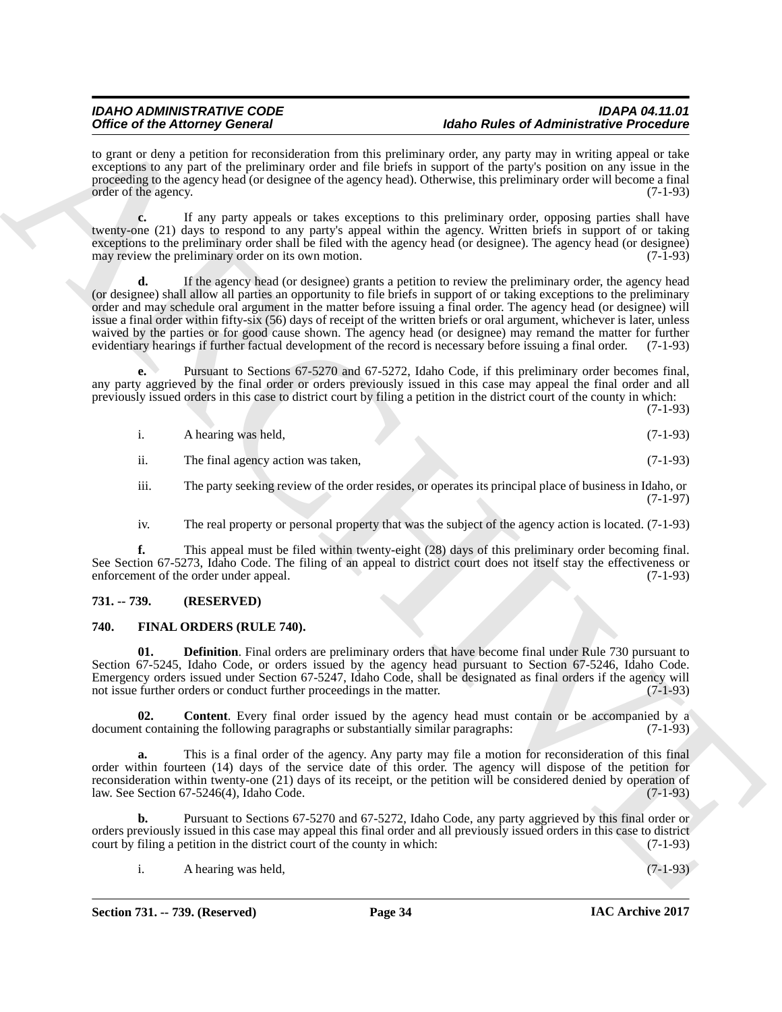to grant or deny a petition for reconsideration from this preliminary order, any party may in writing appeal or take exceptions to any part of the preliminary order and file briefs in support of the party's position on any issue in the proceeding to the agency head (or designee of the agency head). Otherwise, this preliminary order will become a final order of the agency. (7-1-93) order of the agency.

**c.** If any party appeals or takes exceptions to this preliminary order, opposing parties shall have twenty-one (21) days to respond to any party's appeal within the agency. Written briefs in support of or taking exceptions to the preliminary order shall be filed with the agency head (or designee). The agency head (or designee)<br>may review the preliminary order on its own motion. (7-1-93) may review the preliminary order on its own motion.

One can be Alternative December 2013. In the basis of the particular state and Advise the state of Advise Constitution of the state of the state of Advise Constitution of the state of the state of the state of the state o **d.** If the agency head (or designee) grants a petition to review the preliminary order, the agency head (or designee) shall allow all parties an opportunity to file briefs in support of or taking exceptions to the preliminary order and may schedule oral argument in the matter before issuing a final order. The agency head (or designee) will issue a final order within fifty-six (56) days of receipt of the written briefs or oral argument, whichever is later, unless waived by the parties or for good cause shown. The agency head (or designee) may remand the matter for further evidentiary hearings if further factual development of the record is necessary before issuing a final order. (7 evidentiary hearings if further factual development of the record is necessary before issuing a final order.

**e.** Pursuant to Sections 67-5270 and 67-5272, Idaho Code, if this preliminary order becomes final, any party aggrieved by the final order or orders previously issued in this case may appeal the final order and all previously issued orders in this case to district court by filing a petition in the district court of the county in which:

(7-1-93)

| 1.   | A hearing was held,                                                                                     | $(7-1-93)$ |
|------|---------------------------------------------------------------------------------------------------------|------------|
| ii.  | The final agency action was taken,                                                                      | $(7-1-93)$ |
| iii. | The party seeking review of the order resides, or operates its principal place of business in Idaho, or |            |

iv. The real property or personal property that was the subject of the agency action is located. (7-1-93)

**f.** This appeal must be filed within twenty-eight (28) days of this preliminary order becoming final. See Section 67-5273, Idaho Code. The filing of an appeal to district court does not itself stay the effectiveness or enforcement of the order under appeal. (7-1-93) enforcement of the order under appeal.

### <span id="page-33-0"></span>**731. -- 739. (RESERVED)**

### <span id="page-33-1"></span>**740. FINAL ORDERS (RULE 740).**

<span id="page-33-3"></span>**01. Definition**. Final orders are preliminary orders that have become final under Rule 730 pursuant to Section 67-5245, Idaho Code, or orders issued by the agency head pursuant to Section 67-5246, Idaho Code. Emergency orders issued under Section 67-5247, Idaho Code, shall be designated as final orders if the agency will not issue further orders or conduct further proceedings in the matter. (7-1-93)

<span id="page-33-2"></span>**02. Content**. Every final order issued by the agency head must contain or be accompanied by a at containing the following paragraphs or substantially similar paragraphs: (7-1-93) document containing the following paragraphs or substantially similar paragraphs:

**a.** This is a final order of the agency. Any party may file a motion for reconsideration of this final order within fourteen (14) days of the service date of this order. The agency will dispose of the petition for reconsideration within twenty-one (21) days of its receipt, or the petition will be considered denied by operation of law. See Section 67-5246(4), Idaho Code. (7-1-93) law. See Section  $67-5246(4)$ , Idaho Code.

**b.** Pursuant to Sections 67-5270 and 67-5272, Idaho Code, any party aggrieved by this final order or orders previously issued in this case may appeal this final order and all previously issued orders in this case to district court by filing a petition in the district court of the county in which:

i. A hearing was held, (7-1-93)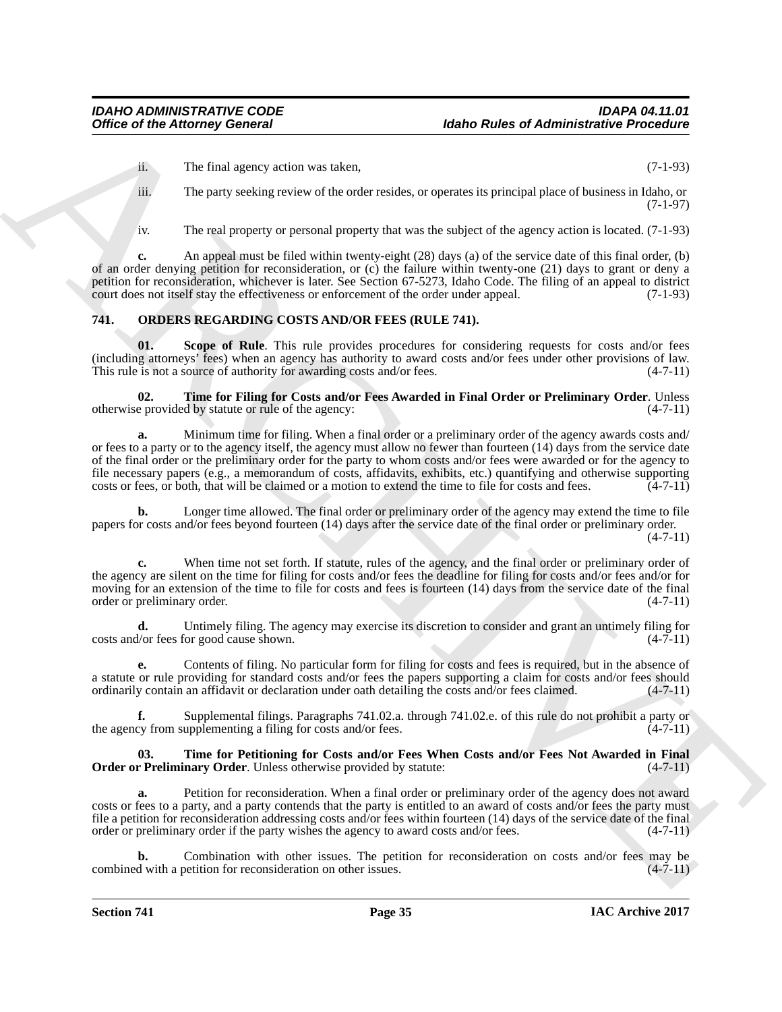ii. The final agency action was taken, (7-1-93)

iii. The party seeking review of the order resides, or operates its principal place of business in Idaho, or (7-1-97)

iv. The real property or personal property that was the subject of the agency action is located. (7-1-93)

**c.** An appeal must be filed within twenty-eight (28) days (a) of the service date of this final order, (b) of an order denying petition for reconsideration, or (c) the failure within twenty-one (21) days to grant or deny a petition for reconsideration, whichever is later. See Section 67-5273, Idaho Code. The filing of an appeal to district court does not itself stay the effectiveness or enforcement of the order under appeal. (7-1-93)

### <span id="page-34-0"></span>**741. ORDERS REGARDING COSTS AND/OR FEES (RULE 741).**

<span id="page-34-1"></span>**01.** Scope of Rule. This rule provides procedures for considering requests for costs and/or fees (including attorneys' fees) when an agency has authority to award costs and/or fees under other provisions of law.<br>This rule is not a source of authority for awarding costs and/or fees.  $(4-7-11)$ This rule is not a source of authority for awarding costs and/or fees.

<span id="page-34-2"></span>**02. Time for Filing for Costs and/or Fees Awarded in Final Order or Preliminary Order**. Unless e provided by statute or rule of the agency: (4-7-11) otherwise provided by statute or rule of the agency:

Office of the Attorney General<br>
1. The final operation was taken.<br>
The final operation was taken, the state of Attention Washer Control of the state of Attention Control of the State of The State of the State of The State **a.** Minimum time for filing. When a final order or a preliminary order of the agency awards costs and/ or fees to a party or to the agency itself, the agency must allow no fewer than fourteen (14) days from the service date of the final order or the preliminary order for the party to whom costs and/or fees were awarded or for the agency to file necessary papers (e.g., a memorandum of costs, affidavits, exhibits, etc.) quantifying and otherwise supporting costs or fees, or both, that will be claimed or a motion to extend the time to file for costs and fees. (4-7-11)

**b.** Longer time allowed. The final order or preliminary order of the agency may extend the time to file papers for costs and/or fees beyond fourteen (14) days after the service date of the final order or preliminary order.

 $(4 - 7 - 11)$ 

**c.** When time not set forth. If statute, rules of the agency, and the final order or preliminary order of the agency are silent on the time for filing for costs and/or fees the deadline for filing for costs and/or fees and/or for moving for an extension of the time to file for costs and fees is fourteen (14) days from the service date of the final order or preliminary order. (4-7-11)

**d.** Untimely filing. The agency may exercise its discretion to consider and grant an untimely filing for low the state shown. (4-7-11) costs and/or fees for good cause shown.

**e.** Contents of filing. No particular form for filing for costs and fees is required, but in the absence of a statute or rule providing for standard costs and/or fees the papers supporting a claim for costs and/or fees should ordinarily contain an affidavit or declaration under oath detailing the costs and/or fees claimed. (4-7-11)

**f.** Supplemental filings. Paragraphs 741.02.a. through 741.02.e. of this rule do not prohibit a party or cy from supplementing a filing for costs and/or fees.  $(4-7-11)$ the agency from supplementing a filing for costs and/or fees.

#### <span id="page-34-3"></span>**03. Time for Petitioning for Costs and/or Fees When Costs and/or Fees Not Awarded in Final Order or Preliminary Order**. Unless otherwise provided by statute: (4-7-11)

**a.** Petition for reconsideration. When a final order or preliminary order of the agency does not award costs or fees to a party, and a party contends that the party is entitled to an award of costs and/or fees the party must file a petition for reconsideration addressing costs and/or fees within fourteen (14) days of the service date of the final order or preliminary order if the party wishes the agency to award costs and/or fees.  $(4-7-11)$ order or preliminary order if the party wishes the agency to award costs and/or fees.

Combination with other issues. The petition for reconsideration on costs and/or fees may be betition for reconsideration on other issues.  $(4-7-11)$ combined with a petition for reconsideration on other issues.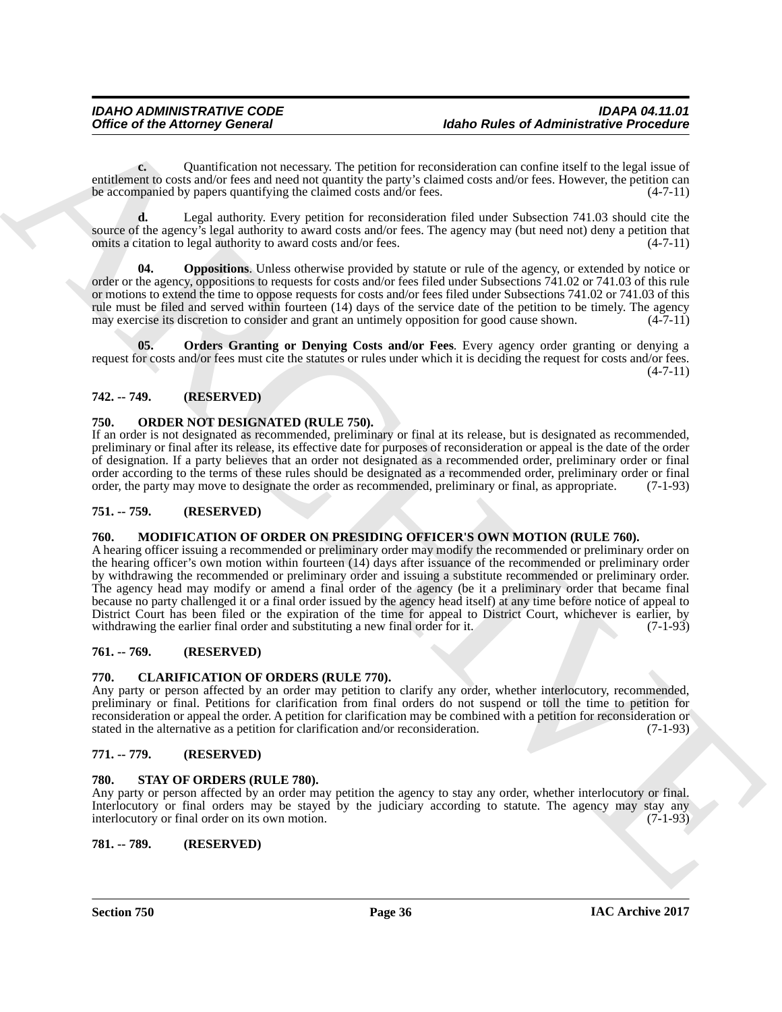**c.** Quantification not necessary. The petition for reconsideration can confine itself to the legal issue of entitlement to costs and/or fees and need not quantity the party's claimed costs and/or fees. However, the petition can be accompanied by papers quantifying the claimed costs and/or fees. (4-7-11)

**d.** Legal authority. Every petition for reconsideration filed under Subsection 741.03 should cite the source of the agency's legal authority to award costs and/or fees. The agency may (but need not) deny a petition that omits a citation to legal authority to award costs and/or fees. (4-7-11)

<span id="page-35-12"></span>**Oppositions**. Unless otherwise provided by statute or rule of the agency, or extended by notice or order or the agency, oppositions to requests for costs and/or fees filed under Subsections 741.02 or 741.03 of this rule or motions to extend the time to oppose requests for costs and/or fees filed under Subsections 741.02 or 741.03 of this rule must be filed and served within fourteen (14) days of the service date of the petition to be timely. The agency may exercise its discretion to consider and grant an untimely opposition for good cause shown. (4-7-11)

<span id="page-35-13"></span>**05. Orders Granting or Denying Costs and/or Fees**. Every agency order granting or denying a request for costs and/or fees must cite the statutes or rules under which it is deciding the request for costs and/or fees.  $(4 - 7 - 11)$ 

# <span id="page-35-0"></span>**742. -- 749. (RESERVED)**

# <span id="page-35-11"></span><span id="page-35-1"></span>**750. ORDER NOT DESIGNATED (RULE 750).**

If an order is not designated as recommended, preliminary or final at its release, but is designated as recommended, preliminary or final after its release, its effective date for purposes of reconsideration or appeal is the date of the order of designation. If a party believes that an order not designated as a recommended order, preliminary order or final order according to the terms of these rules should be designated as a recommended order, preliminary order or final order, the party may move to designate the order as recommended, preliminary or final, as appropriate. (7order, the party may move to designate the order as recommended, preliminary or final, as appropriate.

# <span id="page-35-2"></span>**751. -- 759. (RESERVED)**

### <span id="page-35-10"></span><span id="page-35-3"></span>**760. MODIFICATION OF ORDER ON PRESIDING OFFICER'S OWN MOTION (RULE 760).**

Office of the Attorney General **Research** Hallen Russian Contents of Administrative Procession<br>
continuation contents the main and the public for results and the state of Administrative Procession<br>
contents on the state o A hearing officer issuing a recommended or preliminary order may modify the recommended or preliminary order on the hearing officer's own motion within fourteen (14) days after issuance of the recommended or preliminary order by withdrawing the recommended or preliminary order and issuing a substitute recommended or preliminary order. The agency head may modify or amend a final order of the agency (be it a preliminary order that became final because no party challenged it or a final order issued by the agency head itself) at any time before notice of appeal to District Court has been filed or the expiration of the time for appeal to District Court, whichever is earlier, by withdrawing the earlier final order and substituting a new final order for it. (7-1-93)

# <span id="page-35-4"></span>**761. -- 769. (RESERVED)**

### <span id="page-35-9"></span><span id="page-35-5"></span>**770. CLARIFICATION OF ORDERS (RULE 770).**

Any party or person affected by an order may petition to clarify any order, whether interlocutory, recommended, preliminary or final. Petitions for clarification from final orders do not suspend or toll the time to petition for reconsideration or appeal the order. A petition for clarification may be combined with a petition for reconsideration or stated in the alternative as a petition for clarification and/or reconsideration.

# <span id="page-35-6"></span>**771. -- 779. (RESERVED)**

### <span id="page-35-14"></span><span id="page-35-7"></span>**780. STAY OF ORDERS (RULE 780).**

Any party or person affected by an order may petition the agency to stay any order, whether interlocutory or final. Interlocutory or final orders may be stayed by the judiciary according to statute. The agency may stay any interlocutory or final order on its own motion. (7-1-93)

### <span id="page-35-8"></span>**781. -- 789. (RESERVED)**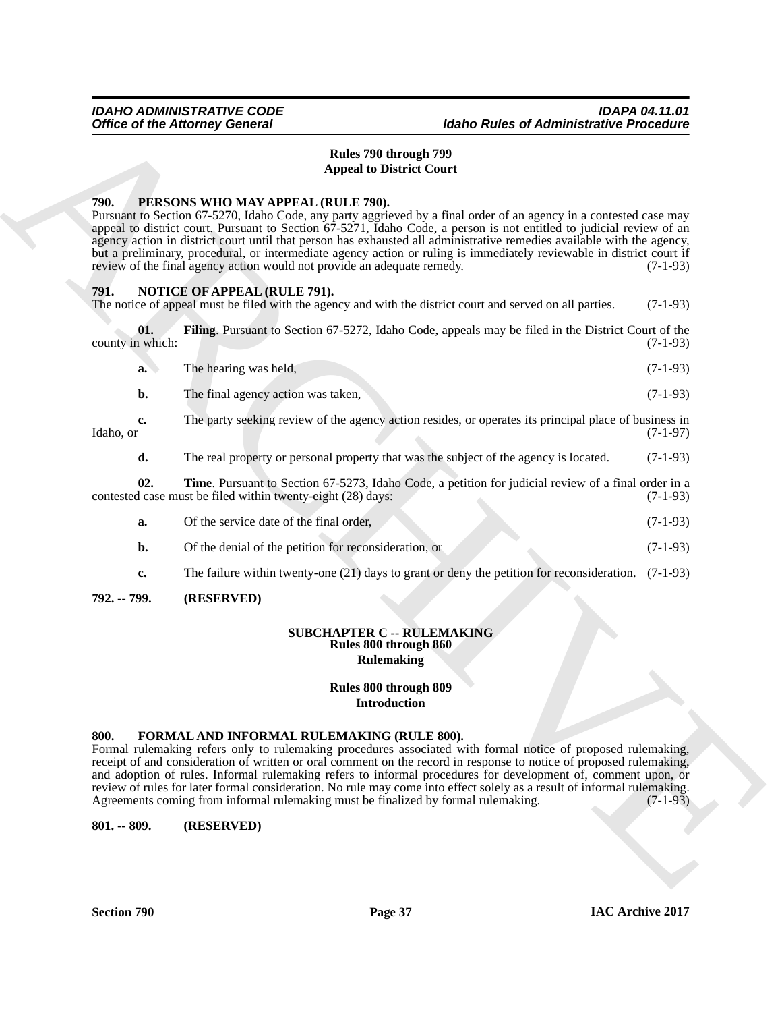# **Rules 790 through 799 Appeal to District Court**

#### <span id="page-36-8"></span><span id="page-36-0"></span>**790. PERSONS WHO MAY APPEAL (RULE 790).**

Pursuant to Section 67-5270, Idaho Code, any party aggrieved by a final order of an agency in a contested case may appeal to district court. Pursuant to Section 67-5271, Idaho Code, a person is not entitled to judicial review of an agency action in district court until that person has exhausted all administrative remedies available with the agency, but a preliminary, procedural, or intermediate agency action or ruling is immediately reviewable in district court if review of the final agency action would not provide an adequate remedy. (7-1-93) review of the final agency action would not provide an adequate remedy.

#### <span id="page-36-1"></span>**791. NOTICE OF APPEAL (RULE 791).**

The notice of appeal must be filed with the agency and with the district court and served on all parties. (7-1-93)

**01.** Filing. Pursuant to Section 67-5272, Idaho Code, appeals may be filed in the District Court of the (7-1-93) county in which:

<span id="page-36-6"></span>

| a. | The hearing was held,              | $(7-1-93)$ |
|----|------------------------------------|------------|
| Ŋ. | The final agency action was taken, | $(7-1-93)$ |

**c.** The party seeking review of the agency action resides, or operates its principal place of business in Idaho, or (7-1-97)  $\lambda$ Idaho, or  $(7-1-97)$ 

<span id="page-36-7"></span>**d.** The real property or personal property that was the subject of the agency is located. (7-1-93)

**02. Time**. Pursuant to Section 67-5273, Idaho Code, a petition for judicial review of a final order in a d case must be filed within twenty-eight (28) days: (7-1-93) contested case must be filed within twenty-eight (28) days:

| Of the service date of the final order.               | $(7-1-93)$ |
|-------------------------------------------------------|------------|
| Of the denial of the petition for reconsideration, or | $(7-1-93)$ |

**c.** The failure within twenty-one (21) days to grant or deny the petition for reconsideration. (7-1-93)

### <span id="page-36-2"></span>**792. -- 799. (RESERVED)**

#### **SUBCHAPTER C -- RULEMAKING Rules 800 through 860 Rulemaking**

# **Rules 800 through 809 Introduction**

#### <span id="page-36-5"></span><span id="page-36-3"></span>**800. FORMAL AND INFORMAL RULEMAKING (RULE 800).**

Office of the Attorney General<br>
Hates 790 than 1979 Barbara 2008<br>
Hates 790 than 1979 Barbara 2008<br>
Hates 790 than 1979 Barbara Core of Attachment Core of the Core of Attachment Core of the Core of the Core of the Core of Formal rulemaking refers only to rulemaking procedures associated with formal notice of proposed rulemaking, receipt of and consideration of written or oral comment on the record in response to notice of proposed rulemaking, and adoption of rules. Informal rulemaking refers to informal procedures for development of, comment upon, or review of rules for later formal consideration. No rule may come into effect solely as a result of informal rulemaking.<br>Agreements coming from informal rulemaking must be finalized by formal rulemaking. (7-1-93) Agreements coming from informal rulemaking must be finalized by formal rulemaking.

### <span id="page-36-4"></span>**801. -- 809. (RESERVED)**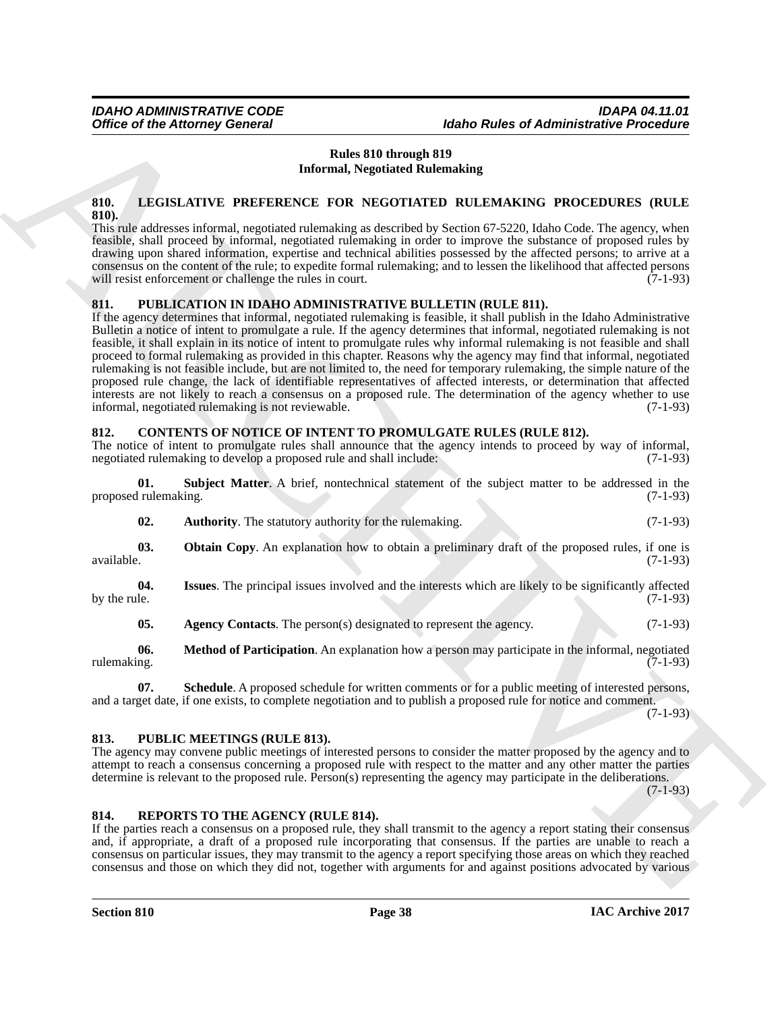### **Rules 810 through 819 Informal, Negotiated Rulemaking**

#### <span id="page-37-12"></span><span id="page-37-0"></span>**810. LEGISLATIVE PREFERENCE FOR NEGOTIATED RULEMAKING PROCEDURES (RULE 810).**

This rule addresses informal, negotiated rulemaking as described by Section 67-5220, Idaho Code. The agency, when feasible, shall proceed by informal, negotiated rulemaking in order to improve the substance of proposed rules by drawing upon shared information, expertise and technical abilities possessed by the affected persons; to arrive at a consensus on the content of the rule; to expedite formal rulemaking; and to lessen the likelihood that affected persons will resist enforcement or challenge the rules in court.

### <span id="page-37-14"></span><span id="page-37-1"></span>**811. PUBLICATION IN IDAHO ADMINISTRATIVE BULLETIN (RULE 811).**

Office of the Attorney General<br>
Mates 810 through 164 and the first of Attachment Procedure<br>
How the Hubble State of Attachment Control in the Control in the Control in the Control in the Control in the Control in the Con If the agency determines that informal, negotiated rulemaking is feasible, it shall publish in the Idaho Administrative Bulletin a notice of intent to promulgate a rule. If the agency determines that informal, negotiated rulemaking is not feasible, it shall explain in its notice of intent to promulgate rules why informal rulemaking is not feasible and shall proceed to formal rulemaking as provided in this chapter. Reasons why the agency may find that informal, negotiated rulemaking is not feasible include, but are not limited to, the need for temporary rulemaking, the simple nature of the proposed rule change, the lack of identifiable representatives of affected interests, or determination that affected interests are not likely to reach a consensus on a proposed rule. The determination of the agency whether to use informal, negotiated rulemaking is not reviewable. (7-1-93)

### <span id="page-37-2"></span>**812. CONTENTS OF NOTICE OF INTENT TO PROMULGATE RULES (RULE 812).**

The notice of intent to promulgate rules shall announce that the agency intends to proceed by way of informal, negotiated rulemaking to develop a proposed rule and shall include: (7-1-93)

**01. Subject Matter**. A brief, nontechnical statement of the subject matter to be addressed in the proposed rulemaking.

<span id="page-37-11"></span><span id="page-37-9"></span><span id="page-37-6"></span>

| 02. | <b>Authority.</b> The statutory authority for the rulemaking. |  | $(7-1-93)$ |
|-----|---------------------------------------------------------------|--|------------|
|     |                                                               |  |            |

**03. Obtain Copy**. An explanation how to obtain a preliminary draft of the proposed rules, if one is available. (7-1-93) available. (7-1-93)

**04. Issues**. The principal issues involved and the interests which are likely to be significantly affected by the rule.  $(7-1-93)$ 

<span id="page-37-10"></span><span id="page-37-8"></span><span id="page-37-7"></span><span id="page-37-5"></span>**05.** Agency Contacts. The person(s) designated to represent the agency. (7-1-93)

**06.** Method of Participation. An explanation how a person may participate in the informal, negotiated ng. rulemaking. (7-1-93)

**07. Schedule**. A proposed schedule for written comments or for a public meeting of interested persons, and a target date, if one exists, to complete negotiation and to publish a proposed rule for notice and comment. (7-1-93)

### <span id="page-37-13"></span><span id="page-37-3"></span>**813. PUBLIC MEETINGS (RULE 813).**

The agency may convene public meetings of interested persons to consider the matter proposed by the agency and to attempt to reach a consensus concerning a proposed rule with respect to the matter and any other matter the parties determine is relevant to the proposed rule. Person(s) representing the agency may participate in the deliberations.

 $(7-1-93)$ 

### <span id="page-37-15"></span><span id="page-37-4"></span>**814. REPORTS TO THE AGENCY (RULE 814).**

If the parties reach a consensus on a proposed rule, they shall transmit to the agency a report stating their consensus and, if appropriate, a draft of a proposed rule incorporating that consensus. If the parties are unable to reach a consensus on particular issues, they may transmit to the agency a report specifying those areas on which they reached consensus and those on which they did not, together with arguments for and against positions advocated by various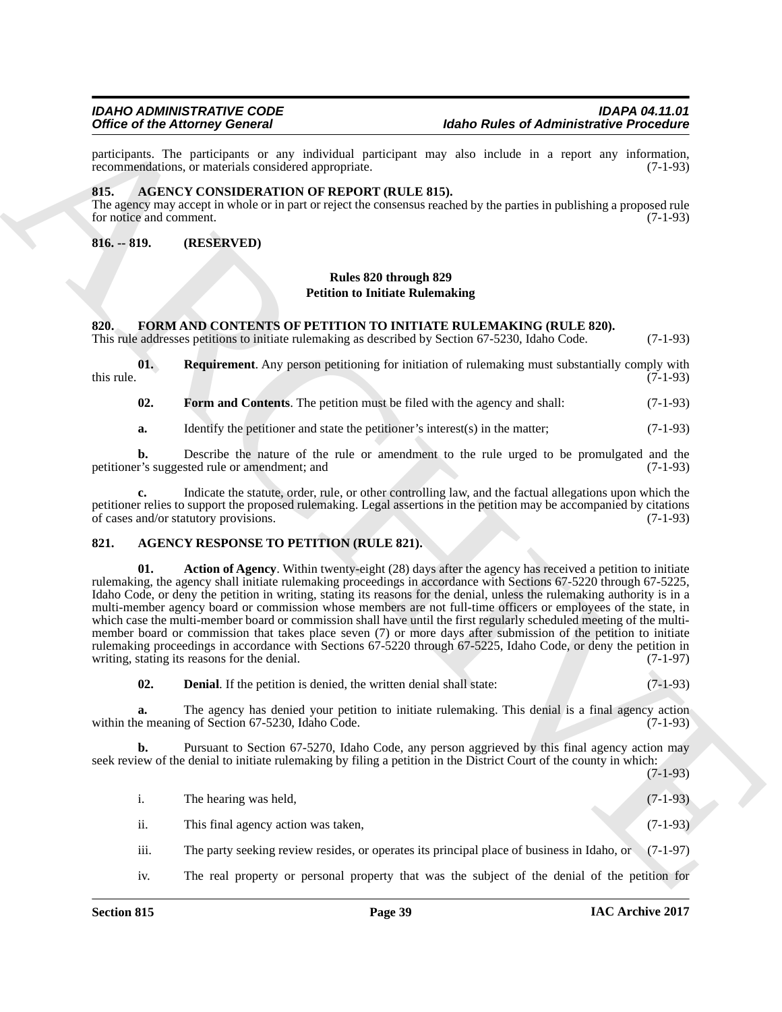participants. The participants or any individual participant may also include in a report any information, recommendations, or materials considered appropriate. (7-1-93) recommendations, or materials considered appropriate.

#### <span id="page-38-4"></span><span id="page-38-0"></span>**815. AGENCY CONSIDERATION OF REPORT (RULE 815).**

The agency may accept in whole or in part or reject the consensus reached by the parties in publishing a proposed rule for notice and comment. (7-1-93) for notice and comment.

<span id="page-38-1"></span>**816. -- 819. (RESERVED)**

### **Rules 820 through 829 Petition to Initiate Rulemaking**

### <span id="page-38-2"></span>**820. FORM AND CONTENTS OF PETITION TO INITIATE RULEMAKING (RULE 820).**

This rule addresses petitions to initiate rulemaking as described by Section 67-5230, Idaho Code. (7-1-93)

**01. Requirement**. Any person petitioning for initiation of rulemaking must substantially comply with  $(7-1-93)$ this rule.  $(7-1-93)$ 

<span id="page-38-8"></span><span id="page-38-7"></span>**02.** Form and Contents. The petition must be filed with the agency and shall: (7-1-93)

**a.** Identify the petitioner and state the petitioner's interest(s) in the matter; (7-1-93)

**b.** Describe the nature of the rule or amendment to the rule urged to be promulgated and the r's suggested rule or amendment; and (7-1-93) petitioner's suggested rule or amendment; and

**c.** Indicate the statute, order, rule, or other controlling law, and the factual allegations upon which the petitioner relies to support the proposed rulemaking. Legal assertions in the petition may be accompanied by citations of cases and/or statutory provisions. (7-1-93) of cases and/or statutory provisions.

### <span id="page-38-5"></span><span id="page-38-3"></span>**821. AGENCY RESPONSE TO PETITION (RULE 821).**

Office of Montey Goodwalk van Builting (methods must be the collection of Montey Channels Proceeding<br>
The main of State Construction of Montey (methods in the set of Montey and the Channels of Channels Channels Channels a **01. Action of Agency**. Within twenty-eight (28) days after the agency has received a petition to initiate rulemaking, the agency shall initiate rulemaking proceedings in accordance with Sections 67-5220 through 67-5225, Idaho Code, or deny the petition in writing, stating its reasons for the denial, unless the rulemaking authority is in a multi-member agency board or commission whose members are not full-time officers or employees of the state, in which case the multi-member board or commission shall have until the first regularly scheduled meeting of the multimember board or commission that takes place seven (7) or more days after submission of the petition to initiate rulemaking proceedings in accordance with Sections  $67-5220$  through  $67-5225$ , Idaho Code, or deny the petition in writing, stating its reasons for the denial. (7-1-97) writing, stating its reasons for the denial.

<span id="page-38-6"></span>**02. Denial**. If the petition is denied, the written denial shall state: (7-1-93)

**a.** The agency has denied your petition to initiate rulemaking. This denial is a final agency action e meaning of Section 67-5230. Idaho Code. (7-1-93) within the meaning of Section 67-5230, Idaho Code.

**b.** Pursuant to Section 67-5270, Idaho Code, any person aggrieved by this final agency action may seek review of the denial to initiate rulemaking by filing a petition in the District Court of the county in which:

|      | The hearing was held,                                                                                 | $(7-1-93)$ |
|------|-------------------------------------------------------------------------------------------------------|------------|
| ii.  | This final agency action was taken,                                                                   | $(7-1-93)$ |
| iii. | The party seeking review resides, or operates its principal place of business in Idaho, or $(7-1-97)$ |            |

iv. The real property or personal property that was the subject of the denial of the petition for

 $(7-1-93)$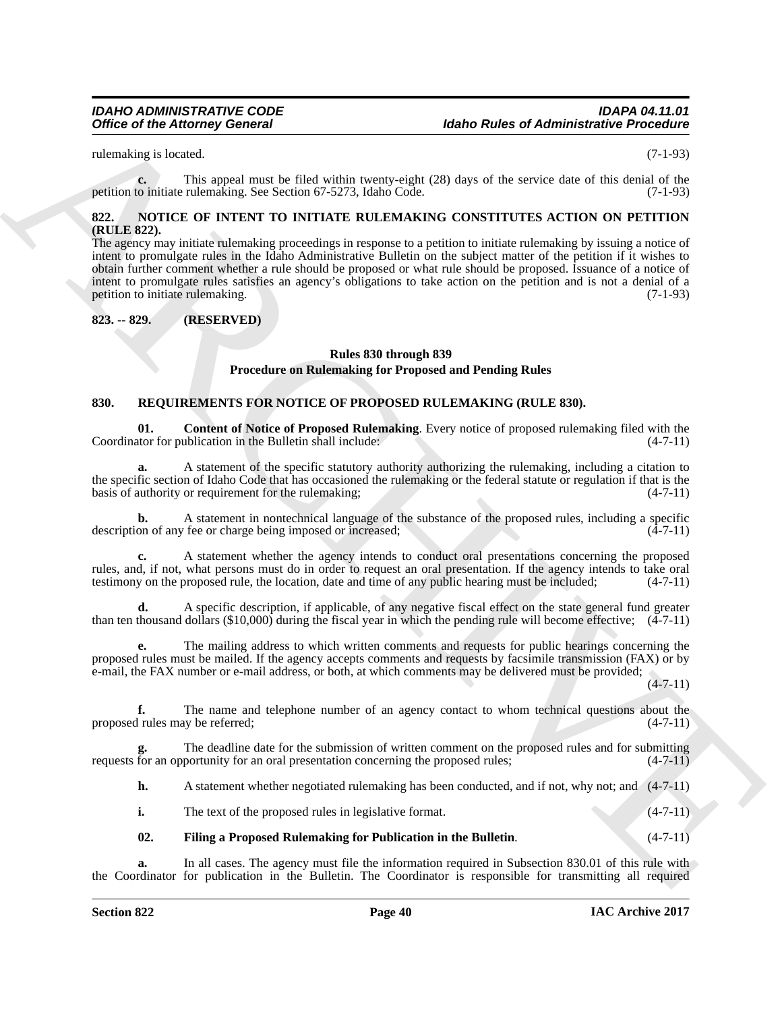rulemaking is located. (7-1-93)

**c.** This appeal must be filed within twenty-eight (28) days of the service date of this denial of the petition to initiate rulemaking. See Section 67-5273, Idaho Code. (7-1-93)

#### <span id="page-39-3"></span><span id="page-39-0"></span>**822. NOTICE OF INTENT TO INITIATE RULEMAKING CONSTITUTES ACTION ON PETITION (RULE 822).**

Office of the Attorney General<br>
Adabe Rules of Administrative Precision<br>
Analog Rules of Administrative Precision<br>
Analog Rules of Administrative Precision<br>
Analog Rules of Administrative Precision<br>
Analog Rules of Admini The agency may initiate rulemaking proceedings in response to a petition to initiate rulemaking by issuing a notice of intent to promulgate rules in the Idaho Administrative Bulletin on the subject matter of the petition if it wishes to obtain further comment whether a rule should be proposed or what rule should be proposed. Issuance of a notice of intent to promulgate rules satisfies an agency's obligations to take action on the petition and is not a denial of a petition to initiate rulemaking. (7-1-93)

# <span id="page-39-1"></span>**823. -- 829. (RESERVED)**

# <span id="page-39-4"></span>**Rules 830 through 839 Procedure on Rulemaking for Proposed and Pending Rules**

#### <span id="page-39-2"></span>**830. REQUIREMENTS FOR NOTICE OF PROPOSED RULEMAKING (RULE 830).**

**01.** Content of Notice of Proposed Rulemaking. Every notice of proposed rulemaking filed with the ator for publication in the Bulletin shall include: (4-7-11) Coordinator for publication in the Bulletin shall include:

**a.** A statement of the specific statutory authority authorizing the rulemaking, including a citation to the specific section of Idaho Code that has occasioned the rulemaking or the federal statute or regulation if that is the basis of authority or requirement for the rulemaking; (4-7-11)

**b.** A statement in nontechnical language of the substance of the proposed rules, including a specific on of any fee or charge being imposed or increased: (4-7-11) description of any fee or charge being imposed or increased;

**c.** A statement whether the agency intends to conduct oral presentations concerning the proposed rules, and, if not, what persons must do in order to request an oral presentation. If the agency intends to take oral testimony on the proposed rule, the location, date and time of any public hearing must be included; (4-7-11)

**d.** A specific description, if applicable, of any negative fiscal effect on the state general fund greater than ten thousand dollars (\$10,000) during the fiscal year in which the pending rule will become effective; (4-7-11)

**e.** The mailing address to which written comments and requests for public hearings concerning the proposed rules must be mailed. If the agency accepts comments and requests by facsimile transmission (FAX) or by e-mail, the FAX number or e-mail address, or both, at which comments may be delivered must be provided;

 $(4 - 7 - 11)$ 

**f.** The name and telephone number of an agency contact to whom technical questions about the l rules may be referred; (4-7-11) proposed rules may be referred;

The deadline date for the submission of written comment on the proposed rules and for submitting portunity for an oral presentation concerning the proposed rules;  $(4-7-11)$ requests for an opportunity for an oral presentation concerning the proposed rules;

**h.** A statement whether negotiated rulemaking has been conducted, and if not, why not; and (4-7-11)

**i.** The text of the proposed rules in legislative format. (4-7-11)

# <span id="page-39-5"></span>**02. Filing a Proposed Rulemaking for Publication in the Bulletin**. (4-7-11)

**a.** In all cases. The agency must file the information required in Subsection 830.01 of this rule with the Coordinator for publication in the Bulletin. The Coordinator is responsible for transmitting all required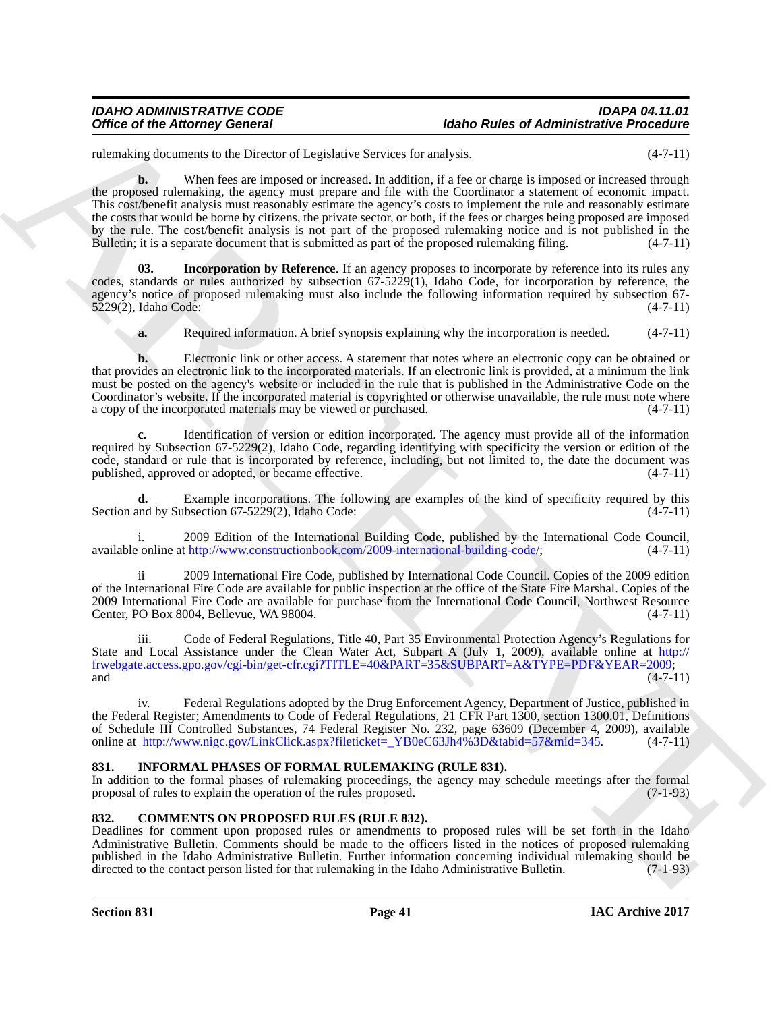### *IDAHO ADMINISTRATIVE CODE IDAPA 04.11.01 Idaho Rules of Administrative Procedure*

rulemaking documents to the Director of Legislative Services for analysis. (4-7-11)

Office of the Attorney General<br>
Associate the Christian States of Administrative President Control in the Attached Control in the Christian States of Administrative President Control in the Christian States of the Christi **b.** When fees are imposed or increased. In addition, if a fee or charge is imposed or increased through the proposed rulemaking, the agency must prepare and file with the Coordinator a statement of economic impact. This cost/benefit analysis must reasonably estimate the agency's costs to implement the rule and reasonably estimate the costs that would be borne by citizens, the private sector, or both, if the fees or charges being proposed are imposed by the rule. The cost/benefit analysis is not part of the proposed rulemaking notice and is not published in the Bulletin; it is a separate document that is submitted as part of the proposed rulemaking filing. (4-7-11)

**Incorporation by Reference**. If an agency proposes to incorporate by reference into its rules any codes, standards or rules authorized by subsection 67-5229(1), Idaho Code, for incorporation by reference, the agency's notice of proposed rulemaking must also include the following information required by subsection 67-<br>5229(2), Idaho Code: (4-7-11) 5229(2), Idaho Code:

<span id="page-40-4"></span>**a.** Required information. A brief synopsis explaining why the incorporation is needed.  $(4-7-11)$ 

**b.** Electronic link or other access. A statement that notes where an electronic copy can be obtained or that provides an electronic link to the incorporated materials. If an electronic link is provided, at a minimum the link must be posted on the agency's website or included in the rule that is published in the Administrative Code on the Coordinator's website. If the incorporated material is copyrighted or otherwise unavailable, the rule must note where a copy of the incorporated materials may be viewed or purchased.  $(4-7-11)$ a copy of the incorporated materials may be viewed or purchased.

**c.** Identification of version or edition incorporated. The agency must provide all of the information required by Subsection 67-5229(2), Idaho Code, regarding identifying with specificity the version or edition of the code, standard or rule that is incorporated by reference, including, but not limited to, the date the document was published, approved or adopted, or became effective.

**d.** Example incorporations. The following are examples of the kind of specificity required by this and by Subsection 67-5229(2), Idaho Code: Section and by Subsection  $67-5229(2)$ , Idaho Code:

i. 2009 Edition of the International Building Code, published by the International Code Council, available online at http://www.constructionbook.com/2009-international-building-code/; (4-7-11)

ii 2009 International Fire Code, published by International Code Council. Copies of the 2009 edition of the International Fire Code are available for public inspection at the office of the State Fire Marshal. Copies of the 2009 International Fire Code are available for purchase from the International Code Council, Northwest Resource Center, PO Box 8004, Bellevue, WA 98004. (4-7-11)

iii. Code of Federal Regulations, Title 40, Part 35 Environmental Protection Agency's Regulations for State and Local Assistance under the Clean Water Act, Subpart A (July 1, 2009), available online at http:// frwebgate.access.gpo.gov/cgi-bin/get-cfr.cgi?TITLE=40&PART=35&SUBPART=A&TYPE=PDF&YEAR=2009; and  $(4-7-11)$ 

iv. Federal Regulations adopted by the Drug Enforcement Agency, Department of Justice, published in the Federal Register; Amendments to Code of Federal Regulations, 21 CFR Part 1300, section 1300.01, Definitions of Schedule III Controlled Substances, 74 Federal Register No. 232, page 63609 (December 4, 2009), available online at http://www.nigc.gov/LinkClick.aspx?fileticket=\_YB0eC63Jh4%3D&tabid=57&mid=345. (4-7-11)

### <span id="page-40-3"></span><span id="page-40-0"></span>**831. INFORMAL PHASES OF FORMAL RULEMAKING (RULE 831).**

In addition to the formal phases of rulemaking proceedings, the agency may schedule meetings after the formal proposal of rules to explain the operation of the rules proposed. (7-1-93) proposal of rules to explain the operation of the rules proposed.

### <span id="page-40-2"></span><span id="page-40-1"></span>**832. COMMENTS ON PROPOSED RULES (RULE 832).**

Deadlines for comment upon proposed rules or amendments to proposed rules will be set forth in the Idaho Administrative Bulletin. Comments should be made to the officers listed in the notices of proposed rulemaking published in the Idaho Administrative Bulletin. Further information concerning individual rulemaking should be directed to the contact person listed for that rulemaking in the Idaho Administrative Bulletin. (7-1-93)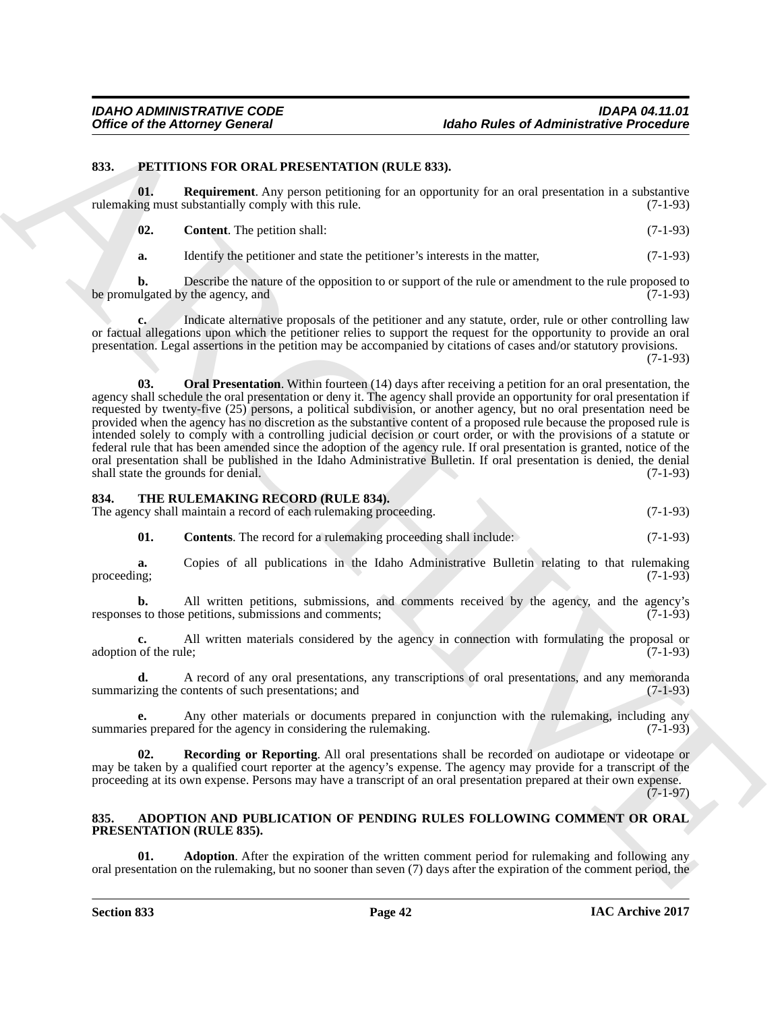#### <span id="page-41-0"></span>**833. PETITIONS FOR ORAL PRESENTATION (RULE 833).**

**01. Requirement**. Any person petitioning for an opportunity for an oral presentation in a substantive rulemaking must substantially comply with this rule. (7-1-93)

<span id="page-41-6"></span><span id="page-41-4"></span>**02. Content**. The petition shall: (7-1-93)

**a.** Identify the petitioner and state the petitioner's interests in the matter,  $(7-1-93)$ 

**b.** Describe the nature of the opposition to or support of the rule or amendment to the rule proposed to ulgated by the agency, and (7-1-93) be promulgated by the agency, and

<span id="page-41-5"></span>**c.** Indicate alternative proposals of the petitioner and any statute, order, rule or other controlling law or factual allegations upon which the petitioner relies to support the request for the opportunity to provide an oral presentation. Legal assertions in the petition may be accompanied by citations of cases and/or statutory provisions.

(7-1-93)

Office of the Attorney General<br>
S33. PHETIONSON COLLE ESS).<br>
S23. PHETIONSON COLLE ESS).<br>
S23. PHETIONSON COLLE ESS).<br>
S23. Phetion and Archives and System problem is a subsequently for an end protection is a subsequently **03. Oral Presentation**. Within fourteen (14) days after receiving a petition for an oral presentation, the agency shall schedule the oral presentation or deny it. The agency shall provide an opportunity for oral presentation if requested by twenty-five (25) persons, a political subdivision, or another agency, but no oral presentation need be provided when the agency has no discretion as the substantive content of a proposed rule because the proposed rule is intended solely to comply with a controlling judicial decision or court order, or with the provisions of a statute or federal rule that has been amended since the adoption of the agency rule. If oral presentation is granted, notice of the oral presentation shall be published in the Idaho Administrative Bulletin. If oral presentation is denied, the denial shall state the grounds for denial. shall state the grounds for denial.

#### <span id="page-41-1"></span>**834. THE RULEMAKING RECORD (RULE 834).**

The agency shall maintain a record of each rulemaking proceeding. (7-1-93)

<span id="page-41-7"></span>**01. Contents**. The record for a rulemaking proceeding shall include: (7-1-93)

**a.** Copies of all publications in the Idaho Administrative Bulletin relating to that rulemaking proceeding; (7-1-93) proceeding;  $(7-1-93)$ 

**b.** All written petitions, submissions, and comments received by the agency, and the agency's s to those petitions, submissions and comments: (7-1-93) responses to those petitions, submissions and comments;

All written materials considered by the agency in connection with formulating the proposal or  $(7-1-93)$ adoption of the rule;

**d.** A record of any oral presentations, any transcriptions of oral presentations, and any memoranda summarizing the contents of such presentations; and (7-1-93)

**e.** Any other materials or documents prepared in conjunction with the rulemaking, including any es prepared for the agency in considering the rulemaking. (7-1-93) summaries prepared for the agency in considering the rulemaking.

<span id="page-41-8"></span>**Recording or Reporting.** All oral presentations shall be recorded on audiotape or videotape or may be taken by a qualified court reporter at the agency's expense. The agency may provide for a transcript of the proceeding at its own expense. Persons may have a transcript of an oral presentation prepared at their own expense.

 $(7-1-97)$ 

#### <span id="page-41-2"></span>**835. ADOPTION AND PUBLICATION OF PENDING RULES FOLLOWING COMMENT OR ORAL PRESENTATION (RULE 835).**

<span id="page-41-3"></span>**Adoption**. After the expiration of the written comment period for rulemaking and following any oral presentation on the rulemaking, but no sooner than seven (7) days after the expiration of the comment period, the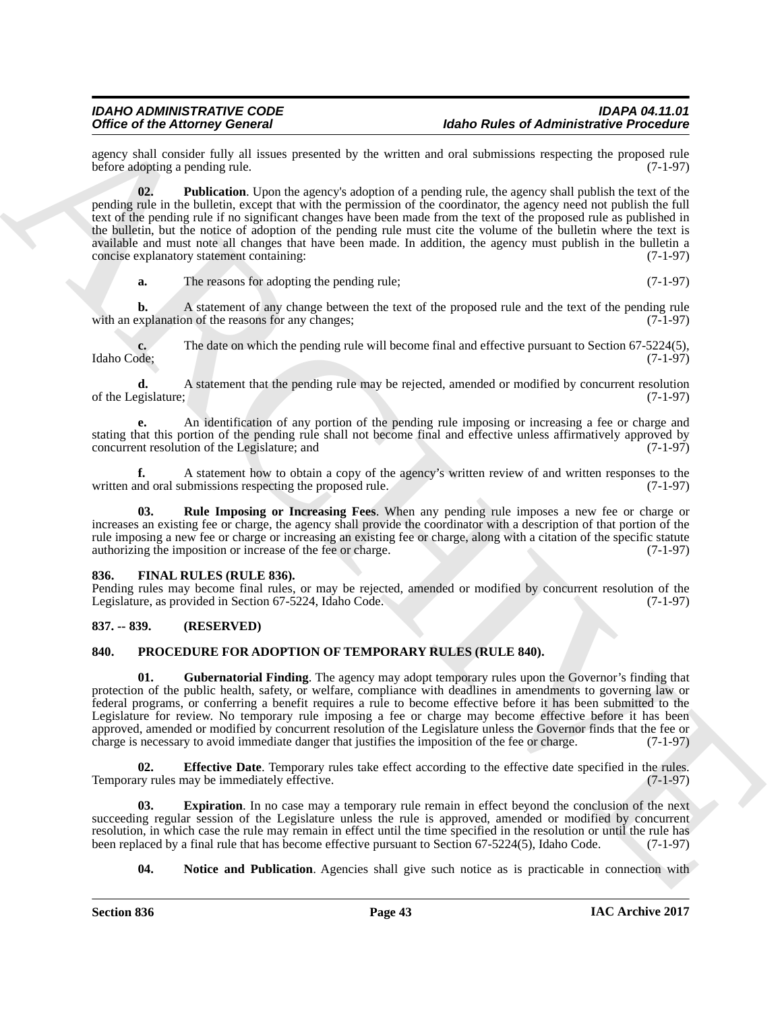<span id="page-42-3"></span>agency shall consider fully all issues presented by the written and oral submissions respecting the proposed rule<br>before adopting a pending rule. (7-1-97) before adopting a pending rule.

Office of the Advanced Column processes). However, the hole of Advanced Price Column in the space of Advanced Price Column in the Column in the Column in the Column in the Column in the Column in the Column in the Column **02. Publication**. Upon the agency's adoption of a pending rule, the agency shall publish the text of the pending rule in the bulletin, except that with the permission of the coordinator, the agency need not publish the full text of the pending rule if no significant changes have been made from the text of the proposed rule as published in the bulletin, but the notice of adoption of the pending rule must cite the volume of the bulletin where the text is available and must note all changes that have been made. In addition, the agency must publish in the bulletin a concise explanatory statement containing: (7-1-97)

**a.** The reasons for adopting the pending rule; (7-1-97)

**b.** A statement of any change between the text of the proposed rule and the text of the pending rule explanation of the reasons for any changes: (7-1-97) with an explanation of the reasons for any changes;

**c.** The date on which the pending rule will become final and effective pursuant to Section 67-5224(5), Idaho Code; (7-1-97) Idaho Code; (7-1-97)

**d.** A statement that the pending rule may be rejected, amended or modified by concurrent resolution gislature: (7-1-97) of the Legislature;

**e.** An identification of any portion of the pending rule imposing or increasing a fee or charge and stating that this portion of the pending rule shall not become final and effective unless affirmatively approved by concurrent resolution of the Legislature; and (7-1-97) concurrent resolution of the Legislature; and

**f.** A statement how to obtain a copy of the agency's written review of and written responses to the nd oral submissions respecting the proposed rule. (7-1-97) written and oral submissions respecting the proposed rule.

<span id="page-42-4"></span>**03. Rule Imposing or Increasing Fees**. When any pending rule imposes a new fee or charge or increases an existing fee or charge, the agency shall provide the coordinator with a description of that portion of the rule imposing a new fee or charge or increasing an existing fee or charge, along with a citation of the specific statute authorizing the imposition or increase of the fee or charge. (7-1-97)

#### <span id="page-42-5"></span><span id="page-42-0"></span>**836. FINAL RULES (RULE 836).**

Pending rules may become final rules, or may be rejected, amended or modified by concurrent resolution of the Legislature, as provided in Section 67-5224, Idaho Code. (7-1-97) Legislature, as provided in Section 67-5224, Idaho Code.

#### <span id="page-42-1"></span>**837. -- 839. (RESERVED)**

#### <span id="page-42-2"></span>**840. PROCEDURE FOR ADOPTION OF TEMPORARY RULES (RULE 840).**

<span id="page-42-8"></span>**01.** Gubernatorial Finding. The agency may adopt temporary rules upon the Governor's finding that protection of the public health, safety, or welfare, compliance with deadlines in amendments to governing law or federal programs, or conferring a benefit requires a rule to become effective before it has been submitted to the Legislature for review. No temporary rule imposing a fee or charge may become effective before it has been approved, amended or modified by concurrent resolution of the Legislature unless the Governor finds that the fee or charge is necessary to avoid immediate danger that justifies the imposition of the fee or charge. (7-1-97)

<span id="page-42-6"></span>**02. Effective Date**. Temporary rules take effect according to the effective date specified in the rules.<br>The rules may be immediately effective. Temporary rules may be immediately effective.

**Expiration**. In no case may a temporary rule remain in effect beyond the conclusion of the next succeeding regular session of the Legislature unless the rule is approved, amended or modified by concurrent resolution, in which case the rule may remain in effect until the time specified in the resolution or until the rule has been replaced by a final rule that has become effective pursuant to Section 67-5224(5), Idaho Code. ( been replaced by a final rule that has become effective pursuant to Section 67-5224(5), Idaho Code.

<span id="page-42-9"></span><span id="page-42-7"></span>**04.** Notice and Publication. Agencies shall give such notice as is practicable in connection with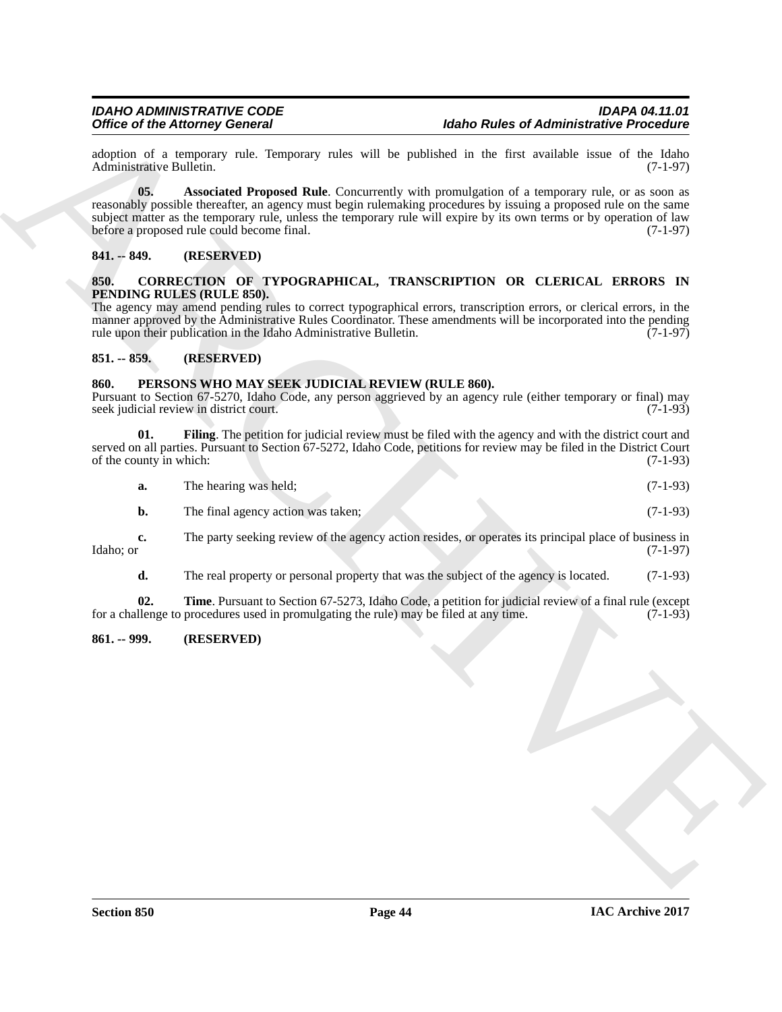<span id="page-43-8"></span>adoption of a temporary rule. Temporary rules will be published in the first available issue of the Idaho Administrative Bulletin. (7-1-97) Administrative Bulletin.

Office of the Alexander Distance (School)<br>
Administrative Proceeding<br>
Administrative Distance (School)<br>
Administrative Distance (School)<br>
Administrative Distance (School)<br>
Analysis and Archives and September of the Summar **05.** Associated Proposed Rule. Concurrently with promulgation of a temporary rule, or as soon as reasonably possible thereafter, an agency must begin rulemaking procedures by issuing a proposed rule on the same subject matter as the temporary rule, unless the temporary rule will expire by its own terms or by operation of law<br>before a proposed rule could become final. (7-1-97) before a proposed rule could become final.

#### <span id="page-43-0"></span>**841. -- 849. (RESERVED)**

#### <span id="page-43-5"></span><span id="page-43-1"></span>**850. CORRECTION OF TYPOGRAPHICAL, TRANSCRIPTION OR CLERICAL ERRORS IN PENDING RULES (RULE 850).**

The agency may amend pending rules to correct typographical errors, transcription errors, or clerical errors, in the manner approved by the Administrative Rules Coordinator. These amendments will be incorporated into the pending rule upon their publication in the Idaho Administrative Bulletin. (7-1-97)

#### <span id="page-43-2"></span>**851. -- 859. (RESERVED)**

#### <span id="page-43-3"></span>**860. PERSONS WHO MAY SEEK JUDICIAL REVIEW (RULE 860).**

Pursuant to Section 67-5270, Idaho Code, any person aggrieved by an agency rule (either temporary or final) may seek judicial review in district court.

**01.** Filing. The petition for judicial review must be filed with the agency and with the district court and served on all parties. Pursuant to Section 67-5272, Idaho Code, petitions for review may be filed in the District Court of the county in which: (7-1-93)

<span id="page-43-6"></span>

|  | The hearing was held; |  | $(7-1-93)$ |
|--|-----------------------|--|------------|
|--|-----------------------|--|------------|

|  | The final agency action was taken; | $(7-1-93)$ |
|--|------------------------------------|------------|
|--|------------------------------------|------------|

**c.** The party seeking review of the agency action resides, or operates its principal place of business in Idaho; or (7-1-97)  $\text{Idaho; or} \tag{7-1-97}$ 

<span id="page-43-7"></span>**d.** The real property or personal property that was the subject of the agency is located. (7-1-93)

**02. Time**. Pursuant to Section 67-5273, Idaho Code, a petition for judicial review of a final rule (except llenge to procedures used in promulgating the rule) may be filed at any time. (7-1-93) for a challenge to procedures used in promulgating the rule) may be filed at any time.

#### <span id="page-43-4"></span>**861. -- 999. (RESERVED)**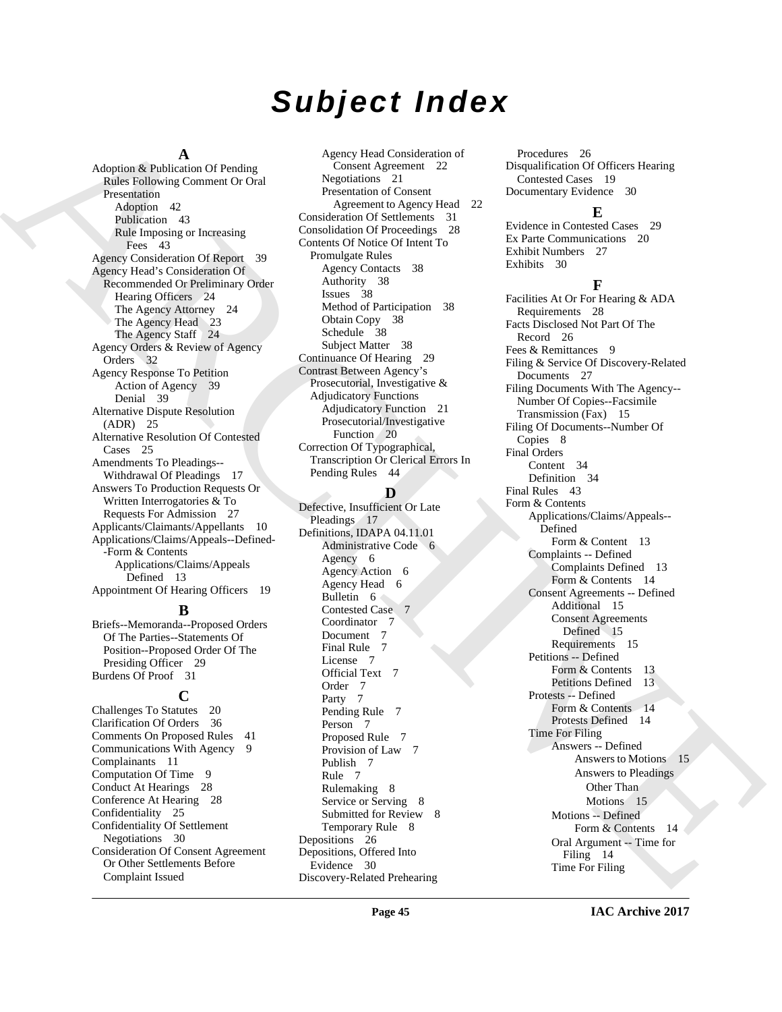# *Subject Index*

#### **A**

Adoption & Publication Of Pending Rules Following Comment Or Oral Presentation Adoption 42 Publication 43 Rule Imposing or Increasing Fees 43 Agency Consideration Of Report 39 Agency Head's Consideration Of Recommended Or Preliminary Order Hearing Officers 24 The Agency Attorney 24 The Agency Head 23 The Agency Staff 24 Agency Orders & Review of Agency Orders 32 Agency Response To Petition Action of Agency 39 Denial 39 Alternative Dispute Resolution (ADR) 25 Alternative Resolution Of Contested Cases 25 Amendments To Pleadings-- Withdrawal Of Pleadings 17 Answers To Production Requests Or Written Interrogatories & To Requests For Admission 27 Applicants/Claimants/Appellants 10 Applications/Claims/Appeals--Defined- -Form & Contents Applications/Claims/Appeals Defined 13 Appointment Of Hearing Officers 19

# **B**

Briefs--Memoranda--Proposed Orders Of The Parties--Statements Of Position--Proposed Order Of The Presiding Officer 29 Burdens Of Proof 31

# **C**

Challenges To Statutes 20 Clarification Of Orders 36 Comments On Proposed Rules 41 Communications With Agency 9 Complainants 11 Computation Of Time 9 Conduct At Hearings 28 Conference At Hearing 28 Confidentiality 25 Confidentiality Of Settlement Negotiations 30 Consideration Of Consent Agreement Or Other Settlements Before Complaint Issued

Agency Head Consideration of Consent Agreement 22 Negotiations 21 Presentation of Consent Agreement to Agency Head 22 Consideration Of Settlements 31 Consolidation Of Proceedings 28 Contents Of Notice Of Intent To Promulgate Rules Agency Contacts 38 Authority 38 Issues 38 Method of Participation 38 Obtain Copy 38 Schedule 38 Subject Matter 38 Continuance Of Hearing 29 Contrast Between Agency's Prosecutorial, Investigative & Adjudicatory Functions Adjudicatory Function 21 Prosecutorial/Investigative Function 20 Correction Of Typographical, Transcription Or Clerical Errors In Pending Rules 44

# **D**

Defective, Insufficient Or Late Pleadings 17 Definitions, IDAPA 04.11.01 Administrative Code 6 Agency 6 Agency Action 6 Agency Head 6 Bulletin 6 Contested Case 7 Coordinator 7 Document 7 Final Rule 7 License 7 Official Text 7 Order 7 Party 7 Pending Rule 7 Person 7 Proposed Rule 7 Provision of Law 7 Publish 7 Rule 7 Rulemaking 8 Service or Serving 8 Submitted for Review 8 Temporary Rule 8 Depositions 26 Depositions, Offered Into Evidence 30 Discovery-Related Prehearing

Procedures 26 Disqualification Of Officers Hearing Contested Cases 19 Documentary Evidence 30

# **E**

Evidence in Contested Cases 29 Ex Parte Communications 20 Exhibit Numbers 27 Exhibits 30

# **F**

[A](#page-42-4)A provide a street transformation of the constraines of the constraines of the constraines of the constraines of the constraines of the constraines of the constraines of the constraines of the constraines of the constrai Facilities At Or For Hearing & ADA Requirements 28 Facts Disclosed Not Part Of The Record 26 Fees & Remittances 9 Filing & Service Of Discovery-Related Documents 27 Filing Documents With The Agency-- Number Of Copies--Facsimile Transmission (Fax) 15 Filing Of Documents--Number Of Copies 8 Final Orders Content 34 Definition 34 Final Rules 43 Form & Contents Applications/Claims/Appeals-- Defined Form & Content 13 Complaints -- Defined Complaints Defined 13 Form & Contents 14 Consent Agreements -- Defined Additional 15 Consent Agreements Defined 15 Requirements 15 Petitions -- Defined Form & Contents 13 Petitions Defined 13 Protests -- Defined Form & Contents 14 Protests Defined 14 Time For Filing Answers -- Defined Answers to Motions 15 Answers to Pleadings Other Than Motions 15 Motions -- Defined Form & Contents 14 Oral Argument -- Time for Filing 14 Time For Filing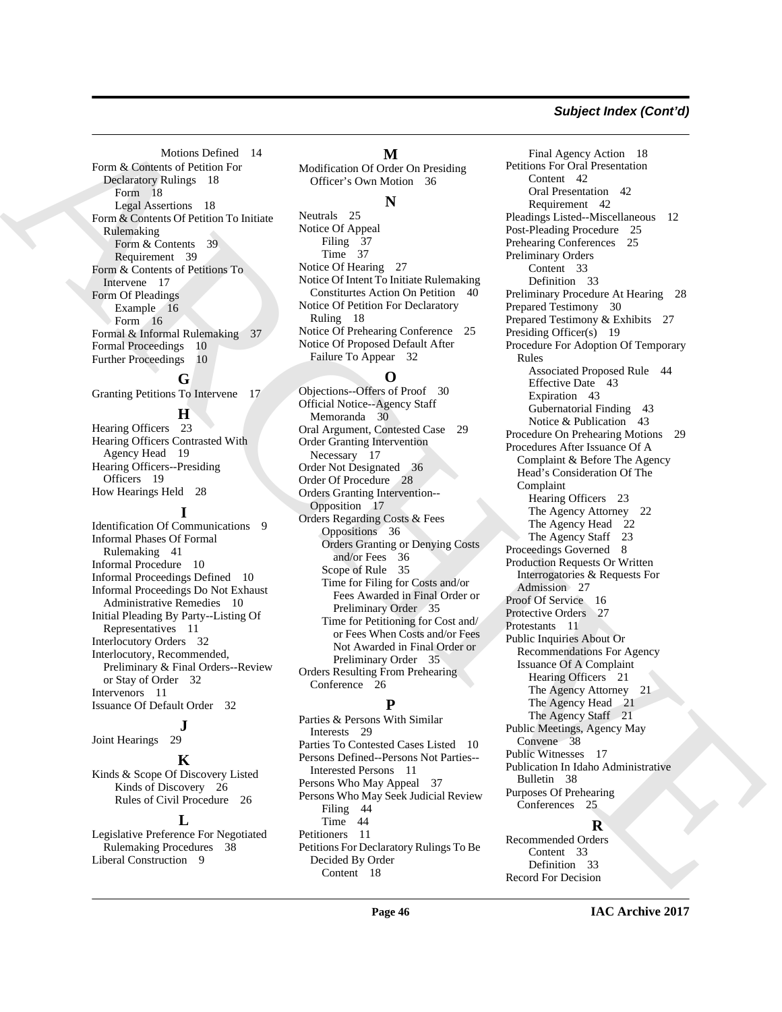### *Subject Index (Cont'd)*

Motions Defined 14 Form & Contents of Petition For Declaratory Rulings 18 Form 18 Legal Assertions 18 Form & Contents Of Petition To Initiate Rulemaking Form & Contents 39 Requirement 39 Form & Contents of Petitions To Intervene 17 Form Of Pleadings Example 16 Form 16 Formal & Informal Rulemaking 37 Formal Proceedings 10 Further Proceedings 10

Granting Petitions To Intervene 17

# **H**

**G**

Hearing Officers 23 Hearing Officers Contrasted With Agency Head 19 Hearing Officers--Presiding Officers 19 How Hearings Held 28

#### **I**

Identification Of Communications 9 Informal Phases Of Formal Rulemaking 41 Informal Procedure 10 Informal Proceedings Defined 10 Informal Proceedings Do Not Exhaust Administrative Remedies 10 Initial Pleading By Party--Listing Of Representatives 11 Interlocutory Orders 32 Interlocutory, Recommended, Preliminary & Final Orders--Review or Stay of Order 32 Intervenors 11 Issuance Of Default Order 32

 $\frac{1}{29}$ Joint Hearings

#### **K**

Kinds & Scope Of Discovery Listed Kinds of Discovery 26 Rules of Civil Procedure 26

#### $\mathbf{L}$

Legislative Preference For Negotiated Rulemaking Procedures 38 Liberal Construction 9

#### **M**

Modification Of Order On Presiding Officer's Own Motion 36

#### **N**

Neutrals 25 Notice Of Appeal Filing 37 Time 37 Notice Of Hearing 27 Notice Of Intent To Initiate Rulemaking Constiturtes Action On Petition 40 Notice Of Petition For Declaratory Ruling 18 Notice Of Prehearing Conference 25 Notice Of Proposed Default After Failure To Appear 32

# **O**

Objections--Offers of Proof 30 Official Notice--Agency Staff Memoranda 30 Oral Argument, Contested Case 29 Order Granting Intervention Necessary 17 Order Not Designated 36 Order Of Procedure 28 Orders Granting Intervention-- Opposition 17 Orders Regarding Costs & Fees Oppositions 36 Orders Granting or Denying Costs and/or Fees 36 Scope of Rule 35 Time for Filing for Costs and/or Fees Awarded in Final Order or Preliminary Order 35 Time for Petitioning for Cost and/ or Fees When Costs and/or Fees Not Awarded in Final Order or Preliminary Order 35 Orders Resulting From Prehearing Conference 26

#### **P**

Parties & Persons With Similar Interests 29 Parties To Contested Cases Listed 10 Persons Defined--Persons Not Parties-- Interested Persons 11 Persons Who May Appeal 37 Persons Who May Seek Judicial Review Filing 44 Time 44 Petitioners 11 Petitions For Declaratory Rulings To Be Decided By Order Content 18

Notice the first of the continue of the continue of the continue of the continue of the continue of the continue of the continue of the continue of the continue of the continue of the continue of the continue of the conti Final Agency Action 18 Petitions For Oral Presentation Content 42 Oral Presentation 42 Requirement 42 Pleadings Listed--Miscellaneous 12 Post-Pleading Procedure 25 Prehearing Conferences 25 Preliminary Orders Content 33 Definition 33 Preliminary Procedure At Hearing 28 Prepared Testimony 30 Prepared Testimony & Exhibits 27 Presiding Officer(s) 19 Procedure For Adoption Of Temporary Rules Associated Proposed Rule 44 Effective Date 43 Expiration 43 Gubernatorial Finding 43 Notice & Publication 43 Procedure On Prehearing Motions 29 Procedures After Issuance Of A Complaint & Before The Agency Head's Consideration Of The Complaint Hearing Officers 23 The Agency Attorney 22 The Agency Head 22 The Agency Staff 23 Proceedings Governed 8 Production Requests Or Written Interrogatories & Requests For Admission 27 Proof Of Service 16 Protective Orders 27 Protestants 11 Public Inquiries About Or Recommendations For Agency Issuance Of A Complaint Hearing Officers 21 The Agency Attorney 21 The Agency Head 21 The Agency Staff 21 Public Meetings, Agency May Convene 38 Public Witnesses 17 Publication In Idaho Administrative Bulletin 38 Purposes Of Prehearing Conferences 25

#### **R**

Recommended Orders Content 33 Definition 33 Record For Decision

**IAC Archive 2017**